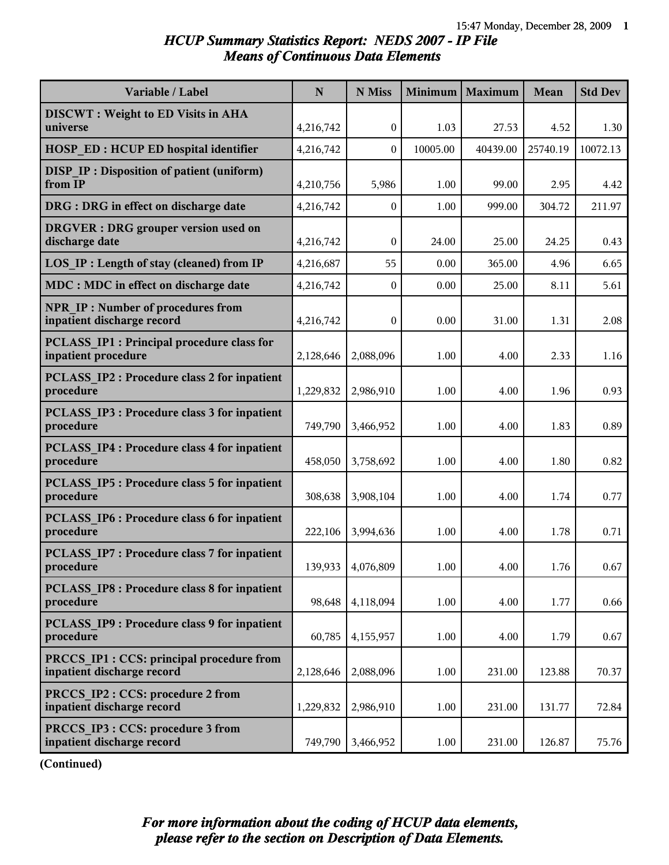# *HCUP Summary Statistics Report: NEDS 2007 - IP File Means of Continuous Data Elements*

| Variable / Label                                                        | $\mathbf N$ | N Miss            | <b>Minimum</b> | Maximum  | Mean     | <b>Std Dev</b> |
|-------------------------------------------------------------------------|-------------|-------------------|----------------|----------|----------|----------------|
| <b>DISCWT</b> : Weight to ED Visits in AHA<br>universe                  | 4,216,742   | $\boldsymbol{0}$  | 1.03           | 27.53    | 4.52     | 1.30           |
| <b>HOSP ED: HCUP ED hospital identifier</b>                             | 4,216,742   | 0                 | 10005.00       | 40439.00 | 25740.19 | 10072.13       |
| <b>DISP IP: Disposition of patient (uniform)</b><br>from IP             | 4,210,756   | 5,986             | 1.00           | 99.00    | 2.95     | 4.42           |
| DRG : DRG in effect on discharge date                                   | 4,216,742   | $\mathbf{0}$      | 1.00           | 999.00   | 304.72   | 211.97         |
| <b>DRGVER</b> : DRG grouper version used on<br>discharge date           | 4,216,742   | $\theta$          | 24.00          | 25.00    | 24.25    | 0.43           |
| LOS IP : Length of stay (cleaned) from IP                               | 4,216,687   | 55                | 0.00           | 365.00   | 4.96     | 6.65           |
| MDC : MDC in effect on discharge date                                   | 4,216,742   | $\mathbf{0}$      | 0.00           | 25.00    | 8.11     | 5.61           |
| <b>NPR IP: Number of procedures from</b><br>inpatient discharge record  | 4,216,742   | $\mathbf{0}$      | 0.00           | 31.00    | 1.31     | 2.08           |
| <b>PCLASS_IP1: Principal procedure class for</b><br>inpatient procedure | 2,128,646   | 2,088,096         | 1.00           | 4.00     | 2.33     | 1.16           |
| <b>PCLASS IP2 : Procedure class 2 for inpatient</b><br>procedure        | 1,229,832   | 2,986,910         | 1.00           | 4.00     | 1.96     | 0.93           |
| <b>PCLASS IP3 : Procedure class 3 for inpatient</b><br>procedure        | 749,790     | 3,466,952         | 1.00           | 4.00     | 1.83     | 0.89           |
| <b>PCLASS IP4 : Procedure class 4 for inpatient</b><br>procedure        | 458,050     | 3,758,692         | 1.00           | 4.00     | 1.80     | 0.82           |
| <b>PCLASS IP5: Procedure class 5 for inpatient</b><br>procedure         | 308,638     | 3,908,104         | 1.00           | 4.00     | 1.74     | 0.77           |
| <b>PCLASS IP6 : Procedure class 6 for inpatient</b><br>procedure        | 222,106     | 3,994,636         | 1.00           | 4.00     | 1.78     | 0.71           |
| PCLASS IP7 : Procedure class 7 for inpatient<br>procedure               |             | 139,933 4,076,809 | 1.00           | 4.00     | 1.76     | 0.67           |
| <b>PCLASS IP8 : Procedure class 8 for inpatient</b><br>procedure        | 98,648      | 4,118,094         | 1.00           | 4.00     | 1.77     | 0.66           |
| PCLASS IP9 : Procedure class 9 for inpatient<br>procedure               | 60,785      | 4,155,957         | 1.00           | 4.00     | 1.79     | 0.67           |
| PRCCS IP1 : CCS: principal procedure from<br>inpatient discharge record | 2,128,646   | 2,088,096         | 1.00           | 231.00   | 123.88   | 70.37          |
| PRCCS IP2 : CCS: procedure 2 from<br>inpatient discharge record         | 1,229,832   | 2,986,910         | 1.00           | 231.00   | 131.77   | 72.84          |
| PRCCS IP3 : CCS: procedure 3 from<br>inpatient discharge record         | 749,790     | 3,466,952         | 1.00           | 231.00   | 126.87   | 75.76          |

**(Continued)**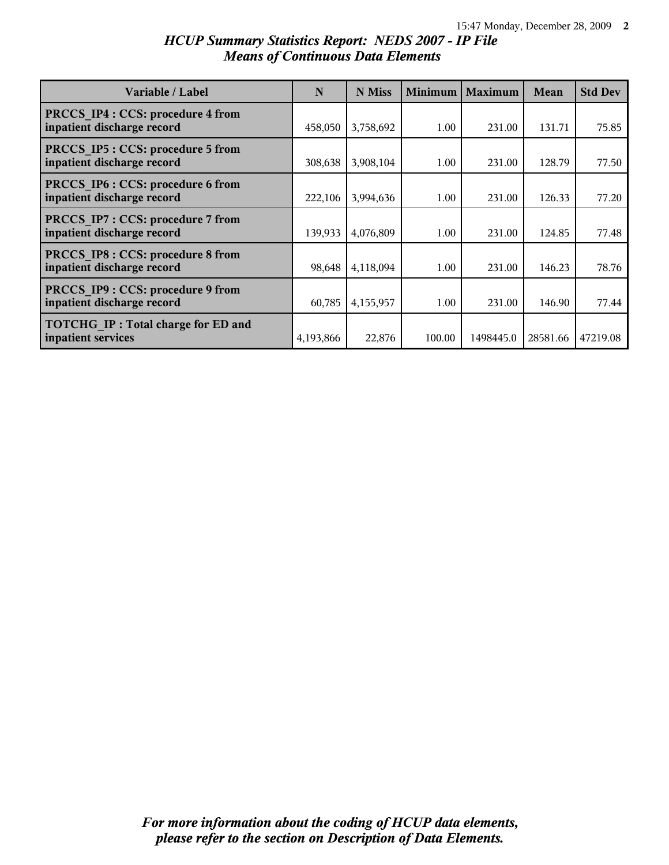## *HCUP Summary Statistics Report: NEDS 2007 - IP File Means of Continuous Data Elements*

| Variable / Label                                                       | N         | N Miss    | <b>Minimum</b> | <b>Maximum</b> | Mean     | <b>Std Dev</b> |
|------------------------------------------------------------------------|-----------|-----------|----------------|----------------|----------|----------------|
| <b>PRCCS IP4: CCS: procedure 4 from</b><br>inpatient discharge record  | 458,050   | 3,758,692 | 1.00           | 231.00         | 131.71   | 75.85          |
| <b>PRCCS IP5: CCS: procedure 5 from</b><br>inpatient discharge record  | 308,638   | 3,908,104 | 1.00           | 231.00         | 128.79   | 77.50          |
| <b>PRCCS IP6 : CCS: procedure 6 from</b><br>inpatient discharge record | 222,106   | 3,994,636 | 1.00           | 231.00         | 126.33   | 77.20          |
| <b>PRCCS IP7: CCS: procedure 7 from</b><br>inpatient discharge record  | 139,933   | 4,076,809 | 1.00           | 231.00         | 124.85   | 77.48          |
| PRCCS IP8 : CCS: procedure 8 from<br>inpatient discharge record        | 98,648    | 4,118,094 | 1.00           | 231.00         | 146.23   | 78.76          |
| PRCCS IP9 : CCS: procedure 9 from<br>inpatient discharge record        | 60,785    | 4,155,957 | 1.00           | 231.00         | 146.90   | 77.44          |
| <b>TOTCHG IP: Total charge for ED and</b><br>inpatient services        | 4,193,866 | 22,876    | 100.00         | 1498445.0      | 28581.66 | 47219.08       |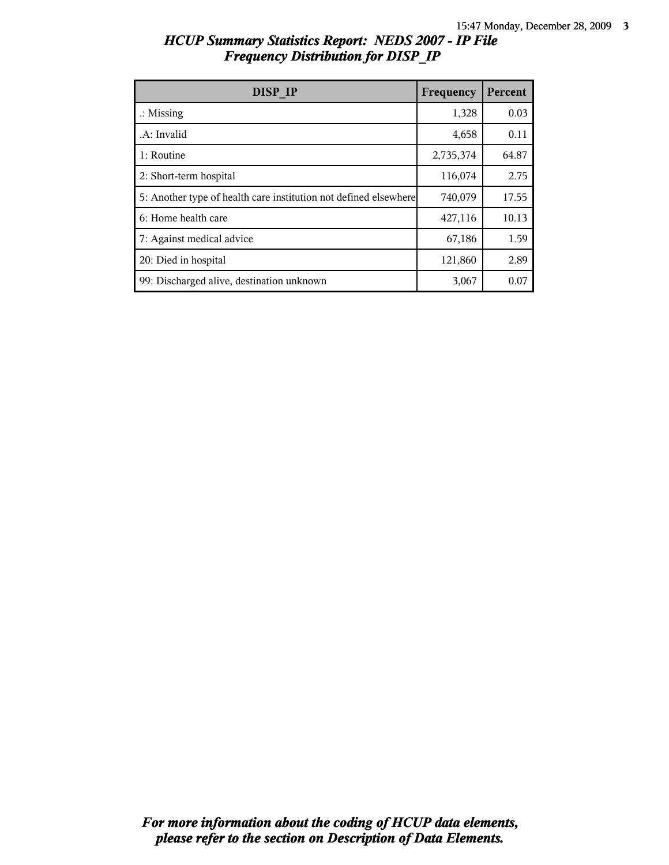| HCUP Summary Statistics Report: NEDS 2007 - IP File |  |
|-----------------------------------------------------|--|
| <b>Frequency Distribution for DISP IP</b>           |  |

| DISP IP                                                          | Frequency | Percent |
|------------------------------------------------------------------|-----------|---------|
| $\therefore$ Missing                                             | 1,328     | 0.03    |
| .A: Invalid                                                      | 4,658     | 0.11    |
| 1: Routine                                                       | 2,735,374 | 64.87   |
| 2: Short-term hospital                                           | 116,074   | 2.75    |
| 5: Another type of health care institution not defined elsewhere | 740,079   | 17.55   |
| 6: Home health care                                              | 427,116   | 10.13   |
| 7: Against medical advice                                        | 67,186    | 1.59    |
| 20: Died in hospital                                             | 121,860   | 2.89    |
| 99: Discharged alive, destination unknown                        | 3,067     | 0.07    |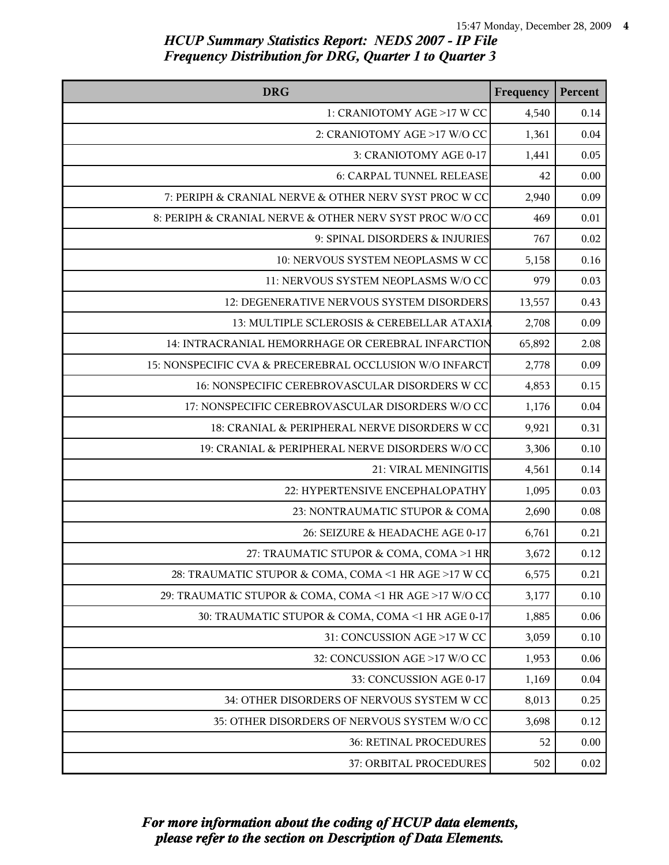| <b>DRG</b>                                              | Frequency | Percent  |
|---------------------------------------------------------|-----------|----------|
| 1: CRANIOTOMY AGE >17 W CC                              | 4,540     | 0.14     |
| 2: CRANIOTOMY AGE >17 W/O CC                            | 1,361     | 0.04     |
| 3: CRANIOTOMY AGE 0-17                                  | 1,441     | 0.05     |
| 6: CARPAL TUNNEL RELEASE                                | 42        | 0.00     |
| 7: PERIPH & CRANIAL NERVE & OTHER NERV SYST PROC W CC   | 2,940     | 0.09     |
| 8: PERIPH & CRANIAL NERVE & OTHER NERV SYST PROC W/O CC | 469       | 0.01     |
| 9: SPINAL DISORDERS & INJURIES                          | 767       | 0.02     |
| 10: NERVOUS SYSTEM NEOPLASMS W CC                       | 5,158     | 0.16     |
| 11: NERVOUS SYSTEM NEOPLASMS W/O CC                     | 979       | 0.03     |
| 12: DEGENERATIVE NERVOUS SYSTEM DISORDERS               | 13,557    | 0.43     |
| 13: MULTIPLE SCLEROSIS & CEREBELLAR ATAXIA              | 2,708     | 0.09     |
| 14: INTRACRANIAL HEMORRHAGE OR CEREBRAL INFARCTION      | 65,892    | 2.08     |
| 15: NONSPECIFIC CVA & PRECEREBRAL OCCLUSION W/O INFARCT | 2,778     | 0.09     |
| 16: NONSPECIFIC CEREBROVASCULAR DISORDERS W CC          | 4,853     | 0.15     |
| 17: NONSPECIFIC CEREBROVASCULAR DISORDERS W/O CC        | 1,176     | 0.04     |
| 18: CRANIAL & PERIPHERAL NERVE DISORDERS W CC           | 9,921     | 0.31     |
| 19: CRANIAL & PERIPHERAL NERVE DISORDERS W/O CC         | 3,306     | 0.10     |
| 21: VIRAL MENINGITIS                                    | 4,561     | 0.14     |
| 22: HYPERTENSIVE ENCEPHALOPATHY                         | 1,095     | 0.03     |
| 23: NONTRAUMATIC STUPOR & COMA                          | 2,690     | 0.08     |
| 26: SEIZURE & HEADACHE AGE 0-17                         | 6,761     | 0.21     |
| 27: TRAUMATIC STUPOR & COMA, COMA >1 HR                 | 3,672     | 0.12     |
| 28: TRAUMATIC STUPOR & COMA, COMA <1 HR AGE >17 W CO    | 6,575     | 0.21     |
| 29: TRAUMATIC STUPOR & COMA, COMA <1 HR AGE >17 W/O CO  | 3,177     | 0.10     |
| 30: TRAUMATIC STUPOR & COMA, COMA <1 HR AGE 0-17        | 1,885     | 0.06     |
| 31: CONCUSSION AGE >17 W CC                             | 3,059     | $0.10\,$ |
| 32: CONCUSSION AGE >17 W/O CC                           | 1,953     | 0.06     |
| 33: CONCUSSION AGE 0-17                                 | 1,169     | 0.04     |
| 34: OTHER DISORDERS OF NERVOUS SYSTEM W CC              | 8,013     | 0.25     |
| 35: OTHER DISORDERS OF NERVOUS SYSTEM W/O CC            | 3,698     | 0.12     |
| 36: RETINAL PROCEDURES                                  | 52        | 0.00     |
| 37: ORBITAL PROCEDURES                                  | 502       | 0.02     |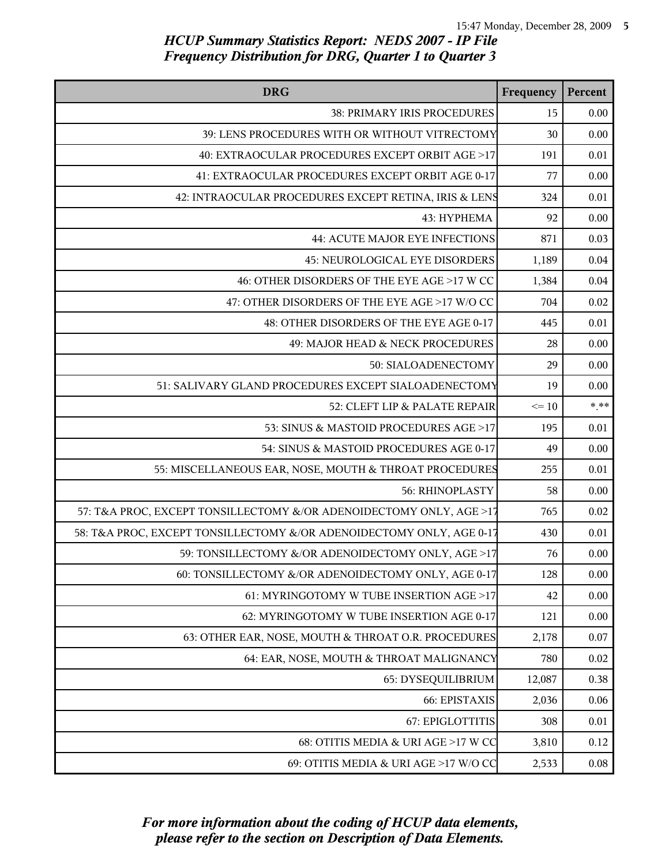| <b>DRG</b>                                                           | Frequency | Percent  |
|----------------------------------------------------------------------|-----------|----------|
| 38: PRIMARY IRIS PROCEDURES                                          | 15        | 0.00     |
| 39: LENS PROCEDURES WITH OR WITHOUT VITRECTOMY                       | 30        | 0.00     |
| 40: EXTRAOCULAR PROCEDURES EXCEPT ORBIT AGE >17                      | 191       | 0.01     |
| 41: EXTRAOCULAR PROCEDURES EXCEPT ORBIT AGE 0-17                     | 77        | 0.00     |
| 42: INTRAOCULAR PROCEDURES EXCEPT RETINA, IRIS & LENS                | 324       | 0.01     |
| 43: HYPHEMA                                                          | 92        | 0.00     |
| 44: ACUTE MAJOR EYE INFECTIONS                                       | 871       | 0.03     |
| <b>45: NEUROLOGICAL EYE DISORDERS</b>                                | 1,189     | 0.04     |
| 46: OTHER DISORDERS OF THE EYE AGE >17 W CC                          | 1,384     | 0.04     |
| 47: OTHER DISORDERS OF THE EYE AGE >17 W/O CC                        | 704       | 0.02     |
| 48: OTHER DISORDERS OF THE EYE AGE 0-17                              | 445       | 0.01     |
| 49: MAJOR HEAD & NECK PROCEDURES                                     | 28        | 0.00     |
| 50: SIALOADENECTOMY                                                  | 29        | 0.00     |
| 51: SALIVARY GLAND PROCEDURES EXCEPT SIALOADENECTOMY                 | 19        | 0.00     |
| 52: CLEFT LIP & PALATE REPAIR                                        | $\leq 10$ | $*$ $**$ |
| 53: SINUS & MASTOID PROCEDURES AGE >17                               | 195       | 0.01     |
| 54: SINUS & MASTOID PROCEDURES AGE 0-17                              | 49        | 0.00     |
| 55: MISCELLANEOUS EAR, NOSE, MOUTH & THROAT PROCEDURES               | 255       | 0.01     |
| 56: RHINOPLASTY                                                      | 58        | 0.00     |
| 57: T&A PROC, EXCEPT TONSILLECTOMY &/OR ADENOIDECTOMY ONLY, AGE >17  | 765       | 0.02     |
| 58: T&A PROC, EXCEPT TONSILLECTOMY &/OR ADENOIDECTOMY ONLY, AGE 0-17 | 430       | 0.01     |
| 59: TONSILLECTOMY &/OR ADENOIDECTOMY ONLY, AGE >17                   | 76        | 0.00     |
| 60: TONSILLECTOMY &/OR ADENOIDECTOMY ONLY, AGE 0-17                  | 128       | 0.00     |
| 61: MYRINGOTOMY W TUBE INSERTION AGE >17                             | 42        | 0.00     |
| 62: MYRINGOTOMY W TUBE INSERTION AGE 0-17                            | 121       | 0.00     |
| 63: OTHER EAR, NOSE, MOUTH & THROAT O.R. PROCEDURES                  | 2,178     | 0.07     |
| 64: EAR, NOSE, MOUTH & THROAT MALIGNANCY                             | 780       | 0.02     |
| 65: DYSEQUILIBRIUM                                                   | 12,087    | 0.38     |
| 66: EPISTAXIS                                                        | 2,036     | 0.06     |
| 67: EPIGLOTTITIS                                                     | 308       | 0.01     |
| 68: OTITIS MEDIA & URI AGE >17 W CC                                  | 3,810     | 0.12     |
| 69: OTITIS MEDIA & URI AGE >17 W/O CC                                | 2,533     | $0.08\,$ |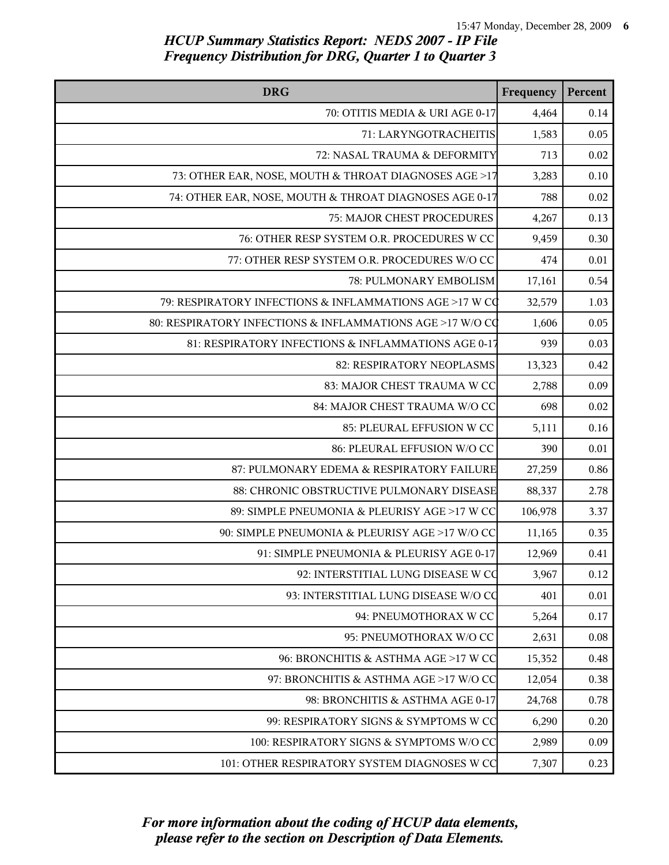| <b>DRG</b>                                                | Frequency | Percent |
|-----------------------------------------------------------|-----------|---------|
| 70: OTITIS MEDIA & URI AGE 0-17                           | 4,464     | 0.14    |
| 71: LARYNGOTRACHEITIS                                     | 1,583     | 0.05    |
| 72: NASAL TRAUMA & DEFORMITY                              | 713       | 0.02    |
| 73: OTHER EAR, NOSE, MOUTH & THROAT DIAGNOSES AGE >17     | 3,283     | 0.10    |
| 74: OTHER EAR, NOSE, MOUTH & THROAT DIAGNOSES AGE 0-17    | 788       | 0.02    |
| 75: MAJOR CHEST PROCEDURES                                | 4,267     | 0.13    |
| 76: OTHER RESP SYSTEM O.R. PROCEDURES W CC                | 9,459     | 0.30    |
| 77: OTHER RESP SYSTEM O.R. PROCEDURES W/O CC              | 474       | 0.01    |
| 78: PULMONARY EMBOLISM                                    | 17,161    | 0.54    |
| 79: RESPIRATORY INFECTIONS & INFLAMMATIONS AGE >17 W CO   | 32,579    | 1.03    |
| 80: RESPIRATORY INFECTIONS & INFLAMMATIONS AGE >17 W/O CO | 1,606     | 0.05    |
| 81: RESPIRATORY INFECTIONS & INFLAMMATIONS AGE 0-17       | 939       | 0.03    |
| 82: RESPIRATORY NEOPLASMS                                 | 13,323    | 0.42    |
| 83: MAJOR CHEST TRAUMA W CC                               | 2,788     | 0.09    |
| 84: MAJOR CHEST TRAUMA W/O CC                             | 698       | 0.02    |
| 85: PLEURAL EFFUSION W CC                                 | 5,111     | 0.16    |
| 86: PLEURAL EFFUSION W/O CC                               | 390       | 0.01    |
| 87: PULMONARY EDEMA & RESPIRATORY FAILURE                 | 27,259    | 0.86    |
| 88: CHRONIC OBSTRUCTIVE PULMONARY DISEASE                 | 88,337    | 2.78    |
| 89: SIMPLE PNEUMONIA & PLEURISY AGE >17 W CC              | 106,978   | 3.37    |
| 90: SIMPLE PNEUMONIA & PLEURISY AGE >17 W/O CC            | 11,165    | 0.35    |
| 91: SIMPLE PNEUMONIA & PLEURISY AGE 0-17                  | 12,969    | 0.41    |
| 92: INTERSTITIAL LUNG DISEASE W CO                        | 3,967     | 0.12    |
| 93: INTERSTITIAL LUNG DISEASE W/O CO                      | 401       | 0.01    |
| 94: PNEUMOTHORAX W CC                                     | 5,264     | 0.17    |
| 95: PNEUMOTHORAX W/O CC                                   | 2,631     | 0.08    |
| 96: BRONCHITIS & ASTHMA AGE >17 W CC                      | 15,352    | 0.48    |
| 97: BRONCHITIS & ASTHMA AGE >17 W/O CC                    | 12,054    | 0.38    |
| 98: BRONCHITIS & ASTHMA AGE 0-17                          | 24,768    | 0.78    |
| 99: RESPIRATORY SIGNS & SYMPTOMS W CC                     | 6,290     | 0.20    |
| 100: RESPIRATORY SIGNS & SYMPTOMS W/O CC                  | 2,989     | 0.09    |
| 101: OTHER RESPIRATORY SYSTEM DIAGNOSES W CC              | 7,307     | 0.23    |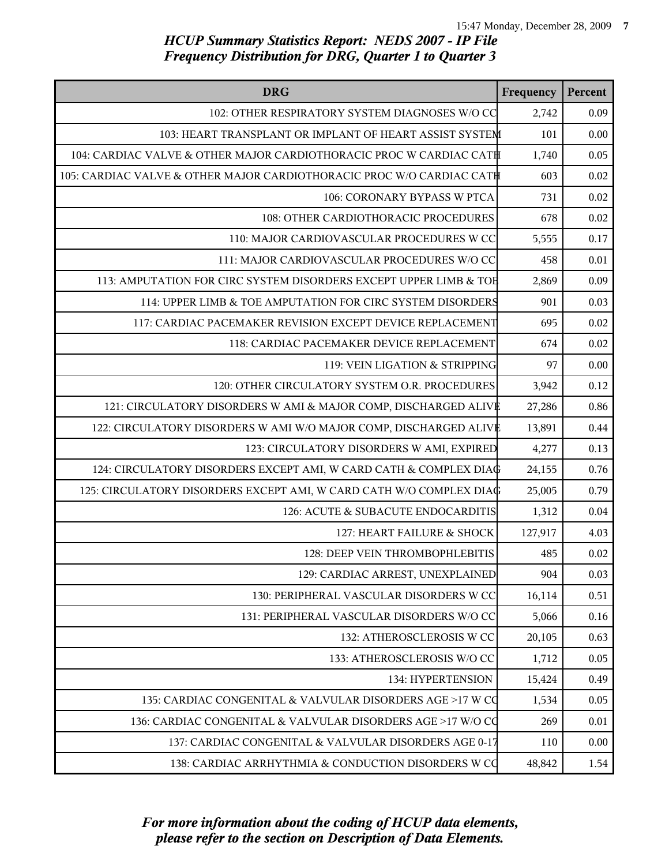| <b>DRG</b>                                                            | Frequency | Percent |
|-----------------------------------------------------------------------|-----------|---------|
| 102: OTHER RESPIRATORY SYSTEM DIAGNOSES W/O CC                        | 2,742     | 0.09    |
| 103: HEART TRANSPLANT OR IMPLANT OF HEART ASSIST SYSTEM               | 101       | 0.00    |
| 104: CARDIAC VALVE & OTHER MAJOR CARDIOTHORACIC PROC W CARDIAC CATH   | 1,740     | 0.05    |
| 105: CARDIAC VALVE & OTHER MAJOR CARDIOTHORACIC PROC W/O CARDIAC CAT# | 603       | 0.02    |
| 106: CORONARY BYPASS W PTCA                                           | 731       | 0.02    |
| 108: OTHER CARDIOTHORACIC PROCEDURES                                  | 678       | 0.02    |
| 110: MAJOR CARDIOVASCULAR PROCEDURES W CC                             | 5,555     | 0.17    |
| 111: MAJOR CARDIOVASCULAR PROCEDURES W/O CC                           | 458       | 0.01    |
| 113: AMPUTATION FOR CIRC SYSTEM DISORDERS EXCEPT UPPER LIMB & TOE     | 2,869     | 0.09    |
| 114: UPPER LIMB & TOE AMPUTATION FOR CIRC SYSTEM DISORDERS            | 901       | 0.03    |
| 117: CARDIAC PACEMAKER REVISION EXCEPT DEVICE REPLACEMENT             | 695       | 0.02    |
| 118: CARDIAC PACEMAKER DEVICE REPLACEMENT                             | 674       | 0.02    |
| 119: VEIN LIGATION & STRIPPING                                        | 97        | 0.00    |
| 120: OTHER CIRCULATORY SYSTEM O.R. PROCEDURES                         | 3,942     | 0.12    |
| 121: CIRCULATORY DISORDERS W AMI & MAJOR COMP, DISCHARGED ALIVE       | 27,286    | 0.86    |
| 122: CIRCULATORY DISORDERS W AMI W/O MAJOR COMP, DISCHARGED ALIVE     | 13,891    | 0.44    |
| 123: CIRCULATORY DISORDERS W AMI, EXPIRED                             | 4,277     | 0.13    |
| 124: CIRCULATORY DISORDERS EXCEPT AMI, W CARD CATH & COMPLEX DIAG     | 24,155    | 0.76    |
| 125: CIRCULATORY DISORDERS EXCEPT AMI, W CARD CATH W/O COMPLEX DIAG   | 25,005    | 0.79    |
| 126: ACUTE & SUBACUTE ENDOCARDITIS                                    | 1,312     | 0.04    |
| 127: HEART FAILURE & SHOCK                                            | 127,917   | 4.03    |
| 128: DEEP VEIN THROMBOPHLEBITIS                                       | 485       | 0.02    |
| 129: CARDIAC ARREST, UNEXPLAINED                                      | 904       | 0.03    |
| 130: PERIPHERAL VASCULAR DISORDERS W CC                               | 16,114    | 0.51    |
| 131: PERIPHERAL VASCULAR DISORDERS W/O CC                             | 5,066     | 0.16    |
| 132: ATHEROSCLEROSIS W CC                                             | 20,105    | 0.63    |
| 133: ATHEROSCLEROSIS W/O CC                                           | 1,712     | 0.05    |
| 134: HYPERTENSION                                                     | 15,424    | 0.49    |
| 135: CARDIAC CONGENITAL & VALVULAR DISORDERS AGE >17 W CO             | 1,534     | 0.05    |
| 136: CARDIAC CONGENITAL & VALVULAR DISORDERS AGE >17 W/O CO           | 269       | 0.01    |
| 137: CARDIAC CONGENITAL & VALVULAR DISORDERS AGE 0-17                 | 110       | 0.00    |
| 138: CARDIAC ARRHYTHMIA & CONDUCTION DISORDERS W CO                   | 48,842    | 1.54    |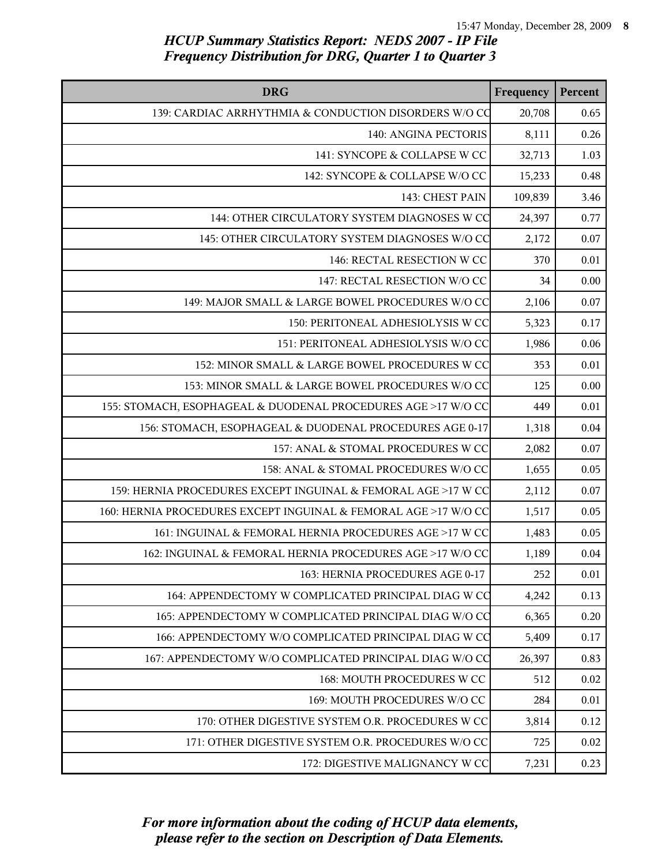| <b>DRG</b>                                                      | Frequency | Percent |
|-----------------------------------------------------------------|-----------|---------|
| 139: CARDIAC ARRHYTHMIA & CONDUCTION DISORDERS W/O CO           | 20,708    | 0.65    |
| 140: ANGINA PECTORIS                                            | 8,111     | 0.26    |
| 141: SYNCOPE & COLLAPSE W CC                                    | 32,713    | 1.03    |
| 142: SYNCOPE & COLLAPSE W/O CC                                  | 15,233    | 0.48    |
| 143: CHEST PAIN                                                 | 109,839   | 3.46    |
| 144: OTHER CIRCULATORY SYSTEM DIAGNOSES W CC                    | 24,397    | 0.77    |
| 145: OTHER CIRCULATORY SYSTEM DIAGNOSES W/O CC                  | 2,172     | 0.07    |
| 146: RECTAL RESECTION W CC                                      | 370       | 0.01    |
| 147: RECTAL RESECTION W/O CC                                    | 34        | 0.00    |
| 149: MAJOR SMALL & LARGE BOWEL PROCEDURES W/O CC                | 2,106     | 0.07    |
| 150: PERITONEAL ADHESIOLYSIS W CC                               | 5,323     | 0.17    |
| 151: PERITONEAL ADHESIOLYSIS W/O CC                             | 1,986     | 0.06    |
| 152: MINOR SMALL & LARGE BOWEL PROCEDURES W CC                  | 353       | 0.01    |
| 153: MINOR SMALL & LARGE BOWEL PROCEDURES W/O CC                | 125       | 0.00    |
| 155: STOMACH, ESOPHAGEAL & DUODENAL PROCEDURES AGE >17 W/O CC   | 449       | 0.01    |
| 156: STOMACH, ESOPHAGEAL & DUODENAL PROCEDURES AGE 0-17         | 1,318     | 0.04    |
| 157: ANAL & STOMAL PROCEDURES W CC                              | 2,082     | 0.07    |
| 158: ANAL & STOMAL PROCEDURES W/O CC                            | 1,655     | 0.05    |
| 159: HERNIA PROCEDURES EXCEPT INGUINAL & FEMORAL AGE >17 W CC   | 2,112     | 0.07    |
| 160: HERNIA PROCEDURES EXCEPT INGUINAL & FEMORAL AGE >17 W/O CC | 1,517     | 0.05    |
| 161: INGUINAL & FEMORAL HERNIA PROCEDURES AGE >17 W CC          | 1,483     | 0.05    |
| 162: INGUINAL & FEMORAL HERNIA PROCEDURES AGE >17 W/O CC        | 1,189     | 0.04    |
| 163: HERNIA PROCEDURES AGE 0-17                                 | 252       | 0.01    |
| 164: APPENDECTOMY W COMPLICATED PRINCIPAL DIAG W CO             | 4,242     | 0.13    |
| 165: APPENDECTOMY W COMPLICATED PRINCIPAL DIAG W/O CO           | 6,365     | 0.20    |
| 166: APPENDECTOMY W/O COMPLICATED PRINCIPAL DIAG W CO           | 5,409     | 0.17    |
| 167: APPENDECTOMY W/O COMPLICATED PRINCIPAL DIAG W/O CO         | 26,397    | 0.83    |
| 168: MOUTH PROCEDURES W CC                                      | 512       | 0.02    |
| 169: MOUTH PROCEDURES W/O CC                                    | 284       | 0.01    |
| 170: OTHER DIGESTIVE SYSTEM O.R. PROCEDURES W CC                | 3,814     | 0.12    |
| 171: OTHER DIGESTIVE SYSTEM O.R. PROCEDURES W/O CC              | 725       | 0.02    |
| 172: DIGESTIVE MALIGNANCY W CC                                  | 7,231     | 0.23    |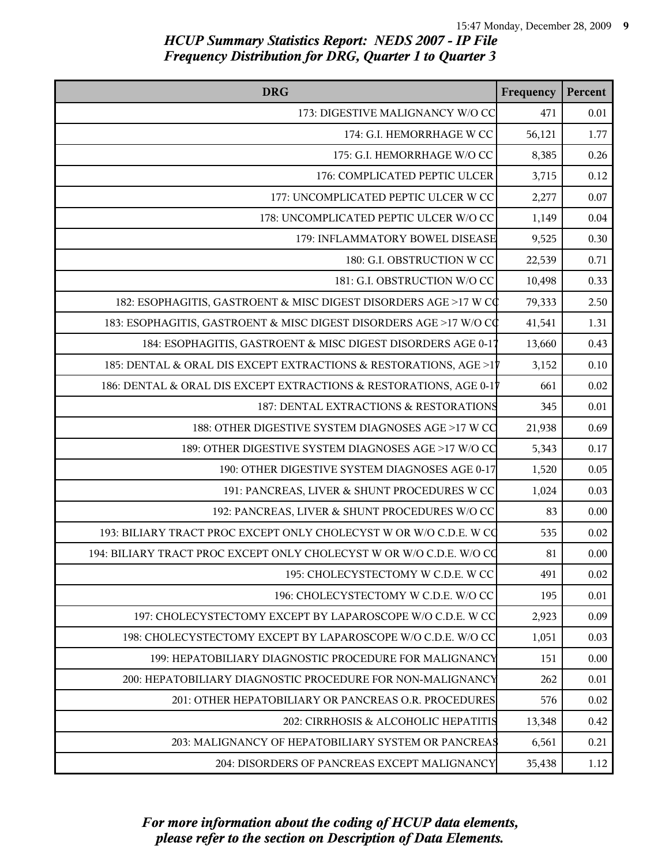| <b>DRG</b>                                                           | Frequency | Percent  |
|----------------------------------------------------------------------|-----------|----------|
| 173: DIGESTIVE MALIGNANCY W/O CC                                     | 471       | 0.01     |
| 174: G.I. HEMORRHAGE W CC                                            | 56,121    | 1.77     |
| 175: G.I. HEMORRHAGE W/O CC                                          | 8,385     | 0.26     |
| 176: COMPLICATED PEPTIC ULCER                                        | 3,715     | 0.12     |
| 177: UNCOMPLICATED PEPTIC ULCER W CC                                 | 2,277     | 0.07     |
| 178: UNCOMPLICATED PEPTIC ULCER W/O CC                               | 1,149     | $0.04\,$ |
| 179: INFLAMMATORY BOWEL DISEASE                                      | 9,525     | 0.30     |
| 180: G.I. OBSTRUCTION W CC                                           | 22,539    | 0.71     |
| 181: G.I. OBSTRUCTION W/O CC                                         | 10,498    | 0.33     |
| 182: ESOPHAGITIS, GASTROENT & MISC DIGEST DISORDERS AGE >17 W CC     | 79,333    | 2.50     |
| 183: ESOPHAGITIS, GASTROENT & MISC DIGEST DISORDERS AGE >17 W/O CO   | 41,541    | 1.31     |
| 184: ESOPHAGITIS, GASTROENT & MISC DIGEST DISORDERS AGE 0-17         | 13,660    | 0.43     |
| 185: DENTAL & ORAL DIS EXCEPT EXTRACTIONS & RESTORATIONS, AGE >17    | 3,152     | 0.10     |
| 186: DENTAL & ORAL DIS EXCEPT EXTRACTIONS & RESTORATIONS, AGE 0-17   | 661       | 0.02     |
| 187: DENTAL EXTRACTIONS & RESTORATIONS                               | 345       | 0.01     |
| 188: OTHER DIGESTIVE SYSTEM DIAGNOSES AGE >17 W CC                   | 21,938    | 0.69     |
| 189: OTHER DIGESTIVE SYSTEM DIAGNOSES AGE >17 W/O CC                 | 5,343     | 0.17     |
| 190: OTHER DIGESTIVE SYSTEM DIAGNOSES AGE 0-17                       | 1,520     | 0.05     |
| 191: PANCREAS, LIVER & SHUNT PROCEDURES W CC                         | 1,024     | 0.03     |
| 192: PANCREAS, LIVER & SHUNT PROCEDURES W/O CC                       | 83        | $0.00\,$ |
| 193: BILIARY TRACT PROC EXCEPT ONLY CHOLECYST W OR W/O C.D.E. W CO   | 535       | 0.02     |
| 194: BILIARY TRACT PROC EXCEPT ONLY CHOLECYST W OR W/O C.D.E. W/O CO | 81        | 0.00     |
| 195: CHOLECYSTECTOMY W C.D.E. W CC                                   | 491       | 0.02     |
| 196: CHOLECYSTECTOMY W C.D.E. W/O CC                                 | 195       | 0.01     |
| 197: CHOLECYSTECTOMY EXCEPT BY LAPAROSCOPE W/O C.D.E. W CC           | 2,923     | 0.09     |
| 198: CHOLECYSTECTOMY EXCEPT BY LAPAROSCOPE W/O C.D.E. W/O CC         | 1,051     | 0.03     |
| 199: HEPATOBILIARY DIAGNOSTIC PROCEDURE FOR MALIGNANCY               | 151       | 0.00     |
| 200: HEPATOBILIARY DIAGNOSTIC PROCEDURE FOR NON-MALIGNANCY           | 262       | 0.01     |
| 201: OTHER HEPATOBILIARY OR PANCREAS O.R. PROCEDURES                 | 576       | 0.02     |
| 202: CIRRHOSIS & ALCOHOLIC HEPATITIS                                 | 13,348    | 0.42     |
| 203: MALIGNANCY OF HEPATOBILIARY SYSTEM OR PANCREAS                  | 6,561     | 0.21     |
| 204: DISORDERS OF PANCREAS EXCEPT MALIGNANCY                         | 35,438    | 1.12     |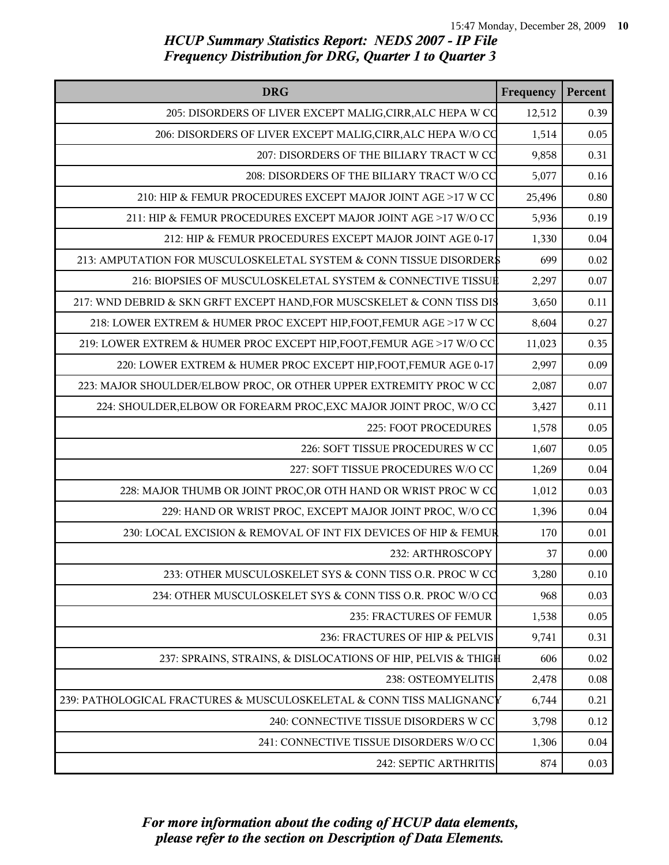| <b>DRG</b>                                                             | Frequency | Percent |
|------------------------------------------------------------------------|-----------|---------|
| 205: DISORDERS OF LIVER EXCEPT MALIG, CIRR, ALC HEPA W CC              | 12,512    | 0.39    |
| 206: DISORDERS OF LIVER EXCEPT MALIG, CIRR, ALC HEPA W/O CO            | 1,514     | 0.05    |
| 207: DISORDERS OF THE BILIARY TRACT W CC                               | 9,858     | 0.31    |
| 208: DISORDERS OF THE BILIARY TRACT W/O CC                             | 5,077     | 0.16    |
| 210: HIP & FEMUR PROCEDURES EXCEPT MAJOR JOINT AGE >17 W CC            | 25,496    | 0.80    |
| 211: HIP & FEMUR PROCEDURES EXCEPT MAJOR JOINT AGE >17 W/O CC          | 5,936     | 0.19    |
| 212: HIP & FEMUR PROCEDURES EXCEPT MAJOR JOINT AGE 0-17                | 1,330     | 0.04    |
| 213: AMPUTATION FOR MUSCULOSKELETAL SYSTEM & CONN TISSUE DISORDER\$    | 699       | 0.02    |
| 216: BIOPSIES OF MUSCULOSKELETAL SYSTEM & CONNECTIVE TISSUE            | 2,297     | 0.07    |
| 217: WND DEBRID & SKN GRFT EXCEPT HAND, FOR MUSCSKELET & CONN TISS DIS | 3,650     | 0.11    |
| 218: LOWER EXTREM & HUMER PROC EXCEPT HIP, FOOT, FEMUR AGE >17 W CC    | 8,604     | 0.27    |
| 219: LOWER EXTREM & HUMER PROC EXCEPT HIP, FOOT, FEMUR AGE >17 W/O CC  | 11,023    | 0.35    |
| 220: LOWER EXTREM & HUMER PROC EXCEPT HIP, FOOT, FEMUR AGE 0-17        | 2,997     | 0.09    |
| 223: MAJOR SHOULDER/ELBOW PROC, OR OTHER UPPER EXTREMITY PROC W CC     | 2,087     | 0.07    |
| 224: SHOULDER, ELBOW OR FOREARM PROC, EXC MAJOR JOINT PROC, W/O CC     | 3,427     | 0.11    |
| 225: FOOT PROCEDURES                                                   | 1,578     | 0.05    |
| 226: SOFT TISSUE PROCEDURES W CC                                       | 1,607     | 0.05    |
| 227: SOFT TISSUE PROCEDURES W/O CC                                     | 1,269     | 0.04    |
| 228: MAJOR THUMB OR JOINT PROC, OR OTH HAND OR WRIST PROC W CO         | 1,012     | 0.03    |
| 229: HAND OR WRIST PROC, EXCEPT MAJOR JOINT PROC, W/O CC               | 1,396     | 0.04    |
| 230: LOCAL EXCISION & REMOVAL OF INT FIX DEVICES OF HIP & FEMUR        | 170       | 0.01    |
| 232: ARTHROSCOPY                                                       | 37        | 0.00    |
| 233: OTHER MUSCULOSKELET SYS & CONN TISS O.R. PROC W CC                | 3,280     | 0.10    |
| 234: OTHER MUSCULOSKELET SYS & CONN TISS O.R. PROC W/O CC              | 968       | 0.03    |
| 235: FRACTURES OF FEMUR                                                | 1,538     | 0.05    |
| 236: FRACTURES OF HIP & PELVIS                                         | 9,741     | 0.31    |
| 237: SPRAINS, STRAINS, & DISLOCATIONS OF HIP, PELVIS & THIG#           | 606       | 0.02    |
| 238: OSTEOMYELITIS                                                     | 2,478     | 0.08    |
| 239: PATHOLOGICAL FRACTURES & MUSCULOSKELETAL & CONN TISS MALIGNANCY   | 6,744     | 0.21    |
| 240: CONNECTIVE TISSUE DISORDERS W CC                                  | 3,798     | 0.12    |
| 241: CONNECTIVE TISSUE DISORDERS W/O CC                                | 1,306     | 0.04    |
| 242: SEPTIC ARTHRITIS                                                  | 874       | 0.03    |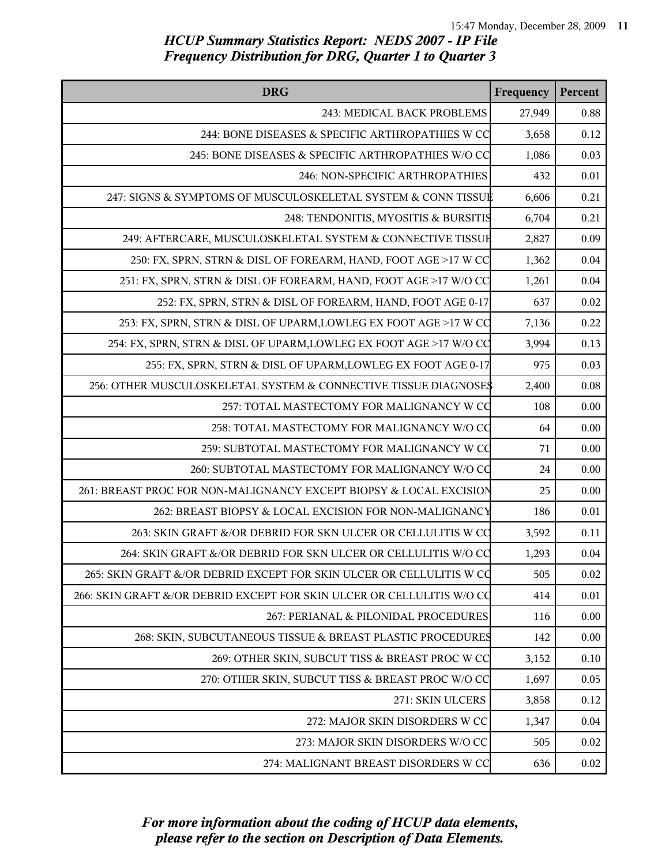| <b>DRG</b>                                                             | Frequency | Percent |
|------------------------------------------------------------------------|-----------|---------|
| 243: MEDICAL BACK PROBLEMS                                             | 27,949    | 0.88    |
| 244: BONE DISEASES & SPECIFIC ARTHROPATHIES W CO                       | 3,658     | 0.12    |
| 245: BONE DISEASES & SPECIFIC ARTHROPATHIES W/O CC                     | 1,086     | 0.03    |
| 246: NON-SPECIFIC ARTHROPATHIES                                        | 432       | 0.01    |
| 247: SIGNS & SYMPTOMS OF MUSCULOSKELETAL SYSTEM & CONN TISSUE          | 6,606     | 0.21    |
| 248: TENDONITIS, MYOSITIS & BURSITIS                                   | 6,704     | 0.21    |
| 249: AFTERCARE, MUSCULOSKELETAL SYSTEM & CONNECTIVE TISSUE             | 2,827     | 0.09    |
| 250: FX, SPRN, STRN & DISL OF FOREARM, HAND, FOOT AGE >17 W CC         | 1,362     | 0.04    |
| 251: FX, SPRN, STRN & DISL OF FOREARM, HAND, FOOT AGE >17 W/O CC       | 1,261     | 0.04    |
| 252: FX, SPRN, STRN & DISL OF FOREARM, HAND, FOOT AGE 0-17             | 637       | 0.02    |
| 253: FX, SPRN, STRN & DISL OF UPARM, LOWLEG EX FOOT AGE >17 W CO       | 7,136     | 0.22    |
| 254: FX, SPRN, STRN & DISL OF UPARM, LOWLEG EX FOOT AGE >17 W/O CO     | 3,994     | 0.13    |
| 255: FX, SPRN, STRN & DISL OF UPARM, LOWLEG EX FOOT AGE 0-17           | 975       | 0.03    |
| 256: OTHER MUSCULOSKELETAL SYSTEM & CONNECTIVE TISSUE DIAGNOSE\$       | 2,400     | 0.08    |
| 257: TOTAL MASTECTOMY FOR MALIGNANCY W CO                              | 108       | 0.00    |
| 258: TOTAL MASTECTOMY FOR MALIGNANCY W/O CO                            | 64        | 0.00    |
| 259: SUBTOTAL MASTECTOMY FOR MALIGNANCY W CO                           | 71        | 0.00    |
| 260: SUBTOTAL MASTECTOMY FOR MALIGNANCY W/O CO                         | 24        | 0.00    |
| 261: BREAST PROC FOR NON-MALIGNANCY EXCEPT BIOPSY & LOCAL EXCISION     | 25        | 0.00    |
| 262: BREAST BIOPSY & LOCAL EXCISION FOR NON-MALIGNANCY                 | 186       | 0.01    |
| 263: SKIN GRAFT &/OR DEBRID FOR SKN ULCER OR CELLULITIS W CO           | 3,592     | 0.11    |
| 264: SKIN GRAFT &/OR DEBRID FOR SKN ULCER OR CELLULITIS W/O CQ         | 1,293     | 0.04    |
| 265: SKIN GRAFT &/OR DEBRID EXCEPT FOR SKIN ULCER OR CELLULITIS W CO   | 505       | 0.02    |
| 266: SKIN GRAFT &/OR DEBRID EXCEPT FOR SKIN ULCER OR CELLULITIS W/O CO | 414       | 0.01    |
| 267: PERIANAL & PILONIDAL PROCEDURES                                   | 116       | 0.00    |
| 268: SKIN, SUBCUTANEOUS TISSUE & BREAST PLASTIC PROCEDURES             | 142       | 0.00    |
| 269: OTHER SKIN, SUBCUT TISS & BREAST PROC W CC                        | 3,152     | 0.10    |
| 270: OTHER SKIN, SUBCUT TISS & BREAST PROC W/O CC                      | 1,697     | 0.05    |
| 271: SKIN ULCERS                                                       | 3,858     | 0.12    |
| 272: MAJOR SKIN DISORDERS W CC                                         | 1,347     | 0.04    |
| 273: MAJOR SKIN DISORDERS W/O CC                                       | 505       | 0.02    |
| 274: MALIGNANT BREAST DISORDERS W CC                                   | 636       | 0.02    |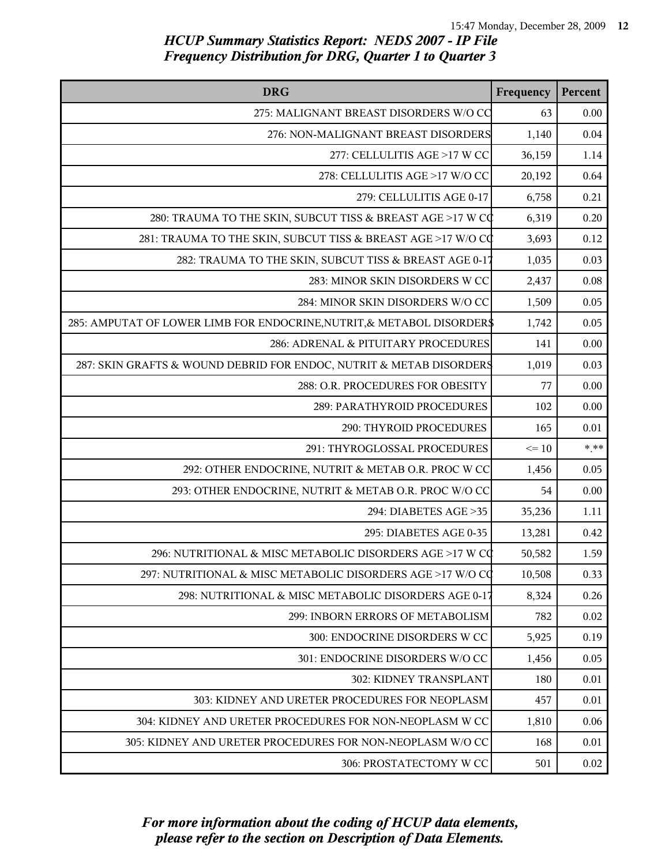| <b>DRG</b>                                                             | Frequency | Percent  |
|------------------------------------------------------------------------|-----------|----------|
| 275: MALIGNANT BREAST DISORDERS W/O CC                                 | 63        | 0.00     |
| 276: NON-MALIGNANT BREAST DISORDERS                                    | 1,140     | 0.04     |
| 277: CELLULITIS AGE >17 W CC                                           | 36,159    | 1.14     |
| 278: CELLULITIS AGE >17 W/O CC                                         | 20,192    | 0.64     |
| 279: CELLULITIS AGE 0-17                                               | 6,758     | 0.21     |
| 280: TRAUMA TO THE SKIN, SUBCUT TISS & BREAST AGE >17 W CO             | 6,319     | 0.20     |
| 281: TRAUMA TO THE SKIN, SUBCUT TISS & BREAST AGE >17 W/O CO           | 3,693     | 0.12     |
| 282: TRAUMA TO THE SKIN, SUBCUT TISS & BREAST AGE 0-17                 | 1,035     | 0.03     |
| 283: MINOR SKIN DISORDERS W CC                                         | 2,437     | 0.08     |
| 284: MINOR SKIN DISORDERS W/O CC                                       | 1,509     | 0.05     |
| 285: AMPUTAT OF LOWER LIMB FOR ENDOCRINE, NUTRIT, & METABOL DISORDER\$ | 1,742     | 0.05     |
| 286: ADRENAL & PITUITARY PROCEDURES                                    | 141       | 0.00     |
| 287: SKIN GRAFTS & WOUND DEBRID FOR ENDOC, NUTRIT & METAB DISORDERS    | 1,019     | 0.03     |
| 288: O.R. PROCEDURES FOR OBESITY                                       | 77        | 0.00     |
| 289: PARATHYROID PROCEDURES                                            | 102       | 0.00     |
| 290: THYROID PROCEDURES                                                | 165       | 0.01     |
| 291: THYROGLOSSAL PROCEDURES                                           | $\leq 10$ | $*$ $**$ |
| 292: OTHER ENDOCRINE, NUTRIT & METAB O.R. PROC W CC                    | 1,456     | 0.05     |
| 293: OTHER ENDOCRINE, NUTRIT & METAB O.R. PROC W/O CC                  | 54        | 0.00     |
| 294: DIABETES AGE > 35                                                 | 35,236    | 1.11     |
| 295: DIABETES AGE 0-35                                                 | 13,281    | 0.42     |
| 296: NUTRITIONAL & MISC METABOLIC DISORDERS AGE >17 W CQ               | 50,582    | 1.59     |
| 297: NUTRITIONAL & MISC METABOLIC DISORDERS AGE >17 W/O CQ             | 10,508    | 0.33     |
| 298: NUTRITIONAL & MISC METABOLIC DISORDERS AGE 0-17                   | 8,324     | 0.26     |
| 299: INBORN ERRORS OF METABOLISM                                       | 782       | 0.02     |
| 300: ENDOCRINE DISORDERS W CC                                          | 5,925     | 0.19     |
| 301: ENDOCRINE DISORDERS W/O CC                                        | 1,456     | 0.05     |
| 302: KIDNEY TRANSPLANT                                                 | 180       | 0.01     |
| 303: KIDNEY AND URETER PROCEDURES FOR NEOPLASM                         | 457       | 0.01     |
| 304: KIDNEY AND URETER PROCEDURES FOR NON-NEOPLASM W CC                | 1,810     | 0.06     |
| 305: KIDNEY AND URETER PROCEDURES FOR NON-NEOPLASM W/O CC              | 168       | 0.01     |
| 306: PROSTATECTOMY W CC                                                | 501       | 0.02     |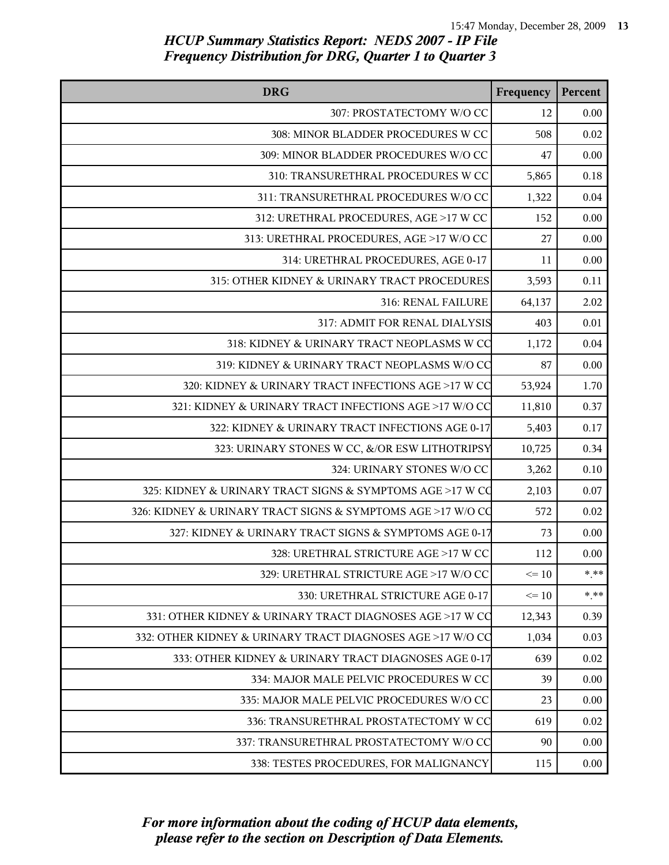| <b>DRG</b>                                                  | Frequency | Percent  |
|-------------------------------------------------------------|-----------|----------|
| 307: PROSTATECTOMY W/O CC                                   | 12        | 0.00     |
| 308: MINOR BLADDER PROCEDURES W CC                          | 508       | 0.02     |
| 309: MINOR BLADDER PROCEDURES W/O CC                        | 47        | 0.00     |
| 310: TRANSURETHRAL PROCEDURES W CC                          | 5,865     | 0.18     |
| 311: TRANSURETHRAL PROCEDURES W/O CC                        | 1,322     | 0.04     |
| 312: URETHRAL PROCEDURES, AGE >17 W CC                      | 152       | 0.00     |
| 313: URETHRAL PROCEDURES, AGE >17 W/O CC                    | 27        | 0.00     |
| 314: URETHRAL PROCEDURES, AGE 0-17                          | 11        | 0.00     |
| 315: OTHER KIDNEY & URINARY TRACT PROCEDURES                | 3,593     | 0.11     |
| 316: RENAL FAILURE                                          | 64,137    | 2.02     |
| 317: ADMIT FOR RENAL DIALYSIS                               | 403       | $0.01\,$ |
| 318: KIDNEY & URINARY TRACT NEOPLASMS W CC                  | 1,172     | 0.04     |
| 319: KIDNEY & URINARY TRACT NEOPLASMS W/O CC                | 87        | 0.00     |
| 320: KIDNEY & URINARY TRACT INFECTIONS AGE >17 W CC         | 53,924    | 1.70     |
| 321: KIDNEY & URINARY TRACT INFECTIONS AGE >17 W/O CC       | 11,810    | 0.37     |
| 322: KIDNEY & URINARY TRACT INFECTIONS AGE 0-17             | 5,403     | 0.17     |
| 323: URINARY STONES W CC, &/OR ESW LITHOTRIPSY              | 10,725    | 0.34     |
| 324: URINARY STONES W/O CC                                  | 3,262     | 0.10     |
| 325: KIDNEY & URINARY TRACT SIGNS & SYMPTOMS AGE >17 W CO   | 2,103     | 0.07     |
| 326: KIDNEY & URINARY TRACT SIGNS & SYMPTOMS AGE >17 W/O CO | 572       | 0.02     |
| 327: KIDNEY & URINARY TRACT SIGNS & SYMPTOMS AGE 0-17       | 73        | $0.00\,$ |
| 328: URETHRAL STRICTURE AGE >17 W CC                        | 112       | 0.00     |
| 329: URETHRAL STRICTURE AGE >17 W/O CC                      | $\leq 10$ | $***$    |
| 330: URETHRAL STRICTURE AGE 0-17                            | $\leq 10$ | $* * *$  |
| 331: OTHER KIDNEY & URINARY TRACT DIAGNOSES AGE >17 W CC    | 12,343    | 0.39     |
| 332: OTHER KIDNEY & URINARY TRACT DIAGNOSES AGE >17 W/O CC  | 1,034     | 0.03     |
| 333: OTHER KIDNEY & URINARY TRACT DIAGNOSES AGE 0-17        | 639       | 0.02     |
| 334: MAJOR MALE PELVIC PROCEDURES W CC                      | 39        | 0.00     |
| 335: MAJOR MALE PELVIC PROCEDURES W/O CC                    | 23        | 0.00     |
| 336: TRANSURETHRAL PROSTATECTOMY W CC                       | 619       | 0.02     |
| 337: TRANSURETHRAL PROSTATECTOMY W/O CC                     | 90        | 0.00     |
| 338: TESTES PROCEDURES, FOR MALIGNANCY                      | 115       | 0.00     |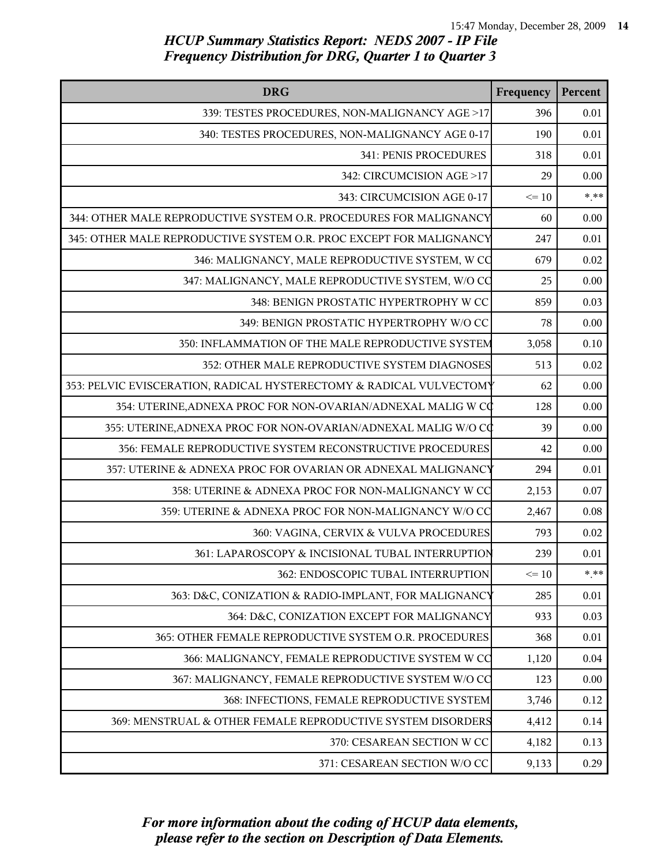| <b>DRG</b>                                                          | Frequency | Percent |
|---------------------------------------------------------------------|-----------|---------|
| 339: TESTES PROCEDURES, NON-MALIGNANCY AGE >17                      | 396       | 0.01    |
| 340: TESTES PROCEDURES, NON-MALIGNANCY AGE 0-17                     | 190       | 0.01    |
| 341: PENIS PROCEDURES                                               | 318       | 0.01    |
| 342: CIRCUMCISION AGE >17                                           | 29        | 0.00    |
| 343: CIRCUMCISION AGE 0-17                                          | $\leq 10$ | $*.**$  |
| 344: OTHER MALE REPRODUCTIVE SYSTEM O.R. PROCEDURES FOR MALIGNANCY  | 60        | 0.00    |
| 345: OTHER MALE REPRODUCTIVE SYSTEM O.R. PROC EXCEPT FOR MALIGNANCY | 247       | 0.01    |
| 346: MALIGNANCY, MALE REPRODUCTIVE SYSTEM, W CO                     | 679       | 0.02    |
| 347: MALIGNANCY, MALE REPRODUCTIVE SYSTEM, W/O CO                   | 25        | 0.00    |
| 348: BENIGN PROSTATIC HYPERTROPHY W CC                              | 859       | 0.03    |
| 349: BENIGN PROSTATIC HYPERTROPHY W/O CC                            | 78        | 0.00    |
| 350: INFLAMMATION OF THE MALE REPRODUCTIVE SYSTEM                   | 3,058     | 0.10    |
| 352: OTHER MALE REPRODUCTIVE SYSTEM DIAGNOSES                       | 513       | 0.02    |
| 353: PELVIC EVISCERATION, RADICAL HYSTERECTOMY & RADICAL VULVECTOMY | 62        | 0.00    |
| 354: UTERINE, ADNEXA PROC FOR NON-OVARIAN/ADNEXAL MALIG W CO        | 128       | 0.00    |
| 355: UTERINE, ADNEXA PROC FOR NON-OVARIAN/ADNEXAL MALIG W/O CO      | 39        | 0.00    |
| 356: FEMALE REPRODUCTIVE SYSTEM RECONSTRUCTIVE PROCEDURES           | 42        | 0.00    |
| 357: UTERINE & ADNEXA PROC FOR OVARIAN OR ADNEXAL MALIGNANCY        | 294       | 0.01    |
| 358: UTERINE & ADNEXA PROC FOR NON-MALIGNANCY W CC                  | 2,153     | 0.07    |
| 359: UTERINE & ADNEXA PROC FOR NON-MALIGNANCY W/O CC                | 2,467     | 0.08    |
| 360: VAGINA, CERVIX & VULVA PROCEDURES                              | 793       | 0.02    |
| 361: LAPAROSCOPY & INCISIONAL TUBAL INTERRUPTION                    | 239       | 0.01    |
| 362: ENDOSCOPIC TUBAL INTERRUPTION                                  | $\leq 10$ | $*$ **  |
| 363: D&C, CONIZATION & RADIO-IMPLANT, FOR MALIGNANCY                | 285       | 0.01    |
| 364: D&C, CONIZATION EXCEPT FOR MALIGNANCY                          | 933       | 0.03    |
| 365: OTHER FEMALE REPRODUCTIVE SYSTEM O.R. PROCEDURES               | 368       | 0.01    |
| 366: MALIGNANCY, FEMALE REPRODUCTIVE SYSTEM W CC                    | 1,120     | 0.04    |
| 367: MALIGNANCY, FEMALE REPRODUCTIVE SYSTEM W/O CC                  | 123       | 0.00    |
| 368: INFECTIONS, FEMALE REPRODUCTIVE SYSTEM                         | 3,746     | 0.12    |
| 369: MENSTRUAL & OTHER FEMALE REPRODUCTIVE SYSTEM DISORDERS         | 4,412     | 0.14    |
| 370: CESAREAN SECTION W CC                                          | 4,182     | 0.13    |
| 371: CESAREAN SECTION W/O CC                                        | 9,133     | 0.29    |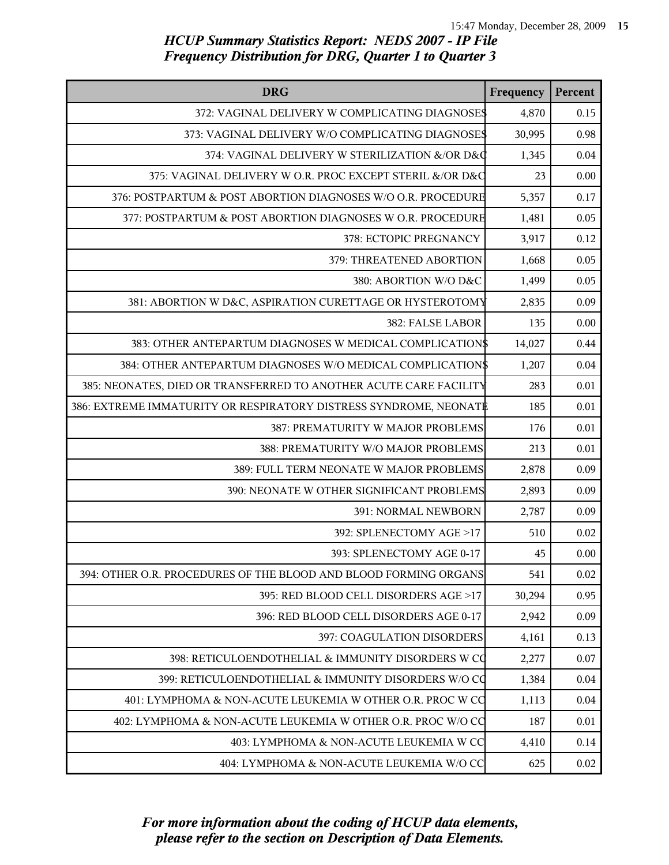| <b>DRG</b>                                                        | Frequency | Percent  |
|-------------------------------------------------------------------|-----------|----------|
| 372: VAGINAL DELIVERY W COMPLICATING DIAGNOSES                    | 4,870     | 0.15     |
| 373: VAGINAL DELIVERY W/O COMPLICATING DIAGNOSES                  | 30,995    | 0.98     |
| 374: VAGINAL DELIVERY W STERILIZATION &/OR D&Q                    | 1,345     | 0.04     |
| 375: VAGINAL DELIVERY W O.R. PROC EXCEPT STERIL &/OR D&C          | 23        | 0.00     |
| 376: POSTPARTUM & POST ABORTION DIAGNOSES W/O O.R. PROCEDURE      | 5,357     | 0.17     |
| 377: POSTPARTUM & POST ABORTION DIAGNOSES W O.R. PROCEDURE        | 1,481     | 0.05     |
| 378: ECTOPIC PREGNANCY                                            | 3,917     | 0.12     |
| 379: THREATENED ABORTION                                          | 1,668     | 0.05     |
| 380: ABORTION W/O D&C                                             | 1,499     | 0.05     |
| 381: ABORTION W D&C, ASPIRATION CURETTAGE OR HYSTEROTOMY          | 2,835     | 0.09     |
| 382: FALSE LABOR                                                  | 135       | 0.00     |
| 383: OTHER ANTEPARTUM DIAGNOSES W MEDICAL COMPLICATION\$          | 14,027    | 0.44     |
| 384: OTHER ANTEPARTUM DIAGNOSES W/O MEDICAL COMPLICATION\$        | 1,207     | 0.04     |
| 385: NEONATES, DIED OR TRANSFERRED TO ANOTHER ACUTE CARE FACILITY | 283       | 0.01     |
| 386: EXTREME IMMATURITY OR RESPIRATORY DISTRESS SYNDROME, NEONATI | 185       | 0.01     |
| 387: PREMATURITY W MAJOR PROBLEMS                                 | 176       | $0.01\,$ |
| 388: PREMATURITY W/O MAJOR PROBLEMS                               | 213       | 0.01     |
| 389: FULL TERM NEONATE W MAJOR PROBLEMS                           | 2,878     | 0.09     |
| 390: NEONATE W OTHER SIGNIFICANT PROBLEMS                         | 2,893     | 0.09     |
| 391: NORMAL NEWBORN                                               | 2,787     | 0.09     |
| 392: SPLENECTOMY AGE >17                                          | 510       | 0.02     |
| 393: SPLENECTOMY AGE 0-17                                         | 45        | 0.00     |
| 394: OTHER O.R. PROCEDURES OF THE BLOOD AND BLOOD FORMING ORGANS  | 541       | 0.02     |
| 395: RED BLOOD CELL DISORDERS AGE >17                             | 30,294    | 0.95     |
| 396: RED BLOOD CELL DISORDERS AGE 0-17                            | 2,942     | 0.09     |
| 397: COAGULATION DISORDERS                                        | 4,161     | 0.13     |
| 398: RETICULOENDOTHELIAL & IMMUNITY DISORDERS W CO                | 2,277     | 0.07     |
| 399: RETICULOENDOTHELIAL & IMMUNITY DISORDERS W/O CQ              | 1,384     | 0.04     |
| 401: LYMPHOMA & NON-ACUTE LEUKEMIA W OTHER O.R. PROC W CC         | 1,113     | 0.04     |
| 402: LYMPHOMA & NON-ACUTE LEUKEMIA W OTHER O.R. PROC W/O CC       | 187       | 0.01     |
| 403: LYMPHOMA & NON-ACUTE LEUKEMIA W CC                           | 4,410     | 0.14     |
| 404: LYMPHOMA & NON-ACUTE LEUKEMIA W/O CC                         | 625       | 0.02     |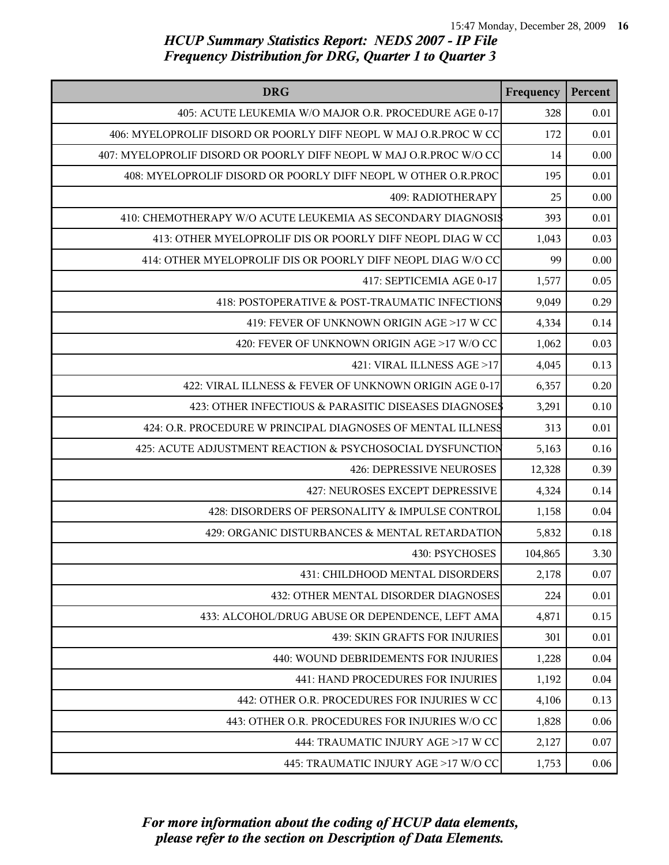| <b>DRG</b>                                                         | Frequency | Percent |
|--------------------------------------------------------------------|-----------|---------|
| 405: ACUTE LEUKEMIA W/O MAJOR O.R. PROCEDURE AGE 0-17              | 328       | 0.01    |
| 406: MYELOPROLIF DISORD OR POORLY DIFF NEOPL W MAJ O.R.PROC W CC   | 172       | 0.01    |
| 407: MYELOPROLIF DISORD OR POORLY DIFF NEOPL W MAJ O.R.PROC W/O CC | 14        | 0.00    |
| 408: MYELOPROLIF DISORD OR POORLY DIFF NEOPL W OTHER O.R.PROC      | 195       | 0.01    |
| 409: RADIOTHERAPY                                                  | 25        | 0.00    |
| 410: CHEMOTHERAPY W/O ACUTE LEUKEMIA AS SECONDARY DIAGNOSIS        | 393       | 0.01    |
| 413: OTHER MYELOPROLIF DIS OR POORLY DIFF NEOPL DIAG W CC          | 1,043     | 0.03    |
| 414: OTHER MYELOPROLIF DIS OR POORLY DIFF NEOPL DIAG W/O CC        | 99        | 0.00    |
| 417: SEPTICEMIA AGE 0-17                                           | 1,577     | 0.05    |
| 418: POSTOPERATIVE & POST-TRAUMATIC INFECTIONS                     | 9,049     | 0.29    |
| 419: FEVER OF UNKNOWN ORIGIN AGE >17 W CC                          | 4,334     | 0.14    |
| 420: FEVER OF UNKNOWN ORIGIN AGE >17 W/O CC                        | 1,062     | 0.03    |
| 421: VIRAL ILLNESS AGE >17                                         | 4,045     | 0.13    |
| 422: VIRAL ILLNESS & FEVER OF UNKNOWN ORIGIN AGE 0-17              | 6,357     | 0.20    |
| 423: OTHER INFECTIOUS & PARASITIC DISEASES DIAGNOSE\$              | 3,291     | 0.10    |
| 424: O.R. PROCEDURE W PRINCIPAL DIAGNOSES OF MENTAL ILLNESS        | 313       | 0.01    |
| 425: ACUTE ADJUSTMENT REACTION & PSYCHOSOCIAL DYSFUNCTION          | 5,163     | 0.16    |
| <b>426: DEPRESSIVE NEUROSES</b>                                    | 12,328    | 0.39    |
| 427: NEUROSES EXCEPT DEPRESSIVE                                    | 4,324     | 0.14    |
| 428: DISORDERS OF PERSONALITY & IMPULSE CONTROL                    | 1,158     | 0.04    |
| 429: ORGANIC DISTURBANCES & MENTAL RETARDATION                     | 5,832     | 0.18    |
| 430: PSYCHOSES                                                     | 104,865   | 3.30    |
| 431: CHILDHOOD MENTAL DISORDERS                                    | 2,178     | 0.07    |
| <b>432: OTHER MENTAL DISORDER DIAGNOSES</b>                        | 224       | 0.01    |
| 433: ALCOHOL/DRUG ABUSE OR DEPENDENCE, LEFT AMA                    | 4,871     | 0.15    |
| <b>439: SKIN GRAFTS FOR INJURIES</b>                               | 301       | 0.01    |
| 440: WOUND DEBRIDEMENTS FOR INJURIES                               | 1,228     | 0.04    |
| 441: HAND PROCEDURES FOR INJURIES                                  | 1,192     | 0.04    |
| 442: OTHER O.R. PROCEDURES FOR INJURIES W CC                       | 4,106     | 0.13    |
| 443: OTHER O.R. PROCEDURES FOR INJURIES W/O CC                     | 1,828     | 0.06    |
| 444: TRAUMATIC INJURY AGE >17 W CC                                 | 2,127     | 0.07    |
| 445: TRAUMATIC INJURY AGE >17 W/O CC                               | 1,753     | 0.06    |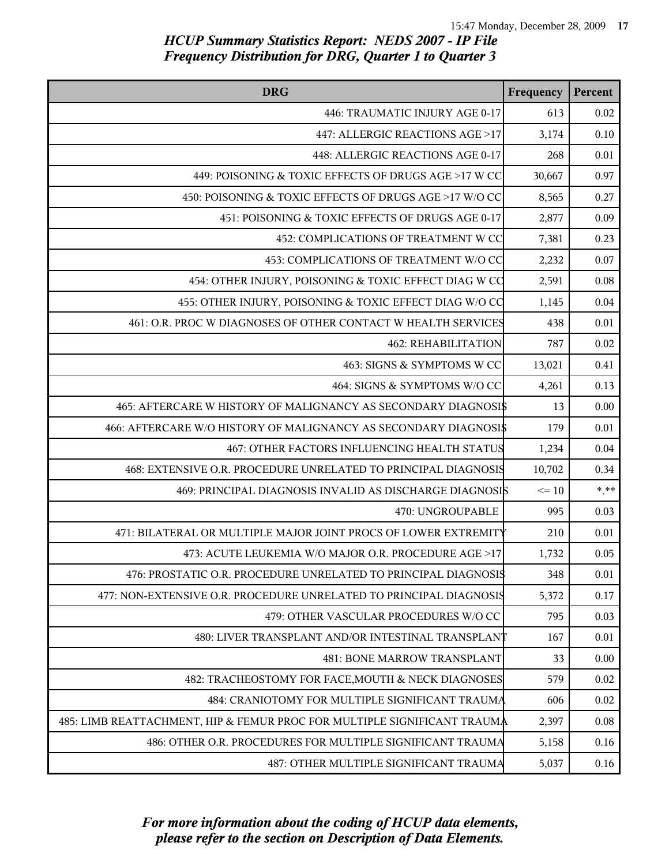| <b>DRG</b>                                                               | Frequency | Percent        |
|--------------------------------------------------------------------------|-----------|----------------|
| 446: TRAUMATIC INJURY AGE 0-17                                           | 613       | 0.02           |
| 447: ALLERGIC REACTIONS AGE >17                                          | 3,174     | $0.10\,$       |
| 448: ALLERGIC REACTIONS AGE 0-17                                         | 268       | 0.01           |
| 449: POISONING & TOXIC EFFECTS OF DRUGS AGE >17 W CC                     | 30,667    | 0.97           |
| 450: POISONING & TOXIC EFFECTS OF DRUGS AGE >17 W/O CC                   | 8,565     | 0.27           |
| 451: POISONING & TOXIC EFFECTS OF DRUGS AGE 0-17                         | 2,877     | 0.09           |
| 452: COMPLICATIONS OF TREATMENT W CC                                     | 7,381     | 0.23           |
| 453: COMPLICATIONS OF TREATMENT W/O CC                                   | 2,232     | 0.07           |
| 454: OTHER INJURY, POISONING & TOXIC EFFECT DIAG W CC                    | 2,591     | 0.08           |
| 455: OTHER INJURY, POISONING & TOXIC EFFECT DIAG W/O CO                  | 1,145     | 0.04           |
| 461: O.R. PROC W DIAGNOSES OF OTHER CONTACT W HEALTH SERVICES            | 438       | 0.01           |
| <b>462: REHABILITATION</b>                                               | 787       | 0.02           |
| 463: SIGNS & SYMPTOMS W CC                                               | 13,021    | 0.41           |
| 464: SIGNS & SYMPTOMS W/O CC                                             | 4,261     | 0.13           |
| 465: AFTERCARE W HISTORY OF MALIGNANCY AS SECONDARY DIAGNOSI\$           | 13        | 0.00           |
| 466: AFTERCARE W/O HISTORY OF MALIGNANCY AS SECONDARY DIAGNOSI\$         | 179       | 0.01           |
| 467: OTHER FACTORS INFLUENCING HEALTH STATUS                             | 1,234     | 0.04           |
| 468: EXTENSIVE O.R. PROCEDURE UNRELATED TO PRINCIPAL DIAGNOSIS           | 10,702    | 0.34           |
| 469: PRINCIPAL DIAGNOSIS INVALID AS DISCHARGE DIAGNOSIS                  | $\leq 10$ | $\ast\ast\ast$ |
| 470: UNGROUPABLE                                                         | 995       | 0.03           |
| 471: BILATERAL OR MULTIPLE MAJOR JOINT PROCS OF LOWER EXTREMITY          | 210       | 0.01           |
| 473: ACUTE LEUKEMIA W/O MAJOR O.R. PROCEDURE AGE >17                     | 1,732     | 0.05           |
| 476: PROSTATIC O.R. PROCEDURE UNRELATED TO PRINCIPAL DIAGNOSIS           | 348       | 0.01           |
| 477: NON-EXTENSIVE O.R. PROCEDURE UNRELATED TO PRINCIPAL DIAGNOSIS       | 5,372     | 0.17           |
| 479: OTHER VASCULAR PROCEDURES W/O CC                                    | 795       | 0.03           |
| 480: LIVER TRANSPLANT AND/OR INTESTINAL TRANSPLANT                       | 167       | 0.01           |
| <b>481: BONE MARROW TRANSPLANT</b>                                       | 33        | 0.00           |
| 482: TRACHEOSTOMY FOR FACE, MOUTH & NECK DIAGNOSES                       | 579       | 0.02           |
| 484: CRANIOTOMY FOR MULTIPLE SIGNIFICANT TRAUMA                          | 606       | 0.02           |
| 485: LIMB REATTACHMENT, HIP & FEMUR PROC FOR MULTIPLE SIGNIFICANT TRAUMA | 2,397     | 0.08           |
| 486: OTHER O.R. PROCEDURES FOR MULTIPLE SIGNIFICANT TRAUMA               | 5,158     | 0.16           |
| 487: OTHER MULTIPLE SIGNIFICANT TRAUMA                                   | 5,037     | 0.16           |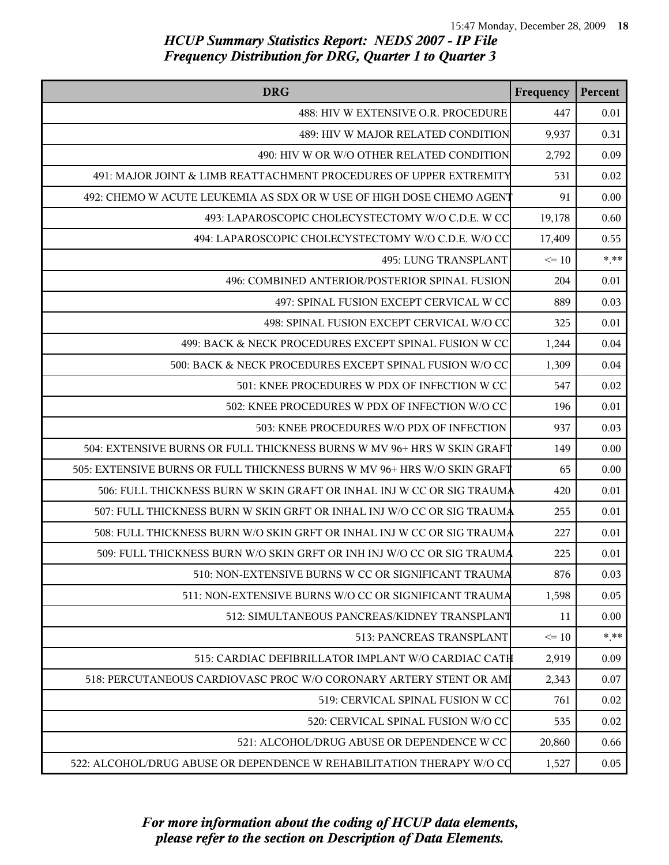| <b>DRG</b>                                                               | Frequency | Percent |
|--------------------------------------------------------------------------|-----------|---------|
| 488: HIV W EXTENSIVE O.R. PROCEDURE                                      | 447       | 0.01    |
| 489: HIV W MAJOR RELATED CONDITION                                       | 9,937     | 0.31    |
| 490: HIV W OR W/O OTHER RELATED CONDITION                                | 2,792     | 0.09    |
| 491: MAJOR JOINT & LIMB REATTACHMENT PROCEDURES OF UPPER EXTREMITY       | 531       | 0.02    |
| 492: CHEMO W ACUTE LEUKEMIA AS SDX OR W USE OF HIGH DOSE CHEMO AGENT     | 91        | 0.00    |
| 493: LAPAROSCOPIC CHOLECYSTECTOMY W/O C.D.E. W CC                        | 19,178    | 0.60    |
| 494: LAPAROSCOPIC CHOLECYSTECTOMY W/O C.D.E. W/O CC                      | 17,409    | 0.55    |
| 495: LUNG TRANSPLANT                                                     | $\leq 10$ | $*$ **  |
| 496: COMBINED ANTERIOR/POSTERIOR SPINAL FUSION                           | 204       | 0.01    |
| 497: SPINAL FUSION EXCEPT CERVICAL W CC                                  | 889       | 0.03    |
| 498: SPINAL FUSION EXCEPT CERVICAL W/O CC                                | 325       | 0.01    |
| 499: BACK & NECK PROCEDURES EXCEPT SPINAL FUSION W CC                    | 1,244     | 0.04    |
| 500: BACK & NECK PROCEDURES EXCEPT SPINAL FUSION W/O CC                  | 1,309     | 0.04    |
| 501: KNEE PROCEDURES W PDX OF INFECTION W CC                             | 547       | 0.02    |
| 502: KNEE PROCEDURES W PDX OF INFECTION W/O CC                           | 196       | 0.01    |
| 503: KNEE PROCEDURES W/O PDX OF INFECTION                                | 937       | 0.03    |
| 504: EXTENSIVE BURNS OR FULL THICKNESS BURNS W MV 96+ HRS W SKIN GRAFT   | 149       | 0.00    |
| 505: EXTENSIVE BURNS OR FULL THICKNESS BURNS W MV 96+ HRS W/O SKIN GRAFT | 65        | 0.00    |
| 506: FULL THICKNESS BURN W SKIN GRAFT OR INHAL INJ W CC OR SIG TRAUMA    | 420       | 0.01    |
| 507: FULL THICKNESS BURN W SKIN GRFT OR INHAL INJ W/O CC OR SIG TRAUMA   | 255       | 0.01    |
| 508: FULL THICKNESS BURN W/O SKIN GRFT OR INHAL INJ W CC OR SIG TRAUMA   | 227       | 0.01    |
| 509: FULL THICKNESS BURN W/O SKIN GRFT OR INH INJ W/O CC OR SIG TRAUMA   | 225       | 0.01    |
| 510: NON-EXTENSIVE BURNS W CC OR SIGNIFICANT TRAUMA                      | 876       | 0.03    |
| 511: NON-EXTENSIVE BURNS W/O CC OR SIGNIFICANT TRAUMA                    | 1,598     | 0.05    |
| 512: SIMULTANEOUS PANCREAS/KIDNEY TRANSPLANT                             | 11        | 0.00    |
| 513: PANCREAS TRANSPLANT                                                 | $\leq 10$ | $* * *$ |
| 515: CARDIAC DEFIBRILLATOR IMPLANT W/O CARDIAC CATH                      | 2,919     | 0.09    |
| 518: PERCUTANEOUS CARDIOVASC PROC W/O CORONARY ARTERY STENT OR AM        | 2,343     | 0.07    |
| 519: CERVICAL SPINAL FUSION W CC                                         | 761       | 0.02    |
| 520: CERVICAL SPINAL FUSION W/O CC                                       | 535       | 0.02    |
| 521: ALCOHOL/DRUG ABUSE OR DEPENDENCE W CC                               | 20,860    | 0.66    |
| 522: ALCOHOL/DRUG ABUSE OR DEPENDENCE W REHABILITATION THERAPY W/O CO    | 1,527     | 0.05    |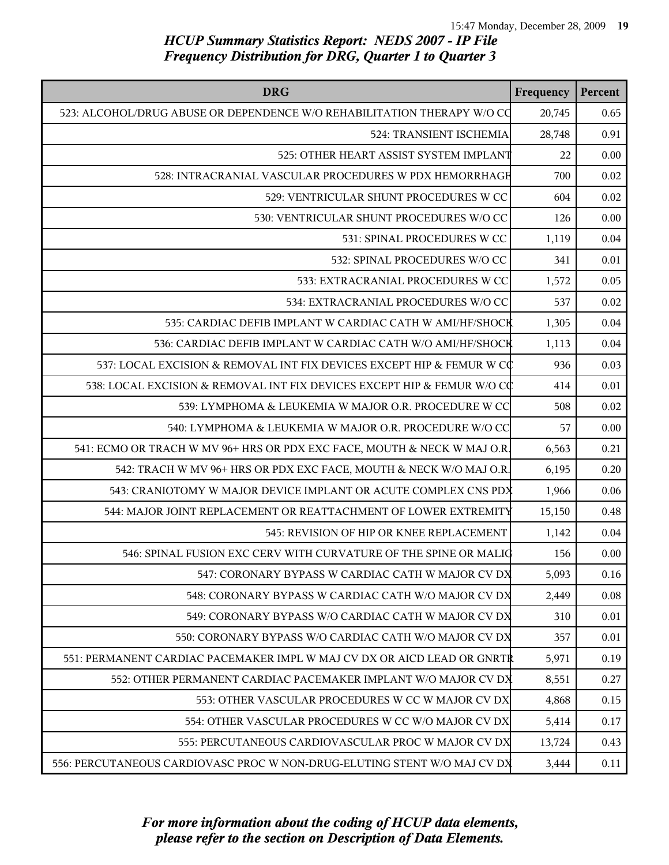| <b>DRG</b>                                                               | Frequency | Percent |
|--------------------------------------------------------------------------|-----------|---------|
| 523: ALCOHOL/DRUG ABUSE OR DEPENDENCE W/O REHABILITATION THERAPY W/O CO  | 20,745    | 0.65    |
| 524: TRANSIENT ISCHEMIA                                                  | 28,748    | 0.91    |
| 525: OTHER HEART ASSIST SYSTEM IMPLANT                                   | 22        | 0.00    |
| 528: INTRACRANIAL VASCULAR PROCEDURES W PDX HEMORRHAGE                   | 700       | 0.02    |
| 529: VENTRICULAR SHUNT PROCEDURES W CC                                   | 604       | 0.02    |
| 530: VENTRICULAR SHUNT PROCEDURES W/O CC                                 | 126       | 0.00    |
| 531: SPINAL PROCEDURES W CC                                              | 1,119     | 0.04    |
| 532: SPINAL PROCEDURES W/O CC                                            | 341       | 0.01    |
| 533: EXTRACRANIAL PROCEDURES W CC                                        | 1,572     | 0.05    |
| 534: EXTRACRANIAL PROCEDURES W/O CC                                      | 537       | 0.02    |
| 535: CARDIAC DEFIB IMPLANT W CARDIAC CATH W AMI/HF/SHOCK                 | 1,305     | 0.04    |
| 536: CARDIAC DEFIB IMPLANT W CARDIAC CATH W/O AMI/HF/SHOCK               | 1,113     | 0.04    |
| 537: LOCAL EXCISION & REMOVAL INT FIX DEVICES EXCEPT HIP & FEMUR W CC    | 936       | 0.03    |
| 538: LOCAL EXCISION & REMOVAL INT FIX DEVICES EXCEPT HIP & FEMUR W/O CC  | 414       | 0.01    |
| 539: LYMPHOMA & LEUKEMIA W MAJOR O.R. PROCEDURE W CC                     | 508       | 0.02    |
| 540: LYMPHOMA & LEUKEMIA W MAJOR O.R. PROCEDURE W/O CC                   | 57        | 0.00    |
| 541: ECMO OR TRACH W MV 96+ HRS OR PDX EXC FACE, MOUTH & NECK W MAJ O.R. | 6,563     | 0.21    |
| 542: TRACH W MV 96+ HRS OR PDX EXC FACE, MOUTH & NECK W/O MAJ O.R.       | 6,195     | 0.20    |
| 543: CRANIOTOMY W MAJOR DEVICE IMPLANT OR ACUTE COMPLEX CNS PDX          | 1,966     | 0.06    |
| 544: MAJOR JOINT REPLACEMENT OR REATTACHMENT OF LOWER EXTREMITY          | 15,150    | 0.48    |
| 545: REVISION OF HIP OR KNEE REPLACEMENT                                 | 1,142     | 0.04    |
| 546: SPINAL FUSION EXC CERV WITH CURVATURE OF THE SPINE OR MALIC         | 156       | 0.00    |
| 547: CORONARY BYPASS W CARDIAC CATH W MAJOR CV DX                        | 5,093     | 0.16    |
| 548: CORONARY BYPASS W CARDIAC CATH W/O MAJOR CV DX                      | 2,449     | 0.08    |
| 549: CORONARY BYPASS W/O CARDIAC CATH W MAJOR CV DX                      | 310       | 0.01    |
| 550: CORONARY BYPASS W/O CARDIAC CATH W/O MAJOR CV DX                    | 357       | 0.01    |
| 551: PERMANENT CARDIAC PACEMAKER IMPL W MAJ CV DX OR AICD LEAD OR GNRTR  | 5,971     | 0.19    |
| 552: OTHER PERMANENT CARDIAC PACEMAKER IMPLANT W/O MAJOR CV DX           | 8,551     | 0.27    |
| 553: OTHER VASCULAR PROCEDURES W CC W MAJOR CV DX                        | 4,868     | 0.15    |
| 554: OTHER VASCULAR PROCEDURES W CC W/O MAJOR CV DX                      | 5,414     | 0.17    |
| 555: PERCUTANEOUS CARDIOVASCULAR PROC W MAJOR CV DX                      | 13,724    | 0.43    |
| 556: PERCUTANEOUS CARDIOVASC PROC W NON-DRUG-ELUTING STENT W/O MAJ CV DX | 3,444     | 0.11    |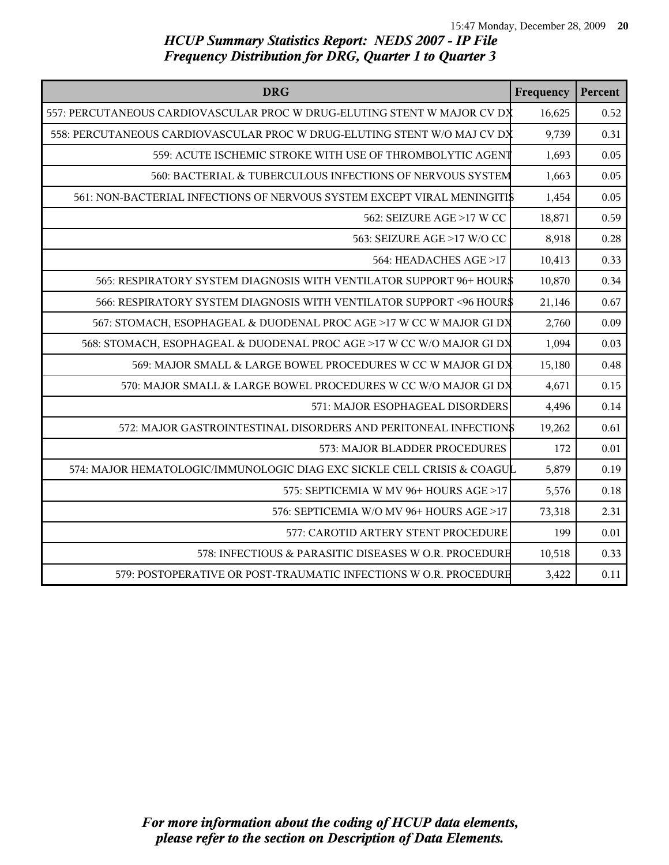| <b>DRG</b>                                                               | Frequency | Percent |
|--------------------------------------------------------------------------|-----------|---------|
| 557: PERCUTANEOUS CARDIOVASCULAR PROC W DRUG-ELUTING STENT W MAJOR CV DX | 16,625    | 0.52    |
| 558: PERCUTANEOUS CARDIOVASCULAR PROC W DRUG-ELUTING STENT W/O MAJ CV DX | 9,739     | 0.31    |
| 559: ACUTE ISCHEMIC STROKE WITH USE OF THROMBOLYTIC AGENT                | 1,693     | 0.05    |
| 560: BACTERIAL & TUBERCULOUS INFECTIONS OF NERVOUS SYSTEM                | 1,663     | 0.05    |
| 561: NON-BACTERIAL INFECTIONS OF NERVOUS SYSTEM EXCEPT VIRAL MENINGITIS  | 1,454     | 0.05    |
| 562: SEIZURE AGE >17 W CC                                                | 18,871    | 0.59    |
| 563: SEIZURE AGE >17 W/O CC                                              | 8,918     | 0.28    |
| 564: HEADACHES AGE >17                                                   | 10,413    | 0.33    |
| 565: RESPIRATORY SYSTEM DIAGNOSIS WITH VENTILATOR SUPPORT 96+ HOUR\$     | 10,870    | 0.34    |
| 566: RESPIRATORY SYSTEM DIAGNOSIS WITH VENTILATOR SUPPORT <96 HOUR\$     | 21,146    | 0.67    |
| 567: STOMACH, ESOPHAGEAL & DUODENAL PROC AGE >17 W CC W MAJOR GI DX      | 2,760     | 0.09    |
| 568: STOMACH, ESOPHAGEAL & DUODENAL PROC AGE >17 W CC W/O MAJOR GI DX    | 1,094     | 0.03    |
| 569: MAJOR SMALL & LARGE BOWEL PROCEDURES W CC W MAJOR GI DX             | 15,180    | 0.48    |
| 570: MAJOR SMALL & LARGE BOWEL PROCEDURES W CC W/O MAJOR GI DX           | 4,671     | 0.15    |
| 571: MAJOR ESOPHAGEAL DISORDERS                                          | 4,496     | 0.14    |
| 572: MAJOR GASTROINTESTINAL DISORDERS AND PERITONEAL INFECTION\$         | 19,262    | 0.61    |
| 573: MAJOR BLADDER PROCEDURES                                            | 172       | 0.01    |
| 574: MAJOR HEMATOLOGIC/IMMUNOLOGIC DIAG EXC SICKLE CELL CRISIS & COAGUL  | 5,879     | 0.19    |
| 575: SEPTICEMIA W MV 96+ HOURS AGE >17                                   | 5,576     | 0.18    |
| 576: SEPTICEMIA W/O MV 96+ HOURS AGE >17                                 | 73,318    | 2.31    |
| 577: CAROTID ARTERY STENT PROCEDURE                                      | 199       | 0.01    |
| 578: INFECTIOUS & PARASITIC DISEASES W O.R. PROCEDURE                    | 10,518    | 0.33    |
| 579: POSTOPERATIVE OR POST-TRAUMATIC INFECTIONS W O.R. PROCEDURE         | 3,422     | 0.11    |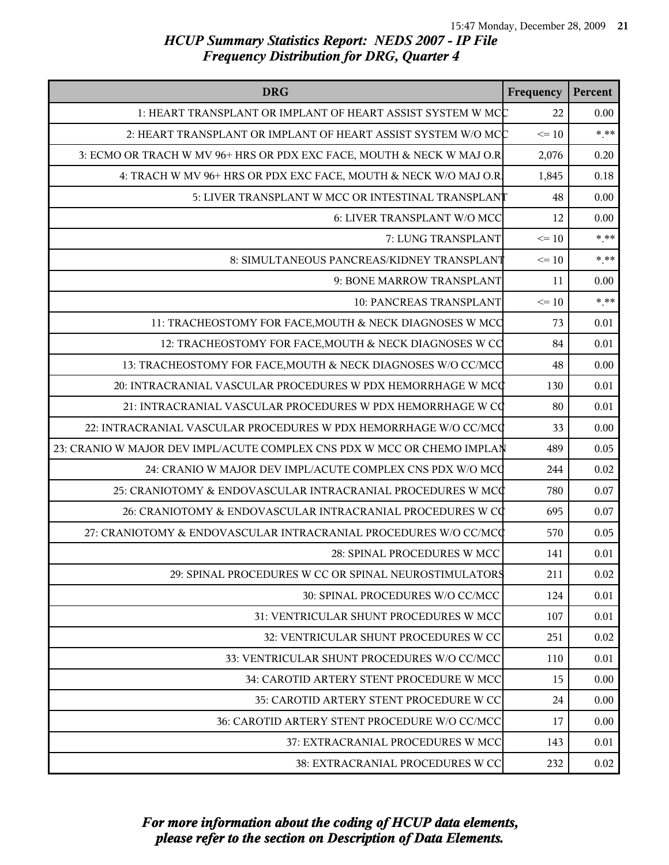| <b>DRG</b>                                                              | Frequency | Percent |
|-------------------------------------------------------------------------|-----------|---------|
| 1: HEART TRANSPLANT OR IMPLANT OF HEART ASSIST SYSTEM W MCC             | 22        | 0.00    |
| 2: HEART TRANSPLANT OR IMPLANT OF HEART ASSIST SYSTEM W/O MCC           | $\leq 10$ | $***$   |
| 3: ECMO OR TRACH W MV 96+ HRS OR PDX EXC FACE, MOUTH & NECK W MAJ O.R   | 2,076     | 0.20    |
| 4: TRACH W MV 96+ HRS OR PDX EXC FACE, MOUTH & NECK W/O MAJ O.R.        | 1,845     | 0.18    |
| 5: LIVER TRANSPLANT W MCC OR INTESTINAL TRANSPLANT                      | 48        | 0.00    |
| 6: LIVER TRANSPLANT W/O MCC                                             | 12        | 0.00    |
| 7: LUNG TRANSPLANT                                                      | $\leq 10$ | $* * *$ |
| 8: SIMULTANEOUS PANCREAS/KIDNEY TRANSPLANT                              | $\leq 10$ | $*$ **  |
| 9: BONE MARROW TRANSPLANT                                               | 11        | 0.00    |
| <b>10: PANCREAS TRANSPLANT</b>                                          | $\leq 10$ | $* * *$ |
| 11: TRACHEOSTOMY FOR FACE, MOUTH & NECK DIAGNOSES W MCC                 | 73        | 0.01    |
| 12: TRACHEOSTOMY FOR FACE, MOUTH & NECK DIAGNOSES W CO                  | 84        | 0.01    |
| 13: TRACHEOSTOMY FOR FACE, MOUTH & NECK DIAGNOSES W/O CC/MCC            | 48        | 0.00    |
| 20: INTRACRANIAL VASCULAR PROCEDURES W PDX HEMORRHAGE W MCC             | 130       | 0.01    |
| 21: INTRACRANIAL VASCULAR PROCEDURES W PDX HEMORRHAGE W CQ              | 80        | 0.01    |
| 22: INTRACRANIAL VASCULAR PROCEDURES W PDX HEMORRHAGE W/O CC/MCQ        | 33        | 0.00    |
| 23: CRANIO W MAJOR DEV IMPL/ACUTE COMPLEX CNS PDX W MCC OR CHEMO IMPLAN | 489       | 0.05    |
| 24: CRANIO W MAJOR DEV IMPL/ACUTE COMPLEX CNS PDX W/O MCC               | 244       | 0.02    |
| 25: CRANIOTOMY & ENDOVASCULAR INTRACRANIAL PROCEDURES W MCC             | 780       | 0.07    |
| 26: CRANIOTOMY & ENDOVASCULAR INTRACRANIAL PROCEDURES W CQ              | 695       | 0.07    |
| 27: CRANIOTOMY & ENDOVASCULAR INTRACRANIAL PROCEDURES W/O CC/MCC        | 570       | 0.05    |
| 28: SPINAL PROCEDURES W MCC                                             | 141       | 0.01    |
| 29: SPINAL PROCEDURES W CC OR SPINAL NEUROSTIMULATORS                   | 211       | 0.02    |
| 30: SPINAL PROCEDURES W/O CC/MCC                                        | 124       | 0.01    |
| 31: VENTRICULAR SHUNT PROCEDURES W MCC                                  | 107       | 0.01    |
| 32: VENTRICULAR SHUNT PROCEDURES W CC                                   | 251       | 0.02    |
| 33: VENTRICULAR SHUNT PROCEDURES W/O CC/MCC                             | 110       | 0.01    |
| 34: CAROTID ARTERY STENT PROCEDURE W MCC                                | 15        | 0.00    |
| 35: CAROTID ARTERY STENT PROCEDURE W CC                                 | 24        | 0.00    |
| 36: CAROTID ARTERY STENT PROCEDURE W/O CC/MCC                           | 17        | 0.00    |
| 37: EXTRACRANIAL PROCEDURES W MCC                                       | 143       | 0.01    |
| 38: EXTRACRANIAL PROCEDURES W CC                                        | 232       | 0.02    |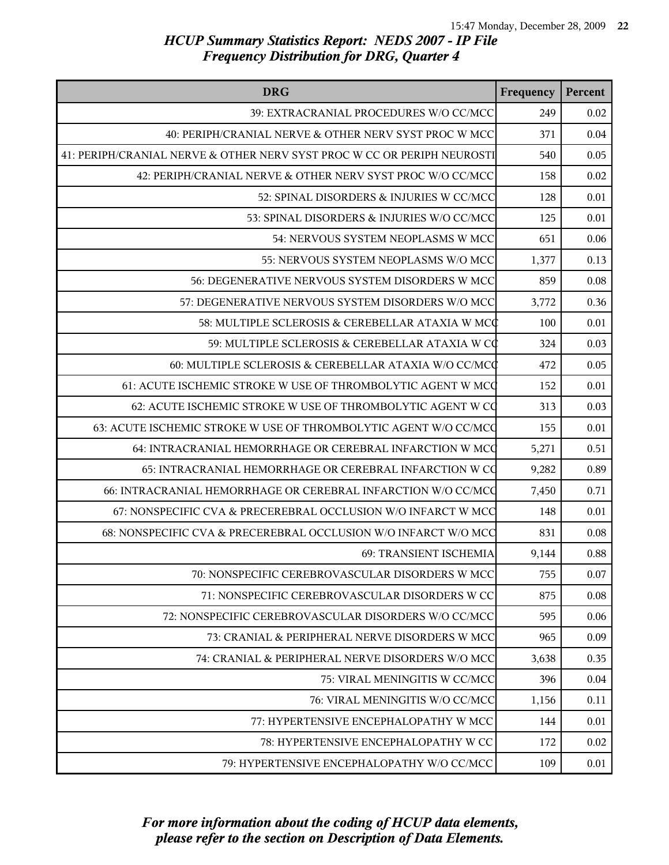| <b>DRG</b>                                                              | Frequency | Percent  |
|-------------------------------------------------------------------------|-----------|----------|
| 39: EXTRACRANIAL PROCEDURES W/O CC/MCC                                  | 249       | 0.02     |
| 40: PERIPH/CRANIAL NERVE & OTHER NERV SYST PROC W MCC                   | 371       | $0.04\,$ |
| 41: PERIPH/CRANIAL NERVE & OTHER NERV SYST PROC W CC OR PERIPH NEUROSTI | 540       | 0.05     |
| 42: PERIPH/CRANIAL NERVE & OTHER NERV SYST PROC W/O CC/MCC              | 158       | 0.02     |
| 52: SPINAL DISORDERS & INJURIES W CC/MCC                                | 128       | 0.01     |
| 53: SPINAL DISORDERS & INJURIES W/O CC/MCC                              | 125       | 0.01     |
| 54: NERVOUS SYSTEM NEOPLASMS W MCC                                      | 651       | 0.06     |
| 55: NERVOUS SYSTEM NEOPLASMS W/O MCC                                    | 1,377     | 0.13     |
| 56: DEGENERATIVE NERVOUS SYSTEM DISORDERS W MCC                         | 859       | 0.08     |
| 57: DEGENERATIVE NERVOUS SYSTEM DISORDERS W/O MCC                       | 3,772     | 0.36     |
| 58: MULTIPLE SCLEROSIS & CEREBELLAR ATAXIA W MCC                        | 100       | 0.01     |
| 59: MULTIPLE SCLEROSIS & CEREBELLAR ATAXIA W CC                         | 324       | 0.03     |
| 60: MULTIPLE SCLEROSIS & CEREBELLAR ATAXIA W/O CC/MCC                   | 472       | 0.05     |
| 61: ACUTE ISCHEMIC STROKE W USE OF THROMBOLYTIC AGENT W MCC             | 152       | 0.01     |
| 62: ACUTE ISCHEMIC STROKE W USE OF THROMBOLYTIC AGENT W CQ              | 313       | 0.03     |
| 63: ACUTE ISCHEMIC STROKE W USE OF THROMBOLYTIC AGENT W/O CC/MCQ        | 155       | 0.01     |
| 64: INTRACRANIAL HEMORRHAGE OR CEREBRAL INFARCTION W MCC                | 5,271     | 0.51     |
| 65: INTRACRANIAL HEMORRHAGE OR CEREBRAL INFARCTION W CQ                 | 9,282     | 0.89     |
| 66: INTRACRANIAL HEMORRHAGE OR CEREBRAL INFARCTION W/O CC/MCQ           | 7,450     | 0.71     |
| 67: NONSPECIFIC CVA & PRECEREBRAL OCCLUSION W/O INFARCT W MCC           | 148       | 0.01     |
| 68: NONSPECIFIC CVA & PRECEREBRAL OCCLUSION W/O INFARCT W/O MCC         | 831       | 0.08     |
| 69: TRANSIENT ISCHEMIA                                                  | 9,144     | 0.88     |
| 70: NONSPECIFIC CEREBROVASCULAR DISORDERS W MCC                         | 755       | 0.07     |
| 71: NONSPECIFIC CEREBROVASCULAR DISORDERS W CC                          | 875       | 0.08     |
| 72: NONSPECIFIC CEREBROVASCULAR DISORDERS W/O CC/MCC                    | 595       | 0.06     |
| 73: CRANIAL & PERIPHERAL NERVE DISORDERS W MCC                          | 965       | 0.09     |
| 74: CRANIAL & PERIPHERAL NERVE DISORDERS W/O MCC                        | 3,638     | 0.35     |
| 75: VIRAL MENINGITIS W CC/MCC                                           | 396       | 0.04     |
| 76: VIRAL MENINGITIS W/O CC/MCC                                         | 1,156     | 0.11     |
| 77: HYPERTENSIVE ENCEPHALOPATHY W MCC                                   | 144       | 0.01     |
| 78: HYPERTENSIVE ENCEPHALOPATHY W CC                                    | 172       | 0.02     |
| 79: HYPERTENSIVE ENCEPHALOPATHY W/O CC/MCC                              | 109       | 0.01     |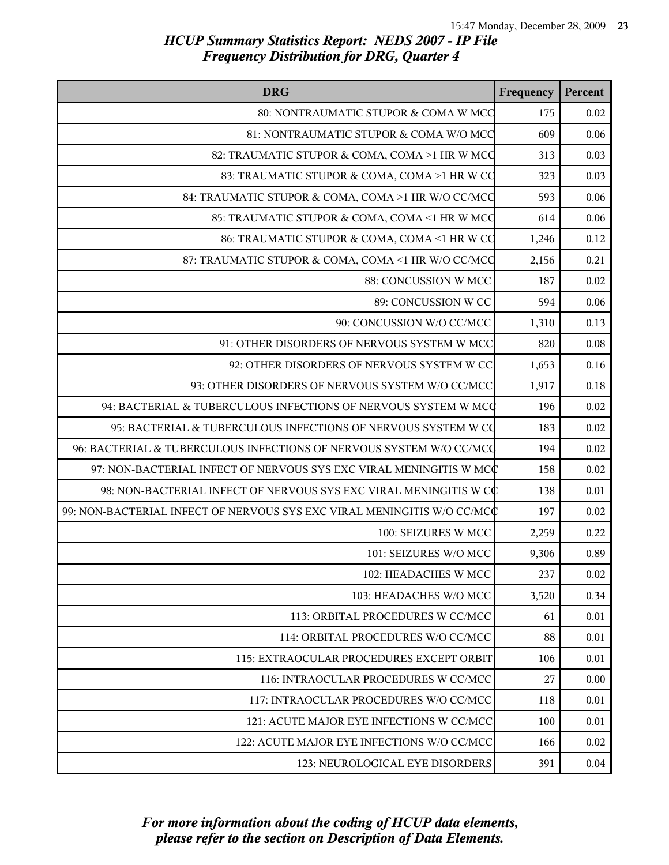| <b>DRG</b>                                                              | Frequency | Percent  |
|-------------------------------------------------------------------------|-----------|----------|
| 80: NONTRAUMATIC STUPOR & COMA W MCC                                    | 175       | 0.02     |
| 81: NONTRAUMATIC STUPOR & COMA W/O MCC                                  | 609       | 0.06     |
| 82: TRAUMATIC STUPOR & COMA, COMA >1 HR W MCC                           | 313       | 0.03     |
| 83: TRAUMATIC STUPOR & COMA, COMA >1 HR W CO                            | 323       | 0.03     |
| 84: TRAUMATIC STUPOR & COMA, COMA >1 HR W/O CC/MCC                      | 593       | 0.06     |
| 85: TRAUMATIC STUPOR & COMA, COMA <1 HR W MCC                           | 614       | 0.06     |
| 86: TRAUMATIC STUPOR & COMA, COMA <1 HR W CO                            | 1,246     | 0.12     |
| 87: TRAUMATIC STUPOR & COMA, COMA <1 HR W/O CC/MCC                      | 2,156     | 0.21     |
| 88: CONCUSSION W MCC                                                    | 187       | 0.02     |
| 89: CONCUSSION W CC                                                     | 594       | 0.06     |
| 90: CONCUSSION W/O CC/MCC                                               | 1,310     | 0.13     |
| 91: OTHER DISORDERS OF NERVOUS SYSTEM W MCC                             | 820       | 0.08     |
| 92: OTHER DISORDERS OF NERVOUS SYSTEM W CC                              | 1,653     | 0.16     |
| 93: OTHER DISORDERS OF NERVOUS SYSTEM W/O CC/MCC                        | 1,917     | 0.18     |
| 94: BACTERIAL & TUBERCULOUS INFECTIONS OF NERVOUS SYSTEM W MCC          | 196       | 0.02     |
| 95: BACTERIAL & TUBERCULOUS INFECTIONS OF NERVOUS SYSTEM W CQ           | 183       | $0.02\,$ |
| 96: BACTERIAL & TUBERCULOUS INFECTIONS OF NERVOUS SYSTEM W/O CC/MCQ     | 194       | $0.02\,$ |
| 97: NON-BACTERIAL INFECT OF NERVOUS SYS EXC VIRAL MENINGITIS W MCC      | 158       | 0.02     |
| 98: NON-BACTERIAL INFECT OF NERVOUS SYS EXC VIRAL MENINGITIS W CC       | 138       | 0.01     |
| 99: NON-BACTERIAL INFECT OF NERVOUS SYS EXC VIRAL MENINGITIS W/O CC/MCC | 197       | $0.02\,$ |
| 100: SEIZURES W MCC                                                     | 2,259     | 0.22     |
| 101: SEIZURES W/O MCC                                                   | 9,306     | 0.89     |
| 102: HEADACHES W MCC                                                    | 237       | 0.02     |
| 103: HEADACHES W/O MCC                                                  | 3,520     | 0.34     |
| 113: ORBITAL PROCEDURES W CC/MCC                                        | 61        | 0.01     |
| 114: ORBITAL PROCEDURES W/O CC/MCC                                      | 88        | 0.01     |
| 115: EXTRAOCULAR PROCEDURES EXCEPT ORBIT                                | 106       | 0.01     |
| 116: INTRAOCULAR PROCEDURES W CC/MCC                                    | 27        | 0.00     |
| 117: INTRAOCULAR PROCEDURES W/O CC/MCC                                  | 118       | 0.01     |
| 121: ACUTE MAJOR EYE INFECTIONS W CC/MCC                                | 100       | 0.01     |
| 122: ACUTE MAJOR EYE INFECTIONS W/O CC/MCC                              | 166       | 0.02     |
| 123: NEUROLOGICAL EYE DISORDERS                                         | 391       | 0.04     |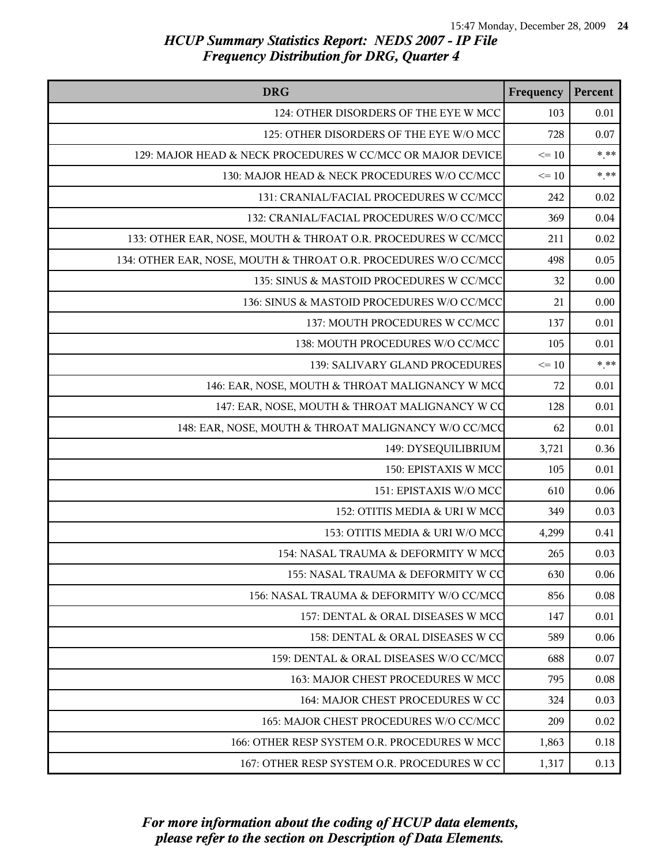| <b>DRG</b>                                                      | Frequency | Percent |
|-----------------------------------------------------------------|-----------|---------|
| 124: OTHER DISORDERS OF THE EYE W MCC                           | 103       | 0.01    |
| 125: OTHER DISORDERS OF THE EYE W/O MCC                         | 728       | 0.07    |
| 129: MAJOR HEAD & NECK PROCEDURES W CC/MCC OR MAJOR DEVICE      | $\leq 10$ | $*$ **  |
| 130: MAJOR HEAD & NECK PROCEDURES W/O CC/MCC                    | $\leq 10$ | $***$   |
| 131: CRANIAL/FACIAL PROCEDURES W CC/MCC                         | 242       | 0.02    |
| 132: CRANIAL/FACIAL PROCEDURES W/O CC/MCC                       | 369       | 0.04    |
| 133: OTHER EAR, NOSE, MOUTH & THROAT O.R. PROCEDURES W CC/MCC   | 211       | 0.02    |
| 134: OTHER EAR, NOSE, MOUTH & THROAT O.R. PROCEDURES W/O CC/MCC | 498       | 0.05    |
| 135: SINUS & MASTOID PROCEDURES W CC/MCC                        | 32        | 0.00    |
| 136: SINUS & MASTOID PROCEDURES W/O CC/MCC                      | 21        | 0.00    |
| 137: MOUTH PROCEDURES W CC/MCC                                  | 137       | 0.01    |
| 138: MOUTH PROCEDURES W/O CC/MCC                                | 105       | 0.01    |
| 139: SALIVARY GLAND PROCEDURES                                  | $\leq 10$ | $***$   |
| 146: EAR, NOSE, MOUTH & THROAT MALIGNANCY W MCC                 | 72        | 0.01    |
| 147: EAR, NOSE, MOUTH & THROAT MALIGNANCY W CO                  | 128       | 0.01    |
| 148: EAR, NOSE, MOUTH & THROAT MALIGNANCY W/O CC/MCC            | 62        | 0.01    |
| 149: DYSEQUILIBRIUM                                             | 3,721     | 0.36    |
| 150: EPISTAXIS W MCC                                            | 105       | 0.01    |
| 151: EPISTAXIS W/O MCC                                          | 610       | 0.06    |
| 152: OTITIS MEDIA & URI W MCC                                   | 349       | 0.03    |
| 153: OTITIS MEDIA & URI W/O MCC                                 | 4,299     | 0.41    |
| 154: NASAL TRAUMA & DEFORMITY W MCC                             | 265       | 0.03    |
| 155: NASAL TRAUMA & DEFORMITY W CC                              | 630       | 0.06    |
| 156: NASAL TRAUMA & DEFORMITY W/O CC/MCC                        | 856       | 0.08    |
| 157: DENTAL & ORAL DISEASES W MCC                               | 147       | 0.01    |
| 158: DENTAL & ORAL DISEASES W CC                                | 589       | 0.06    |
| 159: DENTAL & ORAL DISEASES W/O CC/MCC                          | 688       | 0.07    |
| 163: MAJOR CHEST PROCEDURES W MCC                               | 795       | 0.08    |
| 164: MAJOR CHEST PROCEDURES W CC                                | 324       | 0.03    |
| 165: MAJOR CHEST PROCEDURES W/O CC/MCC                          | 209       | 0.02    |
| 166: OTHER RESP SYSTEM O.R. PROCEDURES W MCC                    | 1,863     | 0.18    |
| 167: OTHER RESP SYSTEM O.R. PROCEDURES W CC                     | 1,317     | 0.13    |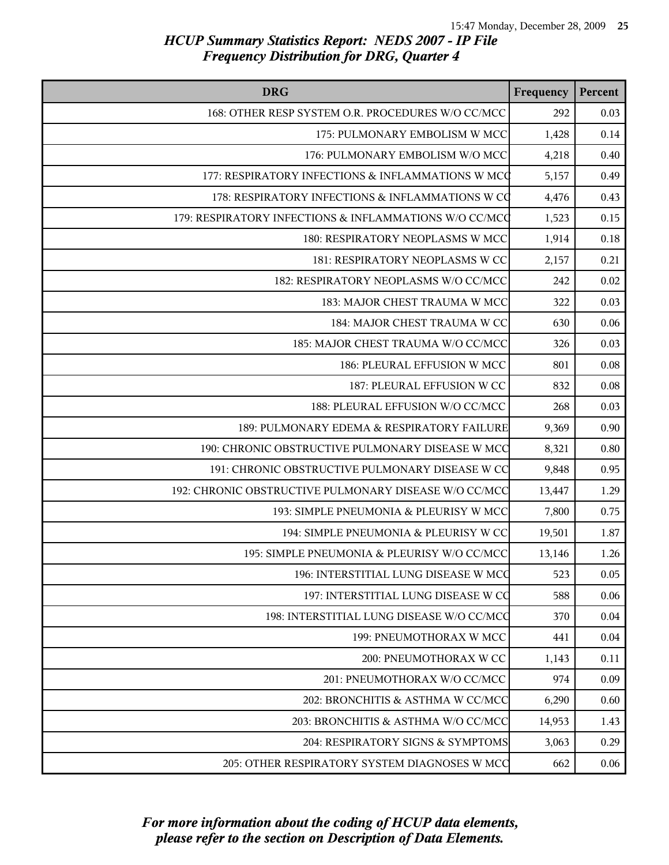| <b>DRG</b>                                             | Frequency | Percent |
|--------------------------------------------------------|-----------|---------|
| 168: OTHER RESP SYSTEM O.R. PROCEDURES W/O CC/MCC      | 292       | 0.03    |
| 175: PULMONARY EMBOLISM W MCC                          | 1,428     | 0.14    |
| 176: PULMONARY EMBOLISM W/O MCC                        | 4,218     | 0.40    |
| 177: RESPIRATORY INFECTIONS & INFLAMMATIONS W MCC      | 5,157     | 0.49    |
| 178: RESPIRATORY INFECTIONS & INFLAMMATIONS W CO       | 4,476     | 0.43    |
| 179: RESPIRATORY INFECTIONS & INFLAMMATIONS W/O CC/MCC | 1,523     | 0.15    |
| 180: RESPIRATORY NEOPLASMS W MCC                       | 1,914     | 0.18    |
| 181: RESPIRATORY NEOPLASMS W CC                        | 2,157     | 0.21    |
| 182: RESPIRATORY NEOPLASMS W/O CC/MCC                  | 242       | 0.02    |
| 183: MAJOR CHEST TRAUMA W MCC                          | 322       | 0.03    |
| 184: MAJOR CHEST TRAUMA W CC                           | 630       | 0.06    |
| 185: MAJOR CHEST TRAUMA W/O CC/MCC                     | 326       | 0.03    |
| 186: PLEURAL EFFUSION W MCC                            | 801       | 0.08    |
| 187: PLEURAL EFFUSION W CC                             | 832       | 0.08    |
| 188: PLEURAL EFFUSION W/O CC/MCC                       | 268       | 0.03    |
| 189: PULMONARY EDEMA & RESPIRATORY FAILURE             | 9,369     | 0.90    |
| 190: CHRONIC OBSTRUCTIVE PULMONARY DISEASE W MCC       | 8,321     | 0.80    |
| 191: CHRONIC OBSTRUCTIVE PULMONARY DISEASE W CC        | 9,848     | 0.95    |
| 192: CHRONIC OBSTRUCTIVE PULMONARY DISEASE W/O CC/MCC  | 13,447    | 1.29    |
| 193: SIMPLE PNEUMONIA & PLEURISY W MCC                 | 7,800     | 0.75    |
| 194: SIMPLE PNEUMONIA & PLEURISY W CC                  | 19,501    | 1.87    |
| 195: SIMPLE PNEUMONIA & PLEURISY W/O CC/MCC            | 13,146    | 1.26    |
| 196: INTERSTITIAL LUNG DISEASE W MCC                   | 523       | 0.05    |
| 197: INTERSTITIAL LUNG DISEASE W CC                    | 588       | 0.06    |
| 198: INTERSTITIAL LUNG DISEASE W/O CC/MCC              | 370       | 0.04    |
| 199: PNEUMOTHORAX W MCC                                | 441       | 0.04    |
| 200: PNEUMOTHORAX W CC                                 | 1,143     | 0.11    |
| 201: PNEUMOTHORAX W/O CC/MCC                           | 974       | 0.09    |
| 202: BRONCHITIS & ASTHMA W CC/MCC                      | 6,290     | 0.60    |
| 203: BRONCHITIS & ASTHMA W/O CC/MCC                    | 14,953    | 1.43    |
| 204: RESPIRATORY SIGNS & SYMPTOMS                      | 3,063     | 0.29    |
| 205: OTHER RESPIRATORY SYSTEM DIAGNOSES W MCC          | 662       | 0.06    |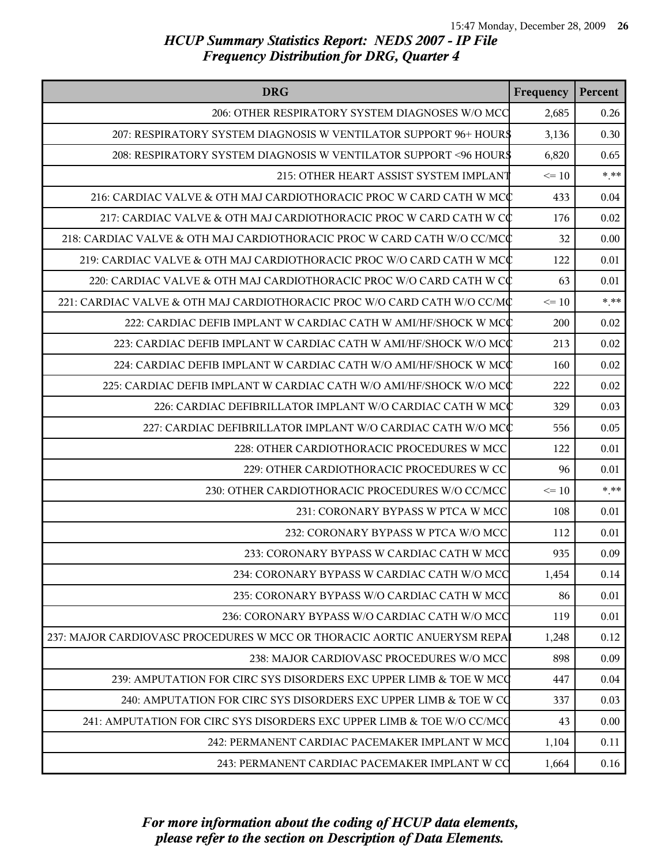| <b>DRG</b>                                                               | Frequency | Percent |
|--------------------------------------------------------------------------|-----------|---------|
| 206: OTHER RESPIRATORY SYSTEM DIAGNOSES W/O MCC                          | 2,685     | 0.26    |
| 207: RESPIRATORY SYSTEM DIAGNOSIS W VENTILATOR SUPPORT 96+ HOURS         | 3,136     | 0.30    |
| 208: RESPIRATORY SYSTEM DIAGNOSIS W VENTILATOR SUPPORT <96 HOURS         | 6,820     | 0.65    |
| 215: OTHER HEART ASSIST SYSTEM IMPLANT                                   | $\leq 10$ | $***$   |
| 216: CARDIAC VALVE & OTH MAJ CARDIOTHORACIC PROC W CARD CATH W MCC       | 433       | 0.04    |
| 217: CARDIAC VALVE & OTH MAJ CARDIOTHORACIC PROC W CARD CATH W CC        | 176       | 0.02    |
| 218: CARDIAC VALVE & OTH MAJ CARDIOTHORACIC PROC W CARD CATH W/O CC/MCC  | 32        | 0.00    |
| 219: CARDIAC VALVE & OTH MAJ CARDIOTHORACIC PROC W/O CARD CATH W MCC     | 122       | 0.01    |
| 220: CARDIAC VALVE & OTH MAJ CARDIOTHORACIC PROC W/O CARD CATH W CC      | 63        | 0.01    |
| 221: CARDIAC VALVE & OTH MAJ CARDIOTHORACIC PROC W/O CARD CATH W/O CC/MC | $\leq 10$ | $***$   |
| 222: CARDIAC DEFIB IMPLANT W CARDIAC CATH W AMI/HF/SHOCK W MCC           | 200       | 0.02    |
| 223: CARDIAC DEFIB IMPLANT W CARDIAC CATH W AMI/HF/SHOCK W/O MCC         | 213       | 0.02    |
| 224: CARDIAC DEFIB IMPLANT W CARDIAC CATH W/O AMI/HF/SHOCK W MCC         | 160       | 0.02    |
| 225: CARDIAC DEFIB IMPLANT W CARDIAC CATH W/O AMI/HF/SHOCK W/O MCC       | 222       | 0.02    |
| 226: CARDIAC DEFIBRILLATOR IMPLANT W/O CARDIAC CATH W MCC                | 329       | 0.03    |
| 227: CARDIAC DEFIBRILLATOR IMPLANT W/O CARDIAC CATH W/O MCC              | 556       | 0.05    |
| 228: OTHER CARDIOTHORACIC PROCEDURES W MCC                               | 122       | 0.01    |
| 229: OTHER CARDIOTHORACIC PROCEDURES W CC                                | 96        | 0.01    |
| 230: OTHER CARDIOTHORACIC PROCEDURES W/O CC/MCC                          | $\leq 10$ | $***$   |
| 231: CORONARY BYPASS W PTCA W MCC                                        | 108       | 0.01    |
| 232: CORONARY BYPASS W PTCA W/O MCC                                      | 112       | 0.01    |
| 233: CORONARY BYPASS W CARDIAC CATH W MCC                                | 935       | 0.09    |
| 234: CORONARY BYPASS W CARDIAC CATH W/O MCC                              | 1,454     | 0.14    |
| 235: CORONARY BYPASS W/O CARDIAC CATH W MCC                              | 86        | 0.01    |
| 236: CORONARY BYPASS W/O CARDIAC CATH W/O MCC                            | 119       | 0.01    |
| 237: MAJOR CARDIOVASC PROCEDURES W MCC OR THORACIC AORTIC ANUERYSM REPA  | 1,248     | 0.12    |
| 238: MAJOR CARDIOVASC PROCEDURES W/O MCC                                 | 898       | 0.09    |
| 239: AMPUTATION FOR CIRC SYS DISORDERS EXC UPPER LIMB & TOE W MCC        | 447       | 0.04    |
| 240: AMPUTATION FOR CIRC SYS DISORDERS EXC UPPER LIMB & TOE W CQ         | 337       | 0.03    |
| 241: AMPUTATION FOR CIRC SYS DISORDERS EXC UPPER LIMB & TOE W/O CC/MCC   | 43        | 0.00    |
| 242: PERMANENT CARDIAC PACEMAKER IMPLANT W MCC                           | 1,104     | 0.11    |
| 243: PERMANENT CARDIAC PACEMAKER IMPLANT W CO                            | 1,664     | 0.16    |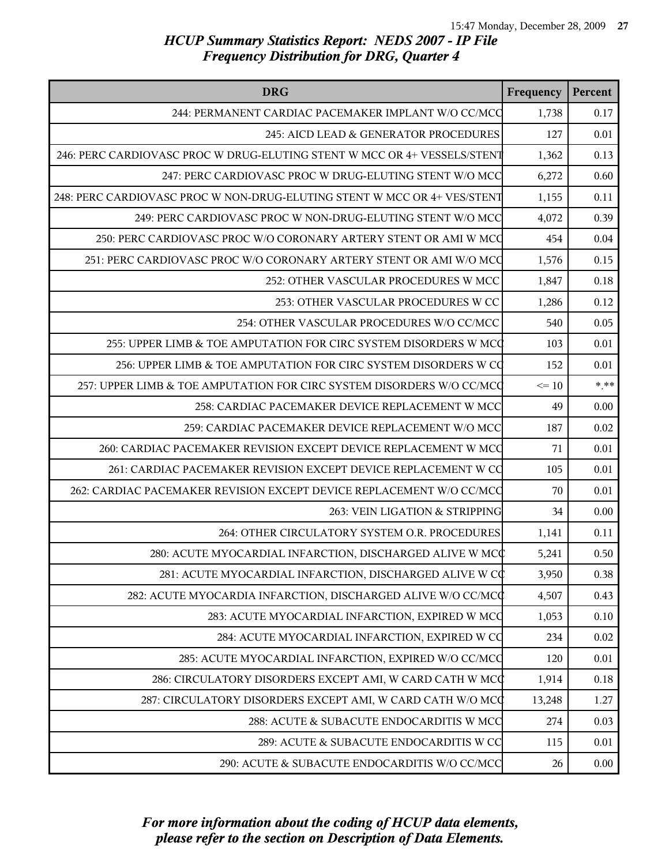| <b>DRG</b>                                                               | Frequency       | Percent  |
|--------------------------------------------------------------------------|-----------------|----------|
| 244: PERMANENT CARDIAC PACEMAKER IMPLANT W/O CC/MCC                      | 1,738           | 0.17     |
| 245: AICD LEAD & GENERATOR PROCEDURES                                    | 127             | 0.01     |
| 246: PERC CARDIOVASC PROC W DRUG-ELUTING STENT W MCC OR 4+ VESSELS/STENT | 1,362           | 0.13     |
| 247: PERC CARDIOVASC PROC W DRUG-ELUTING STENT W/O MCC                   | 6,272           | 0.60     |
| 248: PERC CARDIOVASC PROC W NON-DRUG-ELUTING STENT W MCC OR 4+ VES/STENT | 1,155           | 0.11     |
| 249: PERC CARDIOVASC PROC W NON-DRUG-ELUTING STENT W/O MCC               | 4,072           | 0.39     |
| 250: PERC CARDIOVASC PROC W/O CORONARY ARTERY STENT OR AMI W MCC         | 454             | 0.04     |
| 251: PERC CARDIOVASC PROC W/O CORONARY ARTERY STENT OR AMI W/O MCC       | 1,576           | 0.15     |
| 252: OTHER VASCULAR PROCEDURES W MCC                                     | 1,847           | 0.18     |
| 253: OTHER VASCULAR PROCEDURES W CC                                      | 1,286           | 0.12     |
| 254: OTHER VASCULAR PROCEDURES W/O CC/MCC                                | 540             | 0.05     |
| 255: UPPER LIMB & TOE AMPUTATION FOR CIRC SYSTEM DISORDERS W MCC         | 103             | 0.01     |
| 256: UPPER LIMB & TOE AMPUTATION FOR CIRC SYSTEM DISORDERS W CQ          | 152             | 0.01     |
| 257: UPPER LIMB & TOE AMPUTATION FOR CIRC SYSTEM DISORDERS W/O CC/MCQ    | $\Leftarrow$ 10 | $***$    |
| 258: CARDIAC PACEMAKER DEVICE REPLACEMENT W MCC                          | 49              | 0.00     |
| 259: CARDIAC PACEMAKER DEVICE REPLACEMENT W/O MCC                        | 187             | 0.02     |
| 260: CARDIAC PACEMAKER REVISION EXCEPT DEVICE REPLACEMENT W MCC          | 71              | 0.01     |
| 261: CARDIAC PACEMAKER REVISION EXCEPT DEVICE REPLACEMENT W CC           | 105             | 0.01     |
| 262: CARDIAC PACEMAKER REVISION EXCEPT DEVICE REPLACEMENT W/O CC/MCC     | 70              | 0.01     |
| 263: VEIN LIGATION & STRIPPING                                           | 34              | 0.00     |
| 264: OTHER CIRCULATORY SYSTEM O.R. PROCEDURES                            | 1,141           | 0.11     |
| 280: ACUTE MYOCARDIAL INFARCTION, DISCHARGED ALIVE W MCC                 | 5,241           | 0.50     |
| 281: ACUTE MYOCARDIAL INFARCTION, DISCHARGED ALIVE W CC                  | 3,950           | 0.38     |
| 282: ACUTE MYOCARDIA INFARCTION, DISCHARGED ALIVE W/O CC/MCC             | 4,507           | 0.43     |
| 283: ACUTE MYOCARDIAL INFARCTION, EXPIRED W MCC                          | 1,053           | 0.10     |
| 284: ACUTE MYOCARDIAL INFARCTION, EXPIRED W CO                           | 234             | $0.02\,$ |
| 285: ACUTE MYOCARDIAL INFARCTION, EXPIRED W/O CC/MCC                     | 120             | 0.01     |
| 286: CIRCULATORY DISORDERS EXCEPT AMI, W CARD CATH W MCC                 | 1,914           | $0.18\,$ |
| 287: CIRCULATORY DISORDERS EXCEPT AMI, W CARD CATH W/O MCC               | 13,248          | 1.27     |
| 288: ACUTE & SUBACUTE ENDOCARDITIS W MCC                                 | 274             | 0.03     |
| 289: ACUTE & SUBACUTE ENDOCARDITIS W CC                                  | 115             | 0.01     |
| 290: ACUTE & SUBACUTE ENDOCARDITIS W/O CC/MCC                            | 26              | 0.00     |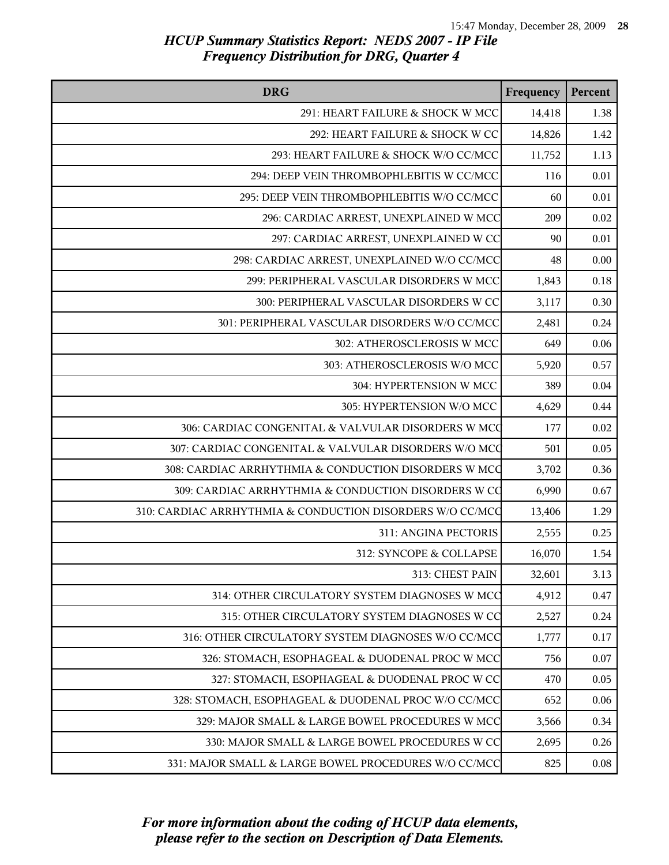| <b>DRG</b>                                                | Frequency | Percent |
|-----------------------------------------------------------|-----------|---------|
| 291: HEART FAILURE & SHOCK W MCC                          | 14,418    | 1.38    |
| 292: HEART FAILURE & SHOCK W CC                           | 14,826    | 1.42    |
| 293: HEART FAILURE & SHOCK W/O CC/MCC                     | 11,752    | 1.13    |
| 294: DEEP VEIN THROMBOPHLEBITIS W CC/MCC                  | 116       | 0.01    |
| 295: DEEP VEIN THROMBOPHLEBITIS W/O CC/MCC                | 60        | 0.01    |
| 296: CARDIAC ARREST, UNEXPLAINED W MCC                    | 209       | 0.02    |
| 297: CARDIAC ARREST, UNEXPLAINED W CC                     | 90        | 0.01    |
| 298: CARDIAC ARREST, UNEXPLAINED W/O CC/MCC               | 48        | 0.00    |
| 299: PERIPHERAL VASCULAR DISORDERS W MCC                  | 1,843     | 0.18    |
| 300: PERIPHERAL VASCULAR DISORDERS W CC                   | 3,117     | 0.30    |
| 301: PERIPHERAL VASCULAR DISORDERS W/O CC/MCC             | 2,481     | 0.24    |
| 302: ATHEROSCLEROSIS W MCC                                | 649       | 0.06    |
| 303: ATHEROSCLEROSIS W/O MCC                              | 5,920     | 0.57    |
| 304: HYPERTENSION W MCC                                   | 389       | 0.04    |
| 305: HYPERTENSION W/O MCC                                 | 4,629     | 0.44    |
| 306: CARDIAC CONGENITAL & VALVULAR DISORDERS W MCC        | 177       | 0.02    |
| 307: CARDIAC CONGENITAL & VALVULAR DISORDERS W/O MCC      | 501       | 0.05    |
| 308: CARDIAC ARRHYTHMIA & CONDUCTION DISORDERS W MCC      | 3,702     | 0.36    |
| 309: CARDIAC ARRHYTHMIA & CONDUCTION DISORDERS W CO       | 6,990     | 0.67    |
| 310: CARDIAC ARRHYTHMIA & CONDUCTION DISORDERS W/O CC/MCC | 13,406    | 1.29    |
| 311: ANGINA PECTORIS                                      | 2,555     | 0.25    |
| 312: SYNCOPE & COLLAPSE                                   | 16,070    | 1.54    |
| 313: CHEST PAIN                                           | 32,601    | 3.13    |
| 314: OTHER CIRCULATORY SYSTEM DIAGNOSES W MCC             | 4,912     | 0.47    |
| 315: OTHER CIRCULATORY SYSTEM DIAGNOSES W CC              | 2,527     | 0.24    |
| 316: OTHER CIRCULATORY SYSTEM DIAGNOSES W/O CC/MCC        | 1,777     | 0.17    |
| 326: STOMACH, ESOPHAGEAL & DUODENAL PROC W MCC            | 756       | 0.07    |
| 327: STOMACH, ESOPHAGEAL & DUODENAL PROC W CC             | 470       | 0.05    |
| 328: STOMACH, ESOPHAGEAL & DUODENAL PROC W/O CC/MCC       | 652       | 0.06    |
| 329: MAJOR SMALL & LARGE BOWEL PROCEDURES W MCC           | 3,566     | 0.34    |
| 330: MAJOR SMALL & LARGE BOWEL PROCEDURES W CC            | 2,695     | 0.26    |
| 331: MAJOR SMALL & LARGE BOWEL PROCEDURES W/O CC/MCC      | 825       | 0.08    |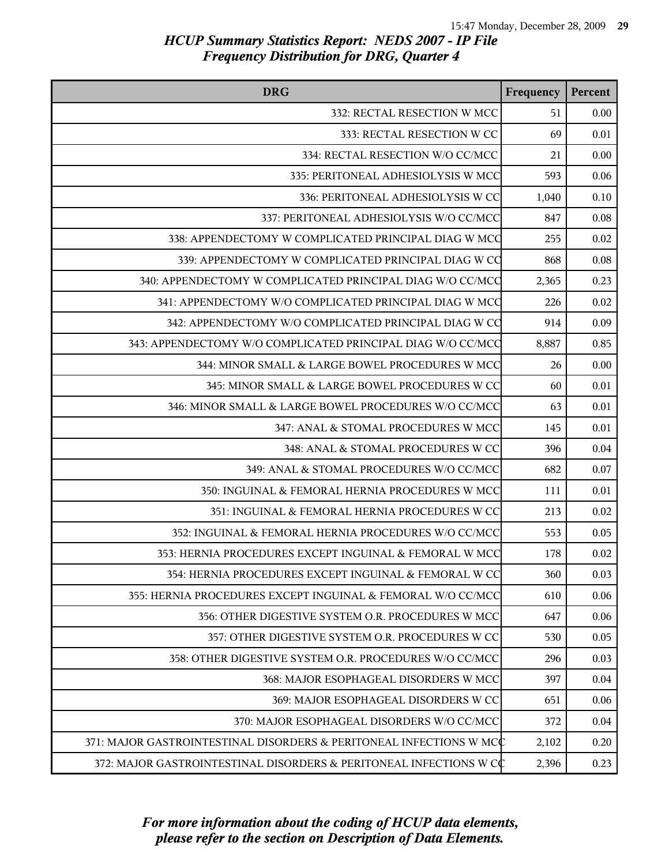| <b>DRG</b>                                                          | Frequency | Percent |
|---------------------------------------------------------------------|-----------|---------|
| 332: RECTAL RESECTION W MCC                                         | 51        | 0.00    |
| 333: RECTAL RESECTION W CC                                          | 69        | 0.01    |
| 334: RECTAL RESECTION W/O CC/MCC                                    | 21        | 0.00    |
| 335: PERITONEAL ADHESIOLYSIS W MCC                                  | 593       | 0.06    |
| 336: PERITONEAL ADHESIOLYSIS W CC                                   | 1,040     | 0.10    |
| 337: PERITONEAL ADHESIOLYSIS W/O CC/MCC                             | 847       | 0.08    |
| 338: APPENDECTOMY W COMPLICATED PRINCIPAL DIAG W MCC                | 255       | 0.02    |
| 339: APPENDECTOMY W COMPLICATED PRINCIPAL DIAG W CO                 | 868       | 0.08    |
| 340: APPENDECTOMY W COMPLICATED PRINCIPAL DIAG W/O CC/MCQ           | 2,365     | 0.23    |
| 341: APPENDECTOMY W/O COMPLICATED PRINCIPAL DIAG W MCC              | 226       | 0.02    |
| 342: APPENDECTOMY W/O COMPLICATED PRINCIPAL DIAG W CO               | 914       | 0.09    |
| 343: APPENDECTOMY W/O COMPLICATED PRINCIPAL DIAG W/O CC/MCC         | 8,887     | 0.85    |
| 344: MINOR SMALL & LARGE BOWEL PROCEDURES W MCC                     | 26        | 0.00    |
| 345: MINOR SMALL & LARGE BOWEL PROCEDURES W CC                      | 60        | 0.01    |
| 346: MINOR SMALL & LARGE BOWEL PROCEDURES W/O CC/MCC                | 63        | 0.01    |
| 347: ANAL & STOMAL PROCEDURES W MCC                                 | 145       | 0.01    |
| 348: ANAL & STOMAL PROCEDURES W CC                                  | 396       | 0.04    |
| 349: ANAL & STOMAL PROCEDURES W/O CC/MCC                            | 682       | 0.07    |
| 350: INGUINAL & FEMORAL HERNIA PROCEDURES W MCC                     | 111       | 0.01    |
| 351: INGUINAL & FEMORAL HERNIA PROCEDURES W CC                      | 213       | 0.02    |
| 352: INGUINAL & FEMORAL HERNIA PROCEDURES W/O CC/MCC                | 553       | 0.05    |
| 353: HERNIA PROCEDURES EXCEPT INGUINAL & FEMORAL W MCC              | 178       | 0.02    |
| 354: HERNIA PROCEDURES EXCEPT INGUINAL & FEMORAL W CC               | 360       | 0.03    |
| 355: HERNIA PROCEDURES EXCEPT INGUINAL & FEMORAL W/O CC/MCC         | 610       | 0.06    |
| 356: OTHER DIGESTIVE SYSTEM O.R. PROCEDURES W MCC                   | 647       | 0.06    |
| 357: OTHER DIGESTIVE SYSTEM O.R. PROCEDURES W CC                    | 530       | 0.05    |
| 358: OTHER DIGESTIVE SYSTEM O.R. PROCEDURES W/O CC/MCC              | 296       | 0.03    |
| 368: MAJOR ESOPHAGEAL DISORDERS W MCC                               | 397       | 0.04    |
| 369: MAJOR ESOPHAGEAL DISORDERS W CC                                | 651       | 0.06    |
| 370: MAJOR ESOPHAGEAL DISORDERS W/O CC/MCC                          | 372       | 0.04    |
| 371: MAJOR GASTROINTESTINAL DISORDERS & PERITONEAL INFECTIONS W MCC | 2,102     | 0.20    |
| 372: MAJOR GASTROINTESTINAL DISORDERS & PERITONEAL INFECTIONS W CC  | 2,396     | 0.23    |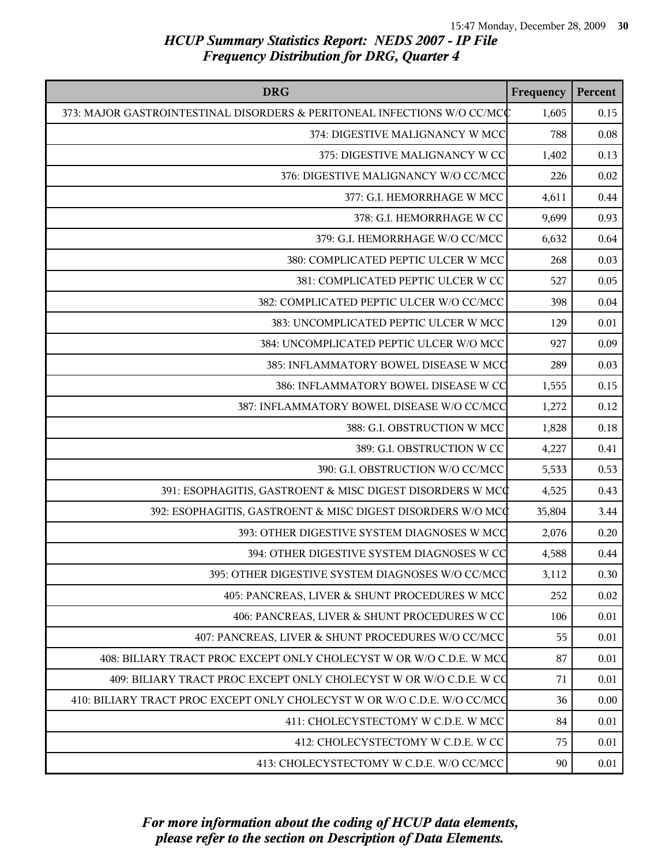| <b>DRG</b>                                                               | Frequency | Percent  |
|--------------------------------------------------------------------------|-----------|----------|
| 373: MAJOR GASTROINTESTINAL DISORDERS & PERITONEAL INFECTIONS W/O CC/MCC | 1,605     | 0.15     |
| 374: DIGESTIVE MALIGNANCY W MCC                                          | 788       | 0.08     |
| 375: DIGESTIVE MALIGNANCY W CC                                           | 1,402     | 0.13     |
| 376: DIGESTIVE MALIGNANCY W/O CC/MCC                                     | 226       | 0.02     |
| 377: G.I. HEMORRHAGE W MCC                                               | 4,611     | 0.44     |
| 378: G.I. HEMORRHAGE W CC                                                | 9,699     | 0.93     |
| 379: G.I. HEMORRHAGE W/O CC/MCC                                          | 6,632     | 0.64     |
| 380: COMPLICATED PEPTIC ULCER W MCC                                      | 268       | 0.03     |
| 381: COMPLICATED PEPTIC ULCER W CC                                       | 527       | 0.05     |
| 382: COMPLICATED PEPTIC ULCER W/O CC/MCC                                 | 398       | 0.04     |
| 383: UNCOMPLICATED PEPTIC ULCER W MCC                                    | 129       | 0.01     |
| 384: UNCOMPLICATED PEPTIC ULCER W/O MCC                                  | 927       | 0.09     |
| 385: INFLAMMATORY BOWEL DISEASE W MCC                                    | 289       | 0.03     |
| 386: INFLAMMATORY BOWEL DISEASE W CC                                     | 1,555     | 0.15     |
| 387: INFLAMMATORY BOWEL DISEASE W/O CC/MCC                               | 1,272     | 0.12     |
| 388: G.I. OBSTRUCTION W MCC                                              | 1,828     | $0.18\,$ |
| 389: G.I. OBSTRUCTION W CC                                               | 4,227     | 0.41     |
| 390: G.I. OBSTRUCTION W/O CC/MCC                                         | 5,533     | 0.53     |
| 391: ESOPHAGITIS, GASTROENT & MISC DIGEST DISORDERS W MCC                | 4,525     | 0.43     |
| 392: ESOPHAGITIS, GASTROENT & MISC DIGEST DISORDERS W/O MCC              | 35,804    | 3.44     |
| 393: OTHER DIGESTIVE SYSTEM DIAGNOSES W MCC                              | 2,076     | 0.20     |
| 394: OTHER DIGESTIVE SYSTEM DIAGNOSES W CC                               | 4,588     | 0.44     |
| 395: OTHER DIGESTIVE SYSTEM DIAGNOSES W/O CC/MCC                         | 3,112     | 0.30     |
| 405: PANCREAS, LIVER & SHUNT PROCEDURES W MCC                            | 252       | $0.02\,$ |
| 406: PANCREAS, LIVER & SHUNT PROCEDURES W CC                             | 106       | 0.01     |
| 407: PANCREAS, LIVER & SHUNT PROCEDURES W/O CC/MCC                       | 55        | 0.01     |
| 408: BILIARY TRACT PROC EXCEPT ONLY CHOLECYST W OR W/O C.D.E. W MCC      | 87        | 0.01     |
| 409: BILIARY TRACT PROC EXCEPT ONLY CHOLECYST W OR W/O C.D.E. W CQ       | 71        | 0.01     |
| 410: BILIARY TRACT PROC EXCEPT ONLY CHOLECYST W OR W/O C.D.E. W/O CC/MCQ | 36        | 0.00     |
| 411: CHOLECYSTECTOMY W C.D.E. W MCC                                      | 84        | 0.01     |
| 412: CHOLECYSTECTOMY W C.D.E. W CC                                       | 75        | 0.01     |
| 413: CHOLECYSTECTOMY W C.D.E. W/O CC/MCC                                 | 90        | 0.01     |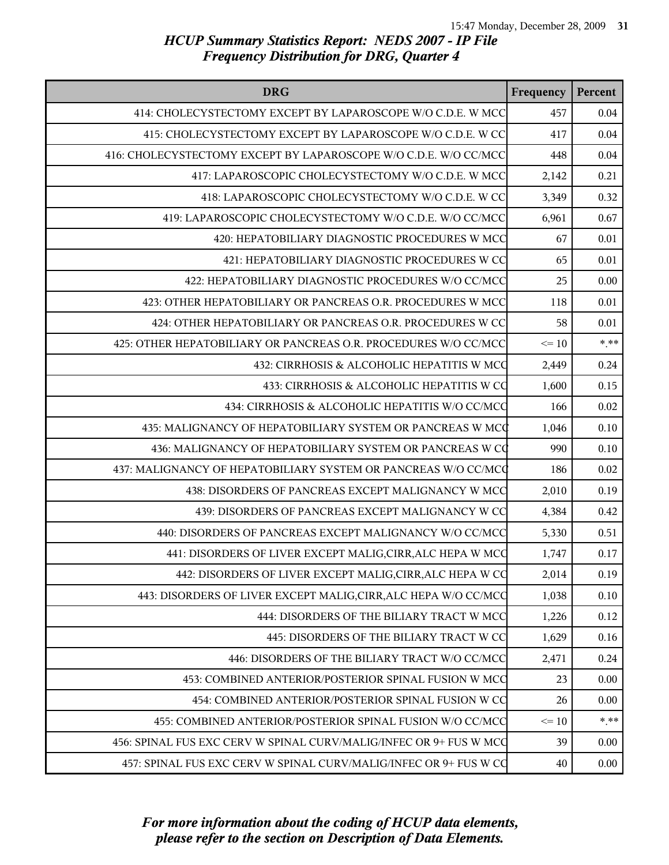| <b>DRG</b>                                                         | Frequency | Percent  |
|--------------------------------------------------------------------|-----------|----------|
| 414: CHOLECYSTECTOMY EXCEPT BY LAPAROSCOPE W/O C.D.E. W MCC        | 457       | 0.04     |
| 415: CHOLECYSTECTOMY EXCEPT BY LAPAROSCOPE W/O C.D.E. W CC         | 417       | 0.04     |
| 416: CHOLECYSTECTOMY EXCEPT BY LAPAROSCOPE W/O C.D.E. W/O CC/MCC   | 448       | $0.04\,$ |
| 417: LAPAROSCOPIC CHOLECYSTECTOMY W/O C.D.E. W MCC                 | 2,142     | 0.21     |
| 418: LAPAROSCOPIC CHOLECYSTECTOMY W/O C.D.E. W CC                  | 3,349     | 0.32     |
| 419: LAPAROSCOPIC CHOLECYSTECTOMY W/O C.D.E. W/O CC/MCC            | 6,961     | 0.67     |
| 420: HEPATOBILIARY DIAGNOSTIC PROCEDURES W MCC                     | 67        | 0.01     |
| 421: HEPATOBILIARY DIAGNOSTIC PROCEDURES W CC                      | 65        | 0.01     |
| 422: HEPATOBILIARY DIAGNOSTIC PROCEDURES W/O CC/MCC                | 25        | 0.00     |
| 423: OTHER HEPATOBILIARY OR PANCREAS O.R. PROCEDURES W MCC         | 118       | 0.01     |
| 424: OTHER HEPATOBILIARY OR PANCREAS O.R. PROCEDURES W CC          | 58        | 0.01     |
| 425: OTHER HEPATOBILIARY OR PANCREAS O.R. PROCEDURES W/O CC/MCC    | $\leq 10$ | $***$    |
| 432: CIRRHOSIS & ALCOHOLIC HEPATITIS W MCC                         | 2,449     | 0.24     |
| 433: CIRRHOSIS & ALCOHOLIC HEPATITIS W CO                          | 1,600     | 0.15     |
| 434: CIRRHOSIS & ALCOHOLIC HEPATITIS W/O CC/MCC                    | 166       | 0.02     |
| 435: MALIGNANCY OF HEPATOBILIARY SYSTEM OR PANCREAS W MCC          | 1,046     | 0.10     |
| 436: MALIGNANCY OF HEPATOBILIARY SYSTEM OR PANCREAS W CQ           | 990       | 0.10     |
| 437: MALIGNANCY OF HEPATOBILIARY SYSTEM OR PANCREAS W/O CC/MCQ     | 186       | 0.02     |
| 438: DISORDERS OF PANCREAS EXCEPT MALIGNANCY W MCC                 | 2,010     | 0.19     |
| 439: DISORDERS OF PANCREAS EXCEPT MALIGNANCY W CC                  | 4,384     | 0.42     |
| 440: DISORDERS OF PANCREAS EXCEPT MALIGNANCY W/O CC/MCC            | 5,330     | 0.51     |
| 441: DISORDERS OF LIVER EXCEPT MALIG, CIRR, ALC HEPA W MCC         | 1,747     | 0.17     |
| 442: DISORDERS OF LIVER EXCEPT MALIG, CIRR, ALC HEPA W CO          | 2,014     | 0.19     |
| 443: DISORDERS OF LIVER EXCEPT MALIG, CIRR, ALC HEPA W/O CC/MCC    | 1,038     | 0.10     |
| 444: DISORDERS OF THE BILIARY TRACT W MCC                          | 1,226     | 0.12     |
| 445: DISORDERS OF THE BILIARY TRACT W CC                           | 1,629     | 0.16     |
| 446: DISORDERS OF THE BILIARY TRACT W/O CC/MCC                     | 2,471     | 0.24     |
| 453: COMBINED ANTERIOR/POSTERIOR SPINAL FUSION W MCC               | 23        | 0.00     |
| 454: COMBINED ANTERIOR/POSTERIOR SPINAL FUSION W CC                | 26        | 0.00     |
| 455: COMBINED ANTERIOR/POSTERIOR SPINAL FUSION W/O CC/MCC          | $\leq 10$ | $***$    |
| 456: SPINAL FUS EXC CERV W SPINAL CURV/MALIG/INFEC OR 9+ FUS W MCC | 39        | 0.00     |
| 457: SPINAL FUS EXC CERV W SPINAL CURV/MALIG/INFEC OR 9+ FUS W CO  | 40        | 0.00     |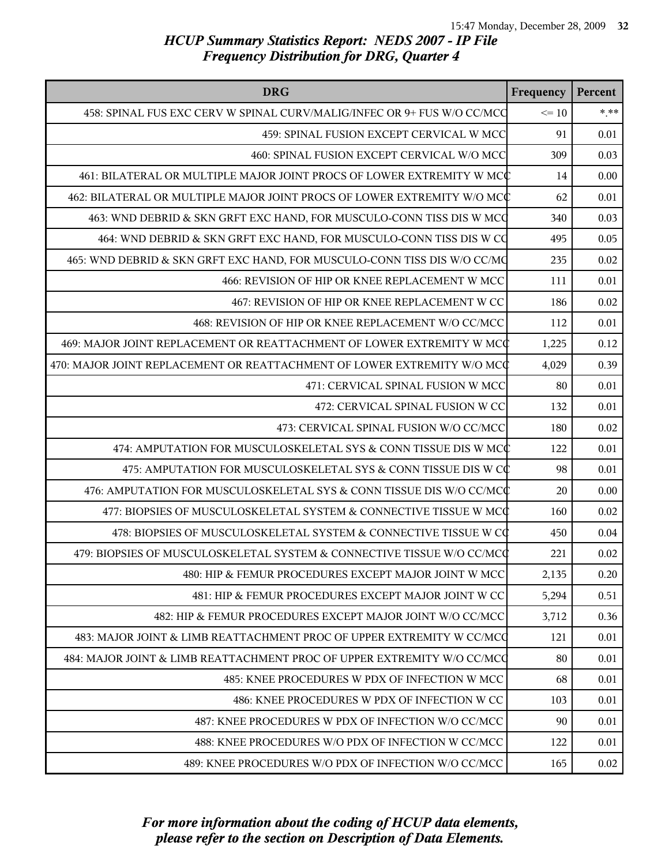| <b>DRG</b>                                                               | Frequency | Percent |
|--------------------------------------------------------------------------|-----------|---------|
| 458: SPINAL FUS EXC CERV W SPINAL CURV/MALIG/INFEC OR 9+ FUS W/O CC/MCC  | $\leq 10$ | $* * *$ |
| 459: SPINAL FUSION EXCEPT CERVICAL W MCC                                 | 91        | 0.01    |
| 460: SPINAL FUSION EXCEPT CERVICAL W/O MCC                               | 309       | 0.03    |
| 461: BILATERAL OR MULTIPLE MAJOR JOINT PROCS OF LOWER EXTREMITY W MCC    | 14        | 0.00    |
| 462: BILATERAL OR MULTIPLE MAJOR JOINT PROCS OF LOWER EXTREMITY W/O MCC  | 62        | 0.01    |
| 463: WND DEBRID & SKN GRFT EXC HAND, FOR MUSCULO-CONN TISS DIS W MCC     | 340       | 0.03    |
| 464: WND DEBRID & SKN GRFT EXC HAND, FOR MUSCULO-CONN TISS DIS W CQ      | 495       | 0.05    |
| 465: WND DEBRID & SKN GRFT EXC HAND, FOR MUSCULO-CONN TISS DIS W/O CC/MQ | 235       | 0.02    |
| 466: REVISION OF HIP OR KNEE REPLACEMENT W MCC                           | 111       | 0.01    |
| 467: REVISION OF HIP OR KNEE REPLACEMENT W CC                            | 186       | 0.02    |
| 468: REVISION OF HIP OR KNEE REPLACEMENT W/O CC/MCC                      | 112       | 0.01    |
| 469: MAJOR JOINT REPLACEMENT OR REATTACHMENT OF LOWER EXTREMITY W MCC    | 1,225     | 0.12    |
| 470: MAJOR JOINT REPLACEMENT OR REATTACHMENT OF LOWER EXTREMITY W/O MCC  | 4,029     | 0.39    |
| 471: CERVICAL SPINAL FUSION W MCC                                        | 80        | 0.01    |
| 472: CERVICAL SPINAL FUSION W CC                                         | 132       | 0.01    |
| 473: CERVICAL SPINAL FUSION W/O CC/MCC                                   | 180       | 0.02    |
| 474: AMPUTATION FOR MUSCULOSKELETAL SYS & CONN TISSUE DIS W MCC          | 122       | 0.01    |
| 475: AMPUTATION FOR MUSCULOSKELETAL SYS & CONN TISSUE DIS W CC           | 98        | 0.01    |
| 476: AMPUTATION FOR MUSCULOSKELETAL SYS & CONN TISSUE DIS W/O CC/MCC     | 20        | 0.00    |
| 477: BIOPSIES OF MUSCULOSKELETAL SYSTEM & CONNECTIVE TISSUE W MCC        | 160       | 0.02    |
| 478: BIOPSIES OF MUSCULOSKELETAL SYSTEM & CONNECTIVE TISSUE W CC         | 450       | 0.04    |
| 479: BIOPSIES OF MUSCULOSKELETAL SYSTEM & CONNECTIVE TISSUE W/O CC/MCC   | 221       | 0.02    |
| 480: HIP & FEMUR PROCEDURES EXCEPT MAJOR JOINT W MCC                     | 2,135     | 0.20    |
| 481: HIP & FEMUR PROCEDURES EXCEPT MAJOR JOINT W CC                      | 5,294     | 0.51    |
| 482: HIP & FEMUR PROCEDURES EXCEPT MAJOR JOINT W/O CC/MCC                | 3,712     | 0.36    |
| 483: MAJOR JOINT & LIMB REATTACHMENT PROC OF UPPER EXTREMITY W CC/MCC    | 121       | 0.01    |
| 484: MAJOR JOINT & LIMB REATTACHMENT PROC OF UPPER EXTREMITY W/O CC/MCQ  | 80        | 0.01    |
| 485: KNEE PROCEDURES W PDX OF INFECTION W MCC                            | 68        | 0.01    |
| 486: KNEE PROCEDURES W PDX OF INFECTION W CC                             | 103       | 0.01    |
| 487: KNEE PROCEDURES W PDX OF INFECTION W/O CC/MCC                       | 90        | 0.01    |
| 488: KNEE PROCEDURES W/O PDX OF INFECTION W CC/MCC                       | 122       | 0.01    |
| 489: KNEE PROCEDURES W/O PDX OF INFECTION W/O CC/MCC                     | 165       | 0.02    |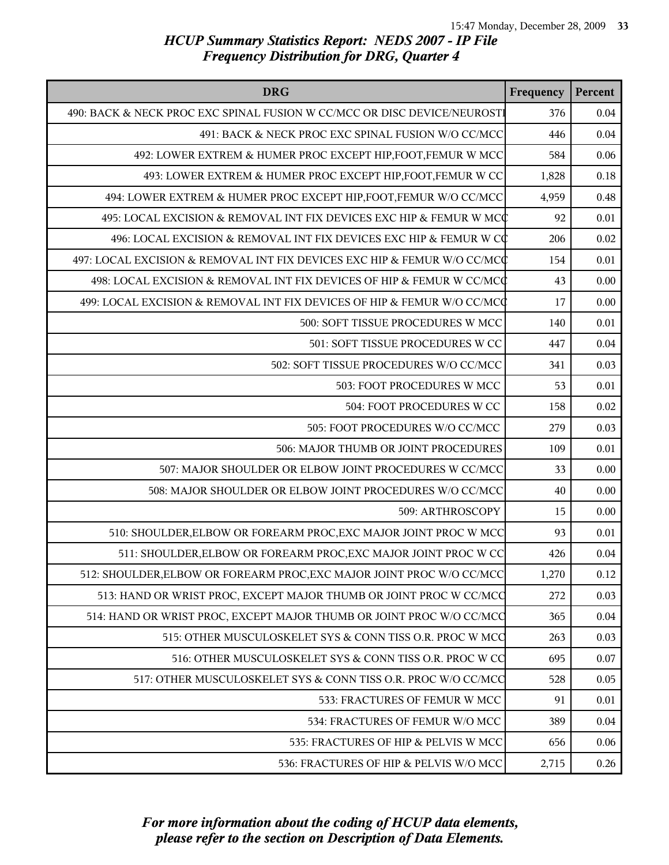| <b>DRG</b>                                                               | Frequency | Percent  |
|--------------------------------------------------------------------------|-----------|----------|
| 490: BACK & NECK PROC EXC SPINAL FUSION W CC/MCC OR DISC DEVICE/NEUROSTI | 376       | 0.04     |
| 491: BACK & NECK PROC EXC SPINAL FUSION W/O CC/MCC                       | 446       | 0.04     |
| 492: LOWER EXTREM & HUMER PROC EXCEPT HIP, FOOT, FEMUR W MCC             | 584       | 0.06     |
| 493: LOWER EXTREM & HUMER PROC EXCEPT HIP, FOOT, FEMUR W CC              | 1,828     | $0.18\,$ |
| 494: LOWER EXTREM & HUMER PROC EXCEPT HIP, FOOT, FEMUR W/O CC/MCC        | 4,959     | 0.48     |
| 495: LOCAL EXCISION & REMOVAL INT FIX DEVICES EXC HIP & FEMUR W MCC      | 92        | 0.01     |
| 496: LOCAL EXCISION & REMOVAL INT FIX DEVICES EXC HIP & FEMUR W CC       | 206       | 0.02     |
| 497: LOCAL EXCISION & REMOVAL INT FIX DEVICES EXC HIP & FEMUR W/O CC/MCC | 154       | $0.01\,$ |
| 498: LOCAL EXCISION & REMOVAL INT FIX DEVICES OF HIP & FEMUR W CC/MCC    | 43        | 0.00     |
| 499: LOCAL EXCISION & REMOVAL INT FIX DEVICES OF HIP & FEMUR W/O CC/MCC  | 17        | 0.00     |
| 500: SOFT TISSUE PROCEDURES W MCC                                        | 140       | 0.01     |
| 501: SOFT TISSUE PROCEDURES W CC                                         | 447       | 0.04     |
| 502: SOFT TISSUE PROCEDURES W/O CC/MCC                                   | 341       | 0.03     |
| 503: FOOT PROCEDURES W MCC                                               | 53        | 0.01     |
| 504: FOOT PROCEDURES W CC                                                | 158       | 0.02     |
| 505: FOOT PROCEDURES W/O CC/MCC                                          | 279       | 0.03     |
| 506: MAJOR THUMB OR JOINT PROCEDURES                                     | 109       | 0.01     |
| 507: MAJOR SHOULDER OR ELBOW JOINT PROCEDURES W CC/MCC                   | 33        | 0.00     |
| 508: MAJOR SHOULDER OR ELBOW JOINT PROCEDURES W/O CC/MCC                 | 40        | 0.00     |
| 509: ARTHROSCOPY                                                         | 15        | 0.00     |
| 510: SHOULDER, ELBOW OR FOREARM PROC, EXC MAJOR JOINT PROC W MCC         | 93        | 0.01     |
| 511: SHOULDER, ELBOW OR FOREARM PROC, EXC MAJOR JOINT PROC W CC          | 426       | 0.04     |
| 512: SHOULDER, ELBOW OR FOREARM PROC, EXC MAJOR JOINT PROC W/O CC/MCC    | 1,270     | 0.12     |
| 513: HAND OR WRIST PROC, EXCEPT MAJOR THUMB OR JOINT PROC W CC/MCC       | 272       | 0.03     |
| 514: HAND OR WRIST PROC, EXCEPT MAJOR THUMB OR JOINT PROC W/O CC/MCC     | 365       | 0.04     |
| 515: OTHER MUSCULOSKELET SYS & CONN TISS O.R. PROC W MCC                 | 263       | 0.03     |
| 516: OTHER MUSCULOSKELET SYS & CONN TISS O.R. PROC W CC                  | 695       | 0.07     |
| 517: OTHER MUSCULOSKELET SYS & CONN TISS O.R. PROC W/O CC/MCC            | 528       | 0.05     |
| 533: FRACTURES OF FEMUR W MCC                                            | 91        | 0.01     |
| 534: FRACTURES OF FEMUR W/O MCC                                          | 389       | 0.04     |
| 535: FRACTURES OF HIP & PELVIS W MCC                                     | 656       | 0.06     |
| 536: FRACTURES OF HIP & PELVIS W/O MCC                                   | 2,715     | 0.26     |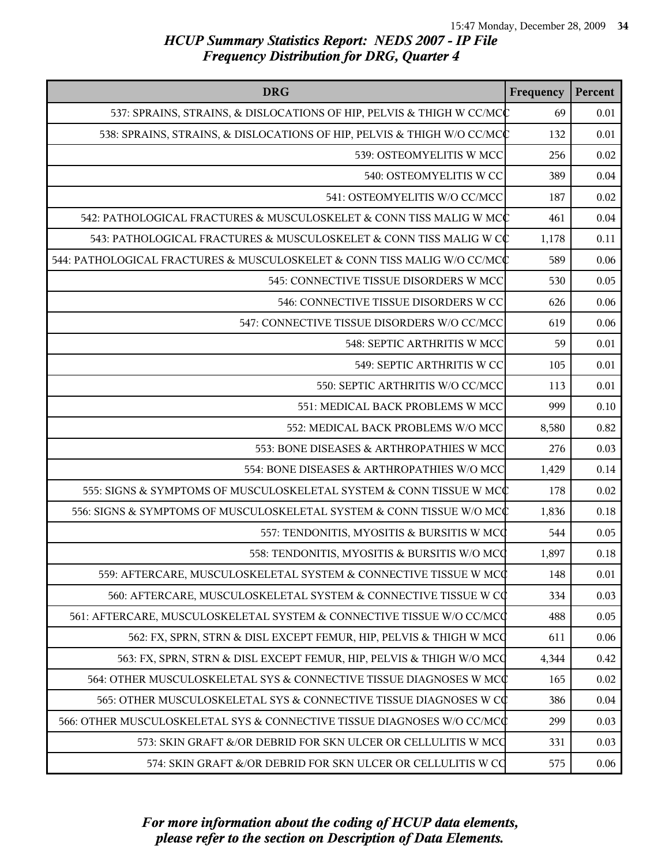| <b>DRG</b>                                                               | Frequency | Percent  |
|--------------------------------------------------------------------------|-----------|----------|
| 537: SPRAINS, STRAINS, & DISLOCATIONS OF HIP, PELVIS & THIGH W CC/MCC    | 69        | 0.01     |
| 538: SPRAINS, STRAINS, & DISLOCATIONS OF HIP, PELVIS & THIGH W/O CC/MCC  | 132       | 0.01     |
| 539: OSTEOMYELITIS W MCC                                                 | 256       | $0.02\,$ |
| 540: OSTEOMYELITIS W CC                                                  | 389       | 0.04     |
| 541: OSTEOMYELITIS W/O CC/MCC                                            | 187       | 0.02     |
| 542: PATHOLOGICAL FRACTURES & MUSCULOSKELET & CONN TISS MALIG W MCC      | 461       | 0.04     |
| 543: PATHOLOGICAL FRACTURES & MUSCULOSKELET & CONN TISS MALIG W CC       | 1,178     | 0.11     |
| 544: PATHOLOGICAL FRACTURES & MUSCULOSKELET & CONN TISS MALIG W/O CC/MCC | 589       | 0.06     |
| 545: CONNECTIVE TISSUE DISORDERS W MCC                                   | 530       | 0.05     |
| 546: CONNECTIVE TISSUE DISORDERS W CC                                    | 626       | 0.06     |
| 547: CONNECTIVE TISSUE DISORDERS W/O CC/MCC                              | 619       | 0.06     |
| 548: SEPTIC ARTHRITIS W MCC                                              | 59        | 0.01     |
| 549: SEPTIC ARTHRITIS W CC                                               | 105       | 0.01     |
| 550: SEPTIC ARTHRITIS W/O CC/MCC                                         | 113       | 0.01     |
| 551: MEDICAL BACK PROBLEMS W MCC                                         | 999       | 0.10     |
| 552: MEDICAL BACK PROBLEMS W/O MCC                                       | 8,580     | 0.82     |
| 553: BONE DISEASES & ARTHROPATHIES W MCC                                 | 276       | 0.03     |
| 554: BONE DISEASES & ARTHROPATHIES W/O MCC                               | 1,429     | 0.14     |
| 555: SIGNS & SYMPTOMS OF MUSCULOSKELETAL SYSTEM & CONN TISSUE W MCC      | 178       | 0.02     |
| 556: SIGNS & SYMPTOMS OF MUSCULOSKELETAL SYSTEM & CONN TISSUE W/O MCC    | 1,836     | 0.18     |
| 557: TENDONITIS, MYOSITIS & BURSITIS W MCC                               | 544       | 0.05     |
| 558: TENDONITIS, MYOSITIS & BURSITIS W/O MCC                             | 1,897     | 0.18     |
| 559: AFTERCARE, MUSCULOSKELETAL SYSTEM & CONNECTIVE TISSUE W MCC         | 148       | 0.01     |
| 560: AFTERCARE, MUSCULOSKELETAL SYSTEM & CONNECTIVE TISSUE W CQ          | 334       | 0.03     |
| 561: AFTERCARE, MUSCULOSKELETAL SYSTEM & CONNECTIVE TISSUE W/O CC/MCC    | 488       | 0.05     |
| 562: FX, SPRN, STRN & DISL EXCEPT FEMUR, HIP, PELVIS & THIGH W MCC       | 611       | 0.06     |
| 563: FX, SPRN, STRN & DISL EXCEPT FEMUR, HIP, PELVIS & THIGH W/O MCC     | 4,344     | 0.42     |
| 564: OTHER MUSCULOSKELETAL SYS & CONNECTIVE TISSUE DIAGNOSES W MCC       | 165       | 0.02     |
| 565: OTHER MUSCULOSKELETAL SYS & CONNECTIVE TISSUE DIAGNOSES W CC        | 386       | 0.04     |
| 566: OTHER MUSCULOSKELETAL SYS & CONNECTIVE TISSUE DIAGNOSES W/O CC/MCC  | 299       | 0.03     |
| 573: SKIN GRAFT &/OR DEBRID FOR SKN ULCER OR CELLULITIS W MCC            | 331       | 0.03     |
| 574: SKIN GRAFT &/OR DEBRID FOR SKN ULCER OR CELLULITIS W CO             | 575       | 0.06     |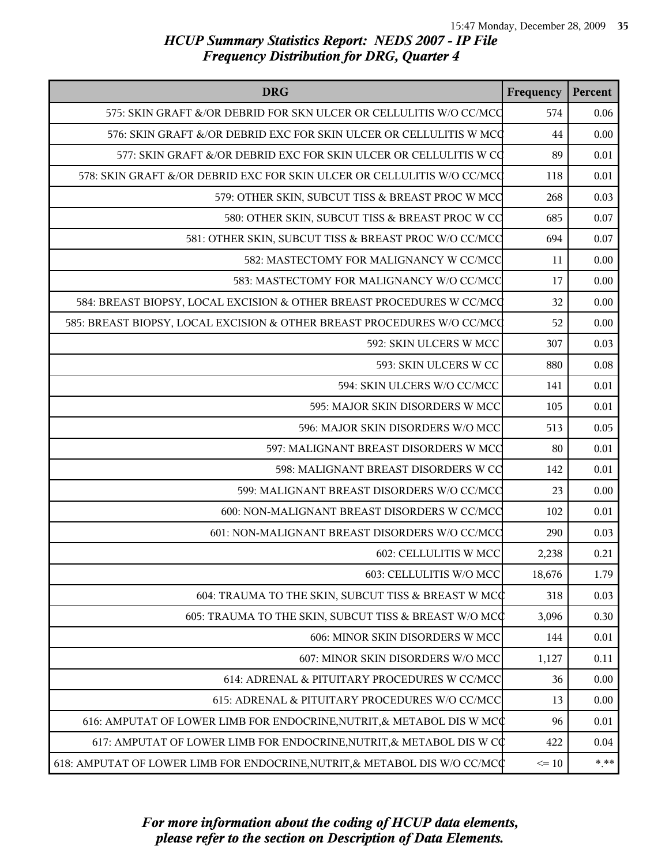| <b>DRG</b>                                                                 | Frequency | Percent |
|----------------------------------------------------------------------------|-----------|---------|
| 575: SKIN GRAFT &/OR DEBRID FOR SKN ULCER OR CELLULITIS W/O CC/MCC         | 574       | 0.06    |
| 576: SKIN GRAFT &/OR DEBRID EXC FOR SKIN ULCER OR CELLULITIS W MCC         | 44        | 0.00    |
| 577: SKIN GRAFT &/OR DEBRID EXC FOR SKIN ULCER OR CELLULITIS W CQ          | 89        | 0.01    |
| 578: SKIN GRAFT &/OR DEBRID EXC FOR SKIN ULCER OR CELLULITIS W/O CC/MCQ    | 118       | 0.01    |
| 579: OTHER SKIN, SUBCUT TISS & BREAST PROC W MCC                           | 268       | 0.03    |
| 580: OTHER SKIN, SUBCUT TISS & BREAST PROC W CC                            | 685       | 0.07    |
| 581: OTHER SKIN, SUBCUT TISS & BREAST PROC W/O CC/MCC                      | 694       | 0.07    |
| 582: MASTECTOMY FOR MALIGNANCY W CC/MCC                                    | 11        | 0.00    |
| 583: MASTECTOMY FOR MALIGNANCY W/O CC/MCC                                  | 17        | 0.00    |
| 584: BREAST BIOPSY, LOCAL EXCISION & OTHER BREAST PROCEDURES W CC/MCQ      | 32        | 0.00    |
| 585: BREAST BIOPSY, LOCAL EXCISION & OTHER BREAST PROCEDURES W/O CC/MCQ    | 52        | 0.00    |
| 592: SKIN ULCERS W MCC                                                     | 307       | 0.03    |
| 593: SKIN ULCERS W CC                                                      | 880       | 0.08    |
| 594: SKIN ULCERS W/O CC/MCC                                                | 141       | 0.01    |
| 595: MAJOR SKIN DISORDERS W MCC                                            | 105       | 0.01    |
| 596: MAJOR SKIN DISORDERS W/O MCC                                          | 513       | 0.05    |
| 597: MALIGNANT BREAST DISORDERS W MCC                                      | 80        | 0.01    |
| 598: MALIGNANT BREAST DISORDERS W CC                                       | 142       | 0.01    |
| 599: MALIGNANT BREAST DISORDERS W/O CC/MCC                                 | 23        | 0.00    |
| 600: NON-MALIGNANT BREAST DISORDERS W CC/MCC                               | 102       | 0.01    |
| 601: NON-MALIGNANT BREAST DISORDERS W/O CC/MCC                             | 290       | 0.03    |
| 602: CELLULITIS W MCC                                                      | 2,238     | 0.21    |
| 603: CELLULITIS W/O MCC                                                    | 18,676    | 1.79    |
| 604: TRAUMA TO THE SKIN, SUBCUT TISS & BREAST W MCC                        | 318       | 0.03    |
| 605: TRAUMA TO THE SKIN, SUBCUT TISS & BREAST W/O MCC                      | 3,096     | 0.30    |
| 606: MINOR SKIN DISORDERS W MCC                                            | 144       | 0.01    |
| 607: MINOR SKIN DISORDERS W/O MCC                                          | 1,127     | 0.11    |
| 614: ADRENAL & PITUITARY PROCEDURES W CC/MCC                               | 36        | 0.00    |
| 615: ADRENAL & PITUITARY PROCEDURES W/O CC/MCC                             | 13        | 0.00    |
| 616: AMPUTAT OF LOWER LIMB FOR ENDOCRINE, NUTRIT, & METABOL DIS W MCC      | 96        | 0.01    |
| 617: AMPUTAT OF LOWER LIMB FOR ENDOCRINE, NUTRIT, & METABOL DIS W CC       | 422       | 0.04    |
| 618: AMPUTAT OF LOWER LIMB FOR ENDOCRINE, NUTRIT, & METABOL DIS W/O CC/MCC | $\leq 10$ | $* * *$ |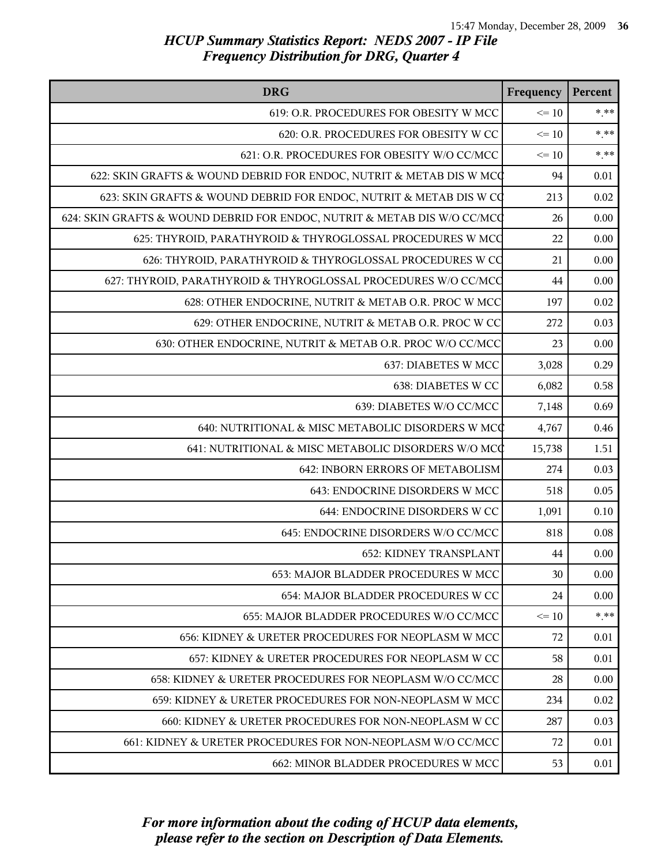| <b>DRG</b>                                                               | Frequency | Percent  |
|--------------------------------------------------------------------------|-----------|----------|
| 619: O.R. PROCEDURES FOR OBESITY W MCC                                   | $\leq 10$ | $***$    |
| 620: O.R. PROCEDURES FOR OBESITY W CC                                    | $\leq 10$ | $*$ **   |
| 621: O.R. PROCEDURES FOR OBESITY W/O CC/MCC                              | $\leq 10$ | $* * *$  |
| 622: SKIN GRAFTS & WOUND DEBRID FOR ENDOC, NUTRIT & METAB DIS W MCC      | 94        | 0.01     |
| 623: SKIN GRAFTS & WOUND DEBRID FOR ENDOC, NUTRIT & METAB DIS W CO       | 213       | $0.02\,$ |
| 624: SKIN GRAFTS & WOUND DEBRID FOR ENDOC, NUTRIT & METAB DIS W/O CC/MCQ | 26        | 0.00     |
| 625: THYROID, PARATHYROID & THYROGLOSSAL PROCEDURES W MCC                | 22        | 0.00     |
| 626: THYROID, PARATHYROID & THYROGLOSSAL PROCEDURES W CO                 | 21        | 0.00     |
| 627: THYROID, PARATHYROID & THYROGLOSSAL PROCEDURES W/O CC/MCC           | 44        | 0.00     |
| 628: OTHER ENDOCRINE, NUTRIT & METAB O.R. PROC W MCC                     | 197       | $0.02\,$ |
| 629: OTHER ENDOCRINE, NUTRIT & METAB O.R. PROC W CC                      | 272       | 0.03     |
| 630: OTHER ENDOCRINE, NUTRIT & METAB O.R. PROC W/O CC/MCC                | 23        | 0.00     |
| 637: DIABETES W MCC                                                      | 3,028     | 0.29     |
| 638: DIABETES W CC                                                       | 6,082     | 0.58     |
| 639: DIABETES W/O CC/MCC                                                 | 7,148     | 0.69     |
| 640: NUTRITIONAL & MISC METABOLIC DISORDERS W MCC                        | 4,767     | 0.46     |
| 641: NUTRITIONAL & MISC METABOLIC DISORDERS W/O MCC                      | 15,738    | 1.51     |
| 642: INBORN ERRORS OF METABOLISM                                         | 274       | 0.03     |
| 643: ENDOCRINE DISORDERS W MCC                                           | 518       | 0.05     |
| 644: ENDOCRINE DISORDERS W CC                                            | 1,091     | $0.10\,$ |
| 645: ENDOCRINE DISORDERS W/O CC/MCC                                      | 818       | 0.08     |
| 652: KIDNEY TRANSPLANT                                                   | 44        | 0.00     |
| 653: MAJOR BLADDER PROCEDURES W MCC                                      | 30        | 0.00     |
| 654: MAJOR BLADDER PROCEDURES W CC                                       | 24        | 0.00     |
| 655: MAJOR BLADDER PROCEDURES W/O CC/MCC                                 | $\leq 10$ | $*$ **   |
| 656: KIDNEY & URETER PROCEDURES FOR NEOPLASM W MCC                       | 72        | 0.01     |
| 657: KIDNEY & URETER PROCEDURES FOR NEOPLASM W CC                        | 58        | 0.01     |
| 658: KIDNEY & URETER PROCEDURES FOR NEOPLASM W/O CC/MCC                  | 28        | 0.00     |
| 659: KIDNEY & URETER PROCEDURES FOR NON-NEOPLASM W MCC                   | 234       | 0.02     |
| 660: KIDNEY & URETER PROCEDURES FOR NON-NEOPLASM W CC                    | 287       | 0.03     |
| 661: KIDNEY & URETER PROCEDURES FOR NON-NEOPLASM W/O CC/MCC              | 72        | 0.01     |
| 662: MINOR BLADDER PROCEDURES W MCC                                      | 53        | 0.01     |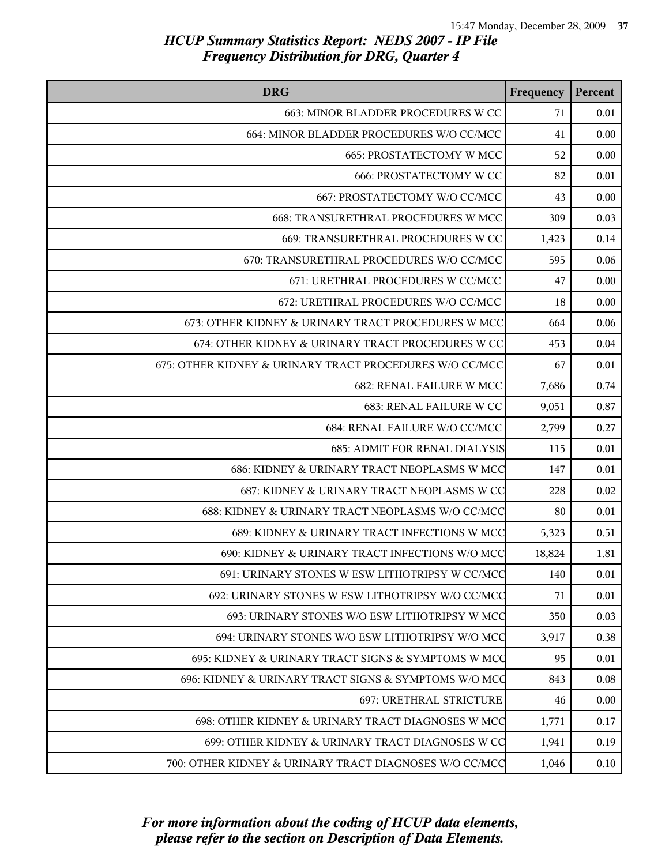| <b>DRG</b>                                              | Frequency | Percent |
|---------------------------------------------------------|-----------|---------|
| 663: MINOR BLADDER PROCEDURES W CC                      | 71        | 0.01    |
| 664: MINOR BLADDER PROCEDURES W/O CC/MCC                | 41        | 0.00    |
| 665: PROSTATECTOMY W MCC                                | 52        | 0.00    |
| <b>666: PROSTATECTOMY W CC</b>                          | 82        | 0.01    |
| 667: PROSTATECTOMY W/O CC/MCC                           | 43        | 0.00    |
| 668: TRANSURETHRAL PROCEDURES W MCC                     | 309       | 0.03    |
| 669: TRANSURETHRAL PROCEDURES W CC                      | 1,423     | 0.14    |
| 670: TRANSURETHRAL PROCEDURES W/O CC/MCC                | 595       | 0.06    |
| 671: URETHRAL PROCEDURES W CC/MCC                       | 47        | 0.00    |
| 672: URETHRAL PROCEDURES W/O CC/MCC                     | 18        | 0.00    |
| 673: OTHER KIDNEY & URINARY TRACT PROCEDURES W MCC      | 664       | 0.06    |
| 674: OTHER KIDNEY & URINARY TRACT PROCEDURES W CC       | 453       | 0.04    |
| 675: OTHER KIDNEY & URINARY TRACT PROCEDURES W/O CC/MCC | 67        | 0.01    |
| <b>682: RENAL FAILURE W MCC</b>                         | 7,686     | 0.74    |
| 683: RENAL FAILURE W CC                                 | 9,051     | 0.87    |
| 684: RENAL FAILURE W/O CC/MCC                           | 2,799     | 0.27    |
| <b>685: ADMIT FOR RENAL DIALYSIS</b>                    | 115       | 0.01    |
| 686: KIDNEY & URINARY TRACT NEOPLASMS W MCC             | 147       | 0.01    |
| 687: KIDNEY & URINARY TRACT NEOPLASMS W CC              | 228       | 0.02    |
| 688: KIDNEY & URINARY TRACT NEOPLASMS W/O CC/MCC        | 80        | 0.01    |
| 689: KIDNEY & URINARY TRACT INFECTIONS W MCC            | 5,323     | 0.51    |
| 690: KIDNEY & URINARY TRACT INFECTIONS W/O MCC          | 18,824    | 1.81    |
| 691: URINARY STONES W ESW LITHOTRIPSY W CC/MCC          | 140       | 0.01    |
| 692: URINARY STONES W ESW LITHOTRIPSY W/O CC/MCC        | 71        | 0.01    |
| 693: URINARY STONES W/O ESW LITHOTRIPSY W MCC           | 350       | 0.03    |
| 694: URINARY STONES W/O ESW LITHOTRIPSY W/O MCC         | 3,917     | 0.38    |
| 695: KIDNEY & URINARY TRACT SIGNS & SYMPTOMS W MCC      | 95        | 0.01    |
| 696: KIDNEY & URINARY TRACT SIGNS & SYMPTOMS W/O MCC    | 843       | 0.08    |
| 697: URETHRAL STRICTURE                                 | 46        | 0.00    |
| 698: OTHER KIDNEY & URINARY TRACT DIAGNOSES W MCC       | 1,771     | 0.17    |
| 699: OTHER KIDNEY & URINARY TRACT DIAGNOSES W CO        | 1,941     | 0.19    |
| 700: OTHER KIDNEY & URINARY TRACT DIAGNOSES W/O CC/MCC  | 1,046     | 0.10    |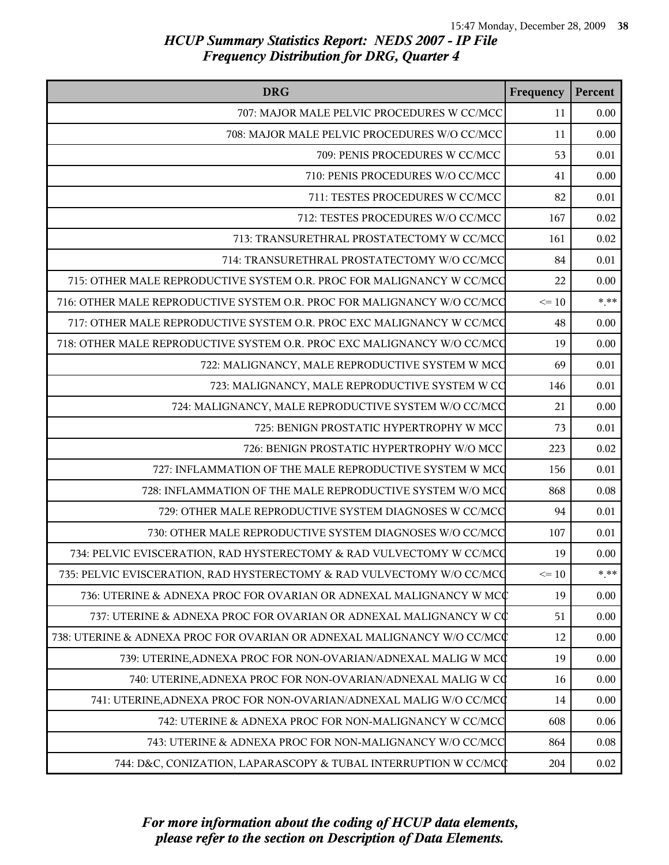| <b>DRG</b>                                                              | Frequency | Percent |
|-------------------------------------------------------------------------|-----------|---------|
| 707: MAJOR MALE PELVIC PROCEDURES W CC/MCC                              | 11        | 0.00    |
| 708: MAJOR MALE PELVIC PROCEDURES W/O CC/MCC                            | 11        | 0.00    |
| 709: PENIS PROCEDURES W CC/MCC                                          | 53        | 0.01    |
| 710: PENIS PROCEDURES W/O CC/MCC                                        | 41        | 0.00    |
| 711: TESTES PROCEDURES W CC/MCC                                         | 82        | 0.01    |
| 712: TESTES PROCEDURES W/O CC/MCC                                       | 167       | 0.02    |
| 713: TRANSURETHRAL PROSTATECTOMY W CC/MCC                               | 161       | 0.02    |
| 714: TRANSURETHRAL PROSTATECTOMY W/O CC/MCC                             | 84        | 0.01    |
| 715: OTHER MALE REPRODUCTIVE SYSTEM O.R. PROC FOR MALIGNANCY W CC/MCC   | 22        | 0.00    |
| 716: OTHER MALE REPRODUCTIVE SYSTEM O.R. PROC FOR MALIGNANCY W/O CC/MCC | $\leq 10$ | $*.**$  |
| 717: OTHER MALE REPRODUCTIVE SYSTEM O.R. PROC EXC MALIGNANCY W CC/MCC   | 48        | 0.00    |
| 718: OTHER MALE REPRODUCTIVE SYSTEM O.R. PROC EXC MALIGNANCY W/O CC/MCC | 19        | 0.00    |
| 722: MALIGNANCY, MALE REPRODUCTIVE SYSTEM W MCC                         | 69        | 0.01    |
| 723: MALIGNANCY, MALE REPRODUCTIVE SYSTEM W CO                          | 146       | 0.01    |
| 724: MALIGNANCY, MALE REPRODUCTIVE SYSTEM W/O CC/MCC                    | 21        | 0.00    |
| 725: BENIGN PROSTATIC HYPERTROPHY W MCC                                 | 73        | 0.01    |
| 726: BENIGN PROSTATIC HYPERTROPHY W/O MCC                               | 223       | 0.02    |
| 727: INFLAMMATION OF THE MALE REPRODUCTIVE SYSTEM W MCC                 | 156       | 0.01    |
| 728: INFLAMMATION OF THE MALE REPRODUCTIVE SYSTEM W/O MCC               | 868       | 0.08    |
| 729: OTHER MALE REPRODUCTIVE SYSTEM DIAGNOSES W CC/MCC                  | 94        | 0.01    |
| 730: OTHER MALE REPRODUCTIVE SYSTEM DIAGNOSES W/O CC/MCC                | 107       | 0.01    |
| 734: PELVIC EVISCERATION, RAD HYSTERECTOMY & RAD VULVECTOMY W CC/MCQ    | 19        | 0.00    |
| 735: PELVIC EVISCERATION, RAD HYSTERECTOMY & RAD VULVECTOMY W/O CC/MCQ  | $\leq 10$ | $***$   |
| 736: UTERINE & ADNEXA PROC FOR OVARIAN OR ADNEXAL MALIGNANCY W MCC      | 19        | 0.00    |
| 737: UTERINE & ADNEXA PROC FOR OVARIAN OR ADNEXAL MALIGNANCY W CC       | 51        | 0.00    |
| 738: UTERINE & ADNEXA PROC FOR OVARIAN OR ADNEXAL MALIGNANCY W/O CC/MCC | 12        | 0.00    |
| 739: UTERINE, ADNEXA PROC FOR NON-OVARIAN/ADNEXAL MALIG W MCC           | 19        | 0.00    |
| 740: UTERINE, ADNEXA PROC FOR NON-OVARIAN/ADNEXAL MALIG W CQ            | 16        | 0.00    |
| 741: UTERINE, ADNEXA PROC FOR NON-OVARIAN/ADNEXAL MALIG W/O CC/MCC      | 14        | 0.00    |
| 742: UTERINE & ADNEXA PROC FOR NON-MALIGNANCY W CC/MCC                  | 608       | 0.06    |
| 743: UTERINE & ADNEXA PROC FOR NON-MALIGNANCY W/O CC/MCC                | 864       | 0.08    |
| 744: D&C, CONIZATION, LAPARASCOPY & TUBAL INTERRUPTION W CC/MCC         | 204       | 0.02    |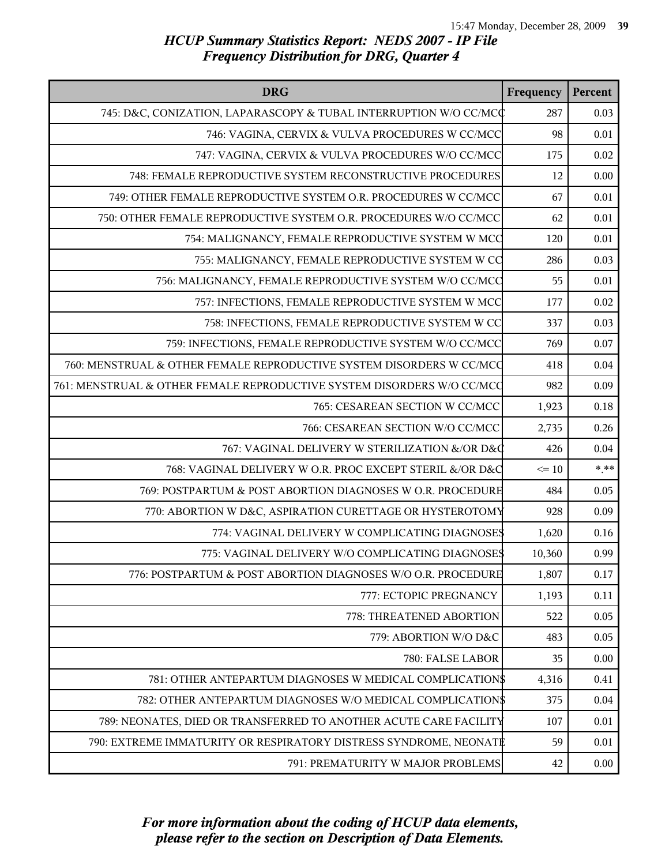| <b>DRG</b>                                                             | Frequency | Percent |
|------------------------------------------------------------------------|-----------|---------|
| 745: D&C, CONIZATION, LAPARASCOPY & TUBAL INTERRUPTION W/O CC/MCC      | 287       | 0.03    |
| 746: VAGINA, CERVIX & VULVA PROCEDURES W CC/MCC                        | 98        | 0.01    |
| 747: VAGINA, CERVIX & VULVA PROCEDURES W/O CC/MCC                      | 175       | 0.02    |
| 748: FEMALE REPRODUCTIVE SYSTEM RECONSTRUCTIVE PROCEDURES              | 12        | 0.00    |
| 749: OTHER FEMALE REPRODUCTIVE SYSTEM O.R. PROCEDURES W CC/MCC         | 67        | 0.01    |
| 750: OTHER FEMALE REPRODUCTIVE SYSTEM O.R. PROCEDURES W/O CC/MCC       | 62        | 0.01    |
| 754: MALIGNANCY, FEMALE REPRODUCTIVE SYSTEM W MCC                      | 120       | 0.01    |
| 755: MALIGNANCY, FEMALE REPRODUCTIVE SYSTEM W CC                       | 286       | 0.03    |
| 756: MALIGNANCY, FEMALE REPRODUCTIVE SYSTEM W/O CC/MCC                 | 55        | 0.01    |
| 757: INFECTIONS, FEMALE REPRODUCTIVE SYSTEM W MCC                      | 177       | 0.02    |
| 758: INFECTIONS, FEMALE REPRODUCTIVE SYSTEM W CC                       | 337       | 0.03    |
| 759: INFECTIONS, FEMALE REPRODUCTIVE SYSTEM W/O CC/MCC                 | 769       | 0.07    |
| 760: MENSTRUAL & OTHER FEMALE REPRODUCTIVE SYSTEM DISORDERS W CC/MCC   | 418       | 0.04    |
| 761: MENSTRUAL & OTHER FEMALE REPRODUCTIVE SYSTEM DISORDERS W/O CC/MCC | 982       | 0.09    |
| 765: CESAREAN SECTION W CC/MCC                                         | 1,923     | 0.18    |
| 766: CESAREAN SECTION W/O CC/MCC                                       | 2,735     | 0.26    |
| 767: VAGINAL DELIVERY W STERILIZATION &/OR D&C                         | 426       | 0.04    |
| 768: VAGINAL DELIVERY W O.R. PROC EXCEPT STERIL &/OR D&C               | $\leq 10$ | $*$ **  |
| 769: POSTPARTUM & POST ABORTION DIAGNOSES W O.R. PROCEDURE             | 484       | 0.05    |
| 770: ABORTION W D&C, ASPIRATION CURETTAGE OR HYSTEROTOMY               | 928       | 0.09    |
| 774: VAGINAL DELIVERY W COMPLICATING DIAGNOSES                         | 1,620     | 0.16    |
| 775: VAGINAL DELIVERY W/O COMPLICATING DIAGNOSES                       | 10,360    | 0.99    |
| 776: POSTPARTUM & POST ABORTION DIAGNOSES W/O O.R. PROCEDURE           | 1,807     | 0.17    |
| 777: ECTOPIC PREGNANCY                                                 | 1,193     | 0.11    |
| 778: THREATENED ABORTION                                               | 522       | 0.05    |
| 779: ABORTION W/O D&C                                                  | 483       | 0.05    |
| 780: FALSE LABOR                                                       | 35        | 0.00    |
| 781: OTHER ANTEPARTUM DIAGNOSES W MEDICAL COMPLICATION\$               | 4,316     | 0.41    |
| 782: OTHER ANTEPARTUM DIAGNOSES W/O MEDICAL COMPLICATION\$             | 375       | 0.04    |
| 789: NEONATES, DIED OR TRANSFERRED TO ANOTHER ACUTE CARE FACILITY      | 107       | 0.01    |
| 790: EXTREME IMMATURITY OR RESPIRATORY DISTRESS SYNDROME, NEONATE      | 59        | 0.01    |
| 791: PREMATURITY W MAJOR PROBLEMS                                      | 42        | 0.00    |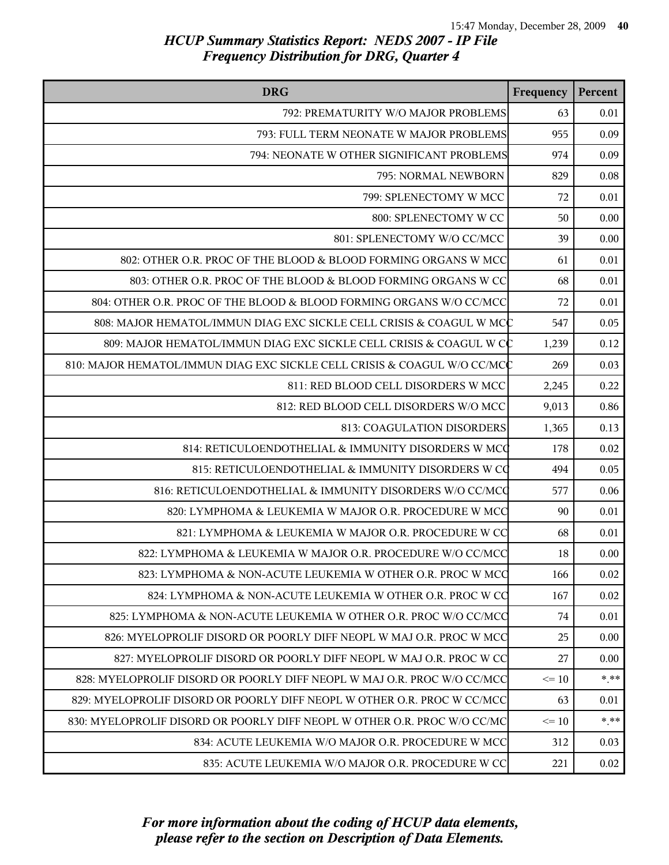| <b>DRG</b>                                                               | Frequency | Percent  |
|--------------------------------------------------------------------------|-----------|----------|
| 792: PREMATURITY W/O MAJOR PROBLEMS                                      | 63        | 0.01     |
| 793: FULL TERM NEONATE W MAJOR PROBLEMS                                  | 955       | 0.09     |
| 794: NEONATE W OTHER SIGNIFICANT PROBLEMS                                | 974       | 0.09     |
| 795: NORMAL NEWBORN                                                      | 829       | $0.08\,$ |
| 799: SPLENECTOMY W MCC                                                   | 72        | 0.01     |
| 800: SPLENECTOMY W CC                                                    | 50        | 0.00     |
| 801: SPLENECTOMY W/O CC/MCC                                              | 39        | 0.00     |
| 802: OTHER O.R. PROC OF THE BLOOD & BLOOD FORMING ORGANS W MCC           | 61        | 0.01     |
| 803: OTHER O.R. PROC OF THE BLOOD & BLOOD FORMING ORGANS W CC            | 68        | 0.01     |
| 804: OTHER O.R. PROC OF THE BLOOD & BLOOD FORMING ORGANS W/O CC/MCC      | 72        | 0.01     |
| 808: MAJOR HEMATOL/IMMUN DIAG EXC SICKLE CELL CRISIS & COAGUL W MCC      | 547       | 0.05     |
| 809: MAJOR HEMATOL/IMMUN DIAG EXC SICKLE CELL CRISIS & COAGUL W CC       | 1,239     | 0.12     |
| 810: MAJOR HEMATOL/IMMUN DIAG EXC SICKLE CELL CRISIS & COAGUL W/O CC/MCC | 269       | 0.03     |
| 811: RED BLOOD CELL DISORDERS W MCC                                      | 2,245     | 0.22     |
| 812: RED BLOOD CELL DISORDERS W/O MCC                                    | 9,013     | 0.86     |
| 813: COAGULATION DISORDERS                                               | 1,365     | 0.13     |
| 814: RETICULOENDOTHELIAL & IMMUNITY DISORDERS W MCC                      | 178       | 0.02     |
| 815: RETICULOENDOTHELIAL & IMMUNITY DISORDERS W CO                       | 494       | 0.05     |
| 816: RETICULOENDOTHELIAL & IMMUNITY DISORDERS W/O CC/MCQ                 | 577       | 0.06     |
| 820: LYMPHOMA & LEUKEMIA W MAJOR O.R. PROCEDURE W MCC                    | 90        | 0.01     |
| 821: LYMPHOMA & LEUKEMIA W MAJOR O.R. PROCEDURE W CC                     | 68        | $0.01\,$ |
| 822: LYMPHOMA & LEUKEMIA W MAJOR O.R. PROCEDURE W/O CC/MCC               | 18        | 0.00     |
| 823: LYMPHOMA & NON-ACUTE LEUKEMIA W OTHER O.R. PROC W MCC               | 166       | 0.02     |
| 824: LYMPHOMA & NON-ACUTE LEUKEMIA W OTHER O.R. PROC W CC                | 167       | 0.02     |
| 825: LYMPHOMA & NON-ACUTE LEUKEMIA W OTHER O.R. PROC W/O CC/MCC          | 74        | 0.01     |
| 826: MYELOPROLIF DISORD OR POORLY DIFF NEOPL W MAJ O.R. PROC W MCC       | 25        | 0.00     |
| 827: MYELOPROLIF DISORD OR POORLY DIFF NEOPL W MAJ O.R. PROC W CC        | 27        | 0.00     |
| 828: MYELOPROLIF DISORD OR POORLY DIFF NEOPL W MAJ O.R. PROC W/O CC/MCC  | $\leq 10$ | $*$ **   |
| 829: MYELOPROLIF DISORD OR POORLY DIFF NEOPL W OTHER O.R. PROC W CC/MCC  | 63        | 0.01     |
| 830: MYELOPROLIF DISORD OR POORLY DIFF NEOPL W OTHER O.R. PROC W/O CC/MC | $\leq 10$ | $* * *$  |
| 834: ACUTE LEUKEMIA W/O MAJOR O.R. PROCEDURE W MCC                       | 312       | 0.03     |
| 835: ACUTE LEUKEMIA W/O MAJOR O.R. PROCEDURE W CC                        | 221       | 0.02     |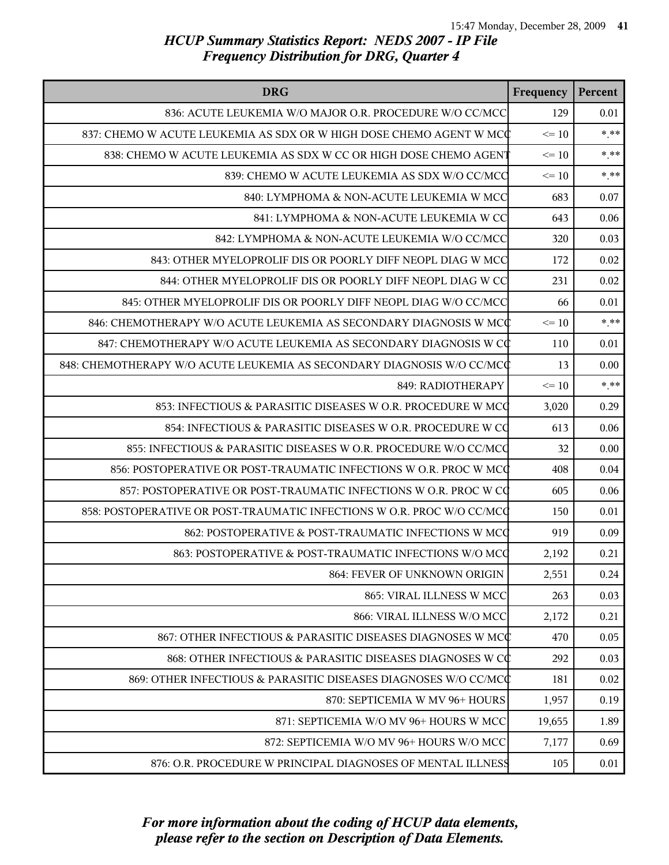| <b>DRG</b>                                                             | Frequency | Percent |
|------------------------------------------------------------------------|-----------|---------|
| 836: ACUTE LEUKEMIA W/O MAJOR O.R. PROCEDURE W/O CC/MCC                | 129       | 0.01    |
| 837: CHEMO W ACUTE LEUKEMIA AS SDX OR W HIGH DOSE CHEMO AGENT W MCC    | $\leq 10$ | $***$   |
| 838: CHEMO W ACUTE LEUKEMIA AS SDX W CC OR HIGH DOSE CHEMO AGENT       | $\leq 10$ | $*$ **  |
| 839: CHEMO W ACUTE LEUKEMIA AS SDX W/O CC/MCC                          | $\leq 10$ | $* * *$ |
| 840: LYMPHOMA & NON-ACUTE LEUKEMIA W MCC                               | 683       | 0.07    |
| 841: LYMPHOMA & NON-ACUTE LEUKEMIA W CC                                | 643       | 0.06    |
| 842: LYMPHOMA & NON-ACUTE LEUKEMIA W/O CC/MCC                          | 320       | 0.03    |
| 843: OTHER MYELOPROLIF DIS OR POORLY DIFF NEOPL DIAG W MCC             | 172       | 0.02    |
| 844: OTHER MYELOPROLIF DIS OR POORLY DIFF NEOPL DIAG W CC              | 231       | 0.02    |
| 845: OTHER MYELOPROLIF DIS OR POORLY DIFF NEOPL DIAG W/O CC/MCC        | 66        | 0.01    |
| 846: CHEMOTHERAPY W/O ACUTE LEUKEMIA AS SECONDARY DIAGNOSIS W MCC      | $\leq 10$ | $***$   |
| 847: CHEMOTHERAPY W/O ACUTE LEUKEMIA AS SECONDARY DIAGNOSIS W CC       | 110       | 0.01    |
| 848: CHEMOTHERAPY W/O ACUTE LEUKEMIA AS SECONDARY DIAGNOSIS W/O CC/MCC | 13        | 0.00    |
| 849: RADIOTHERAPY                                                      | $\leq 10$ | $***$   |
| 853: INFECTIOUS & PARASITIC DISEASES W O.R. PROCEDURE W MCC            | 3,020     | 0.29    |
| 854: INFECTIOUS & PARASITIC DISEASES W O.R. PROCEDURE W CO             | 613       | 0.06    |
| 855: INFECTIOUS & PARASITIC DISEASES W O.R. PROCEDURE W/O CC/MCQ       | 32        | 0.00    |
| 856: POSTOPERATIVE OR POST-TRAUMATIC INFECTIONS W O.R. PROC W MCC      | 408       | 0.04    |
| 857: POSTOPERATIVE OR POST-TRAUMATIC INFECTIONS W O.R. PROC W CO       | 605       | 0.06    |
| 858: POSTOPERATIVE OR POST-TRAUMATIC INFECTIONS W O.R. PROC W/O CC/MCQ | 150       | 0.01    |
| 862: POSTOPERATIVE & POST-TRAUMATIC INFECTIONS W MCC                   | 919       | 0.09    |
| 863: POSTOPERATIVE & POST-TRAUMATIC INFECTIONS W/O MCC                 | 2,192     | 0.21    |
| 864: FEVER OF UNKNOWN ORIGIN                                           | 2,551     | 0.24    |
| 865: VIRAL ILLNESS W MCC                                               | 263       | 0.03    |
| 866: VIRAL ILLNESS W/O MCC                                             | 2,172     | 0.21    |
| 867: OTHER INFECTIOUS & PARASITIC DISEASES DIAGNOSES W MCC             | 470       | 0.05    |
| 868: OTHER INFECTIOUS & PARASITIC DISEASES DIAGNOSES W CC              | 292       | 0.03    |
| 869: OTHER INFECTIOUS & PARASITIC DISEASES DIAGNOSES W/O CC/MCC        | 181       | 0.02    |
| 870: SEPTICEMIA W MV 96+ HOURS                                         | 1,957     | 0.19    |
| 871: SEPTICEMIA W/O MV 96+ HOURS W MCC                                 | 19,655    | 1.89    |
| 872: SEPTICEMIA W/O MV 96+ HOURS W/O MCC                               | 7,177     | 0.69    |
| 876: O.R. PROCEDURE W PRINCIPAL DIAGNOSES OF MENTAL ILLNESS            | 105       | 0.01    |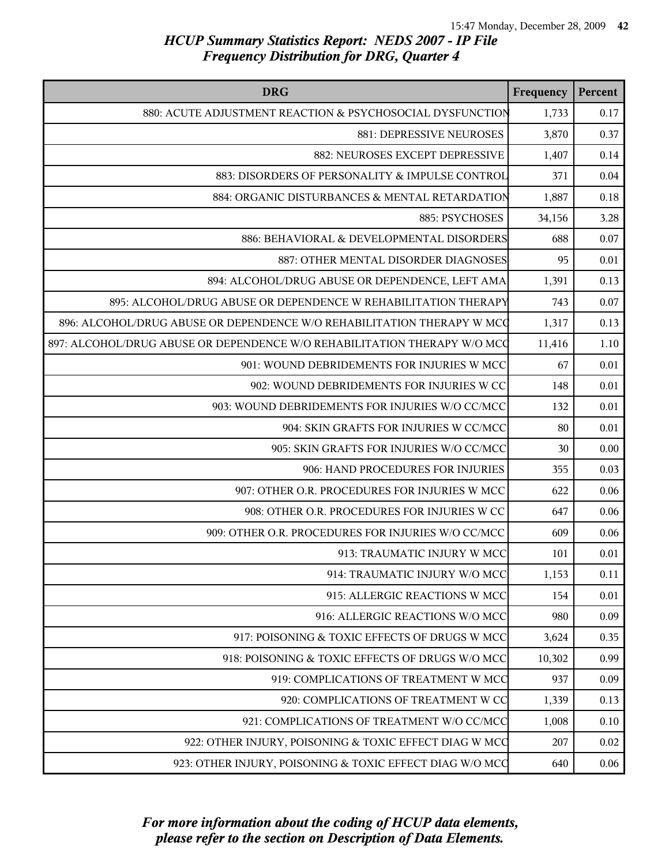| <b>DRG</b>                                                               | Frequency | Percent  |
|--------------------------------------------------------------------------|-----------|----------|
| 880: ACUTE ADJUSTMENT REACTION & PSYCHOSOCIAL DYSFUNCTION                | 1,733     | 0.17     |
| 881: DEPRESSIVE NEUROSES                                                 | 3,870     | 0.37     |
| 882: NEUROSES EXCEPT DEPRESSIVE                                          | 1,407     | 0.14     |
| 883: DISORDERS OF PERSONALITY & IMPULSE CONTROL                          | 371       | 0.04     |
| 884: ORGANIC DISTURBANCES & MENTAL RETARDATION                           | 1,887     | $0.18\,$ |
| 885: PSYCHOSES                                                           | 34,156    | 3.28     |
| 886: BEHAVIORAL & DEVELOPMENTAL DISORDERS                                | 688       | 0.07     |
| 887: OTHER MENTAL DISORDER DIAGNOSES                                     | 95        | $0.01\,$ |
| 894: ALCOHOL/DRUG ABUSE OR DEPENDENCE, LEFT AMA                          | 1,391     | 0.13     |
| 895: ALCOHOL/DRUG ABUSE OR DEPENDENCE W REHABILITATION THERAPY           | 743       | 0.07     |
| 896: ALCOHOL/DRUG ABUSE OR DEPENDENCE W/O REHABILITATION THERAPY W MCC   | 1,317     | 0.13     |
| 897: ALCOHOL/DRUG ABUSE OR DEPENDENCE W/O REHABILITATION THERAPY W/O MCC | 11,416    | 1.10     |
| 901: WOUND DEBRIDEMENTS FOR INJURIES W MCC                               | 67        | 0.01     |
| 902: WOUND DEBRIDEMENTS FOR INJURIES W CC                                | 148       | 0.01     |
| 903: WOUND DEBRIDEMENTS FOR INJURIES W/O CC/MCC                          | 132       | 0.01     |
| 904: SKIN GRAFTS FOR INJURIES W CC/MCC                                   | 80        | $0.01\,$ |
| 905: SKIN GRAFTS FOR INJURIES W/O CC/MCC                                 | 30        | 0.00     |
| 906: HAND PROCEDURES FOR INJURIES                                        | 355       | 0.03     |
| 907: OTHER O.R. PROCEDURES FOR INJURIES W MCC                            | 622       | 0.06     |
| 908: OTHER O.R. PROCEDURES FOR INJURIES W CC                             | 647       | 0.06     |
| 909: OTHER O.R. PROCEDURES FOR INJURIES W/O CC/MCC                       | 609       | 0.06     |
| 913: TRAUMATIC INJURY W MCC                                              | 101       | 0.01     |
| 914: TRAUMATIC INJURY W/O MCC                                            | 1,153     | 0.11     |
| 915: ALLERGIC REACTIONS W MCC                                            | 154       | 0.01     |
| 916: ALLERGIC REACTIONS W/O MCC                                          | 980       | 0.09     |
| 917: POISONING & TOXIC EFFECTS OF DRUGS W MCC                            | 3,624     | 0.35     |
| 918: POISONING & TOXIC EFFECTS OF DRUGS W/O MCC                          | 10,302    | 0.99     |
| 919: COMPLICATIONS OF TREATMENT W MCC                                    | 937       | 0.09     |
| 920: COMPLICATIONS OF TREATMENT W CC                                     | 1,339     | 0.13     |
| 921: COMPLICATIONS OF TREATMENT W/O CC/MCC                               | 1,008     | 0.10     |
| 922: OTHER INJURY, POISONING & TOXIC EFFECT DIAG W MCC                   | 207       | 0.02     |
| 923: OTHER INJURY, POISONING & TOXIC EFFECT DIAG W/O MCC                 | 640       | 0.06     |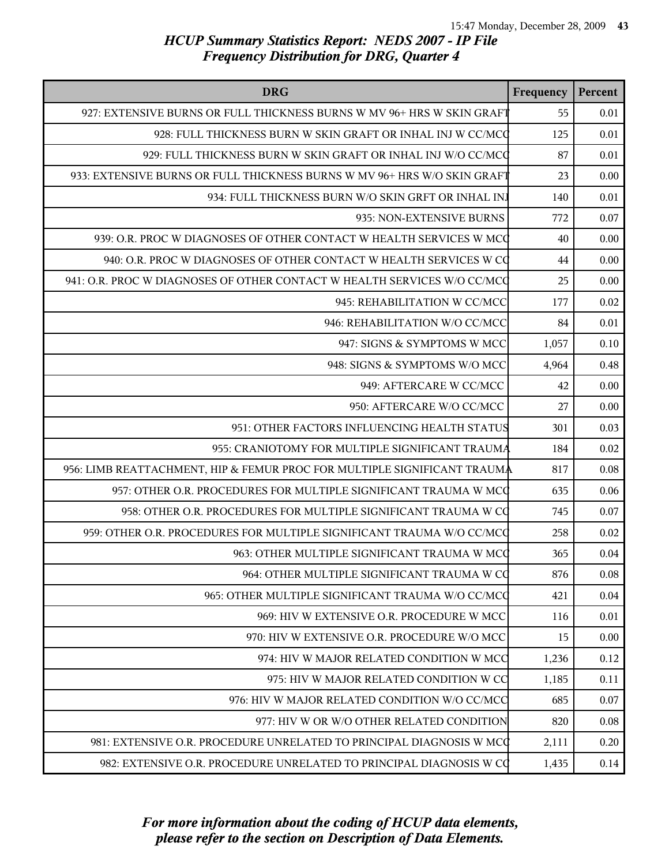| <b>DRG</b>                                                               | Frequency | Percent  |
|--------------------------------------------------------------------------|-----------|----------|
| 927: EXTENSIVE BURNS OR FULL THICKNESS BURNS W MV 96+ HRS W SKIN GRAFT   | 55        | 0.01     |
| 928: FULL THICKNESS BURN W SKIN GRAFT OR INHAL INJ W CC/MCQ              | 125       | 0.01     |
| 929: FULL THICKNESS BURN W SKIN GRAFT OR INHAL INJ W/O CC/MCQ            | 87        | 0.01     |
| 933: EXTENSIVE BURNS OR FULL THICKNESS BURNS W MV 96+ HRS W/O SKIN GRAFT | 23        | 0.00     |
| 934: FULL THICKNESS BURN W/O SKIN GRFT OR INHAL INJ                      | 140       | $0.01\,$ |
| 935: NON-EXTENSIVE BURNS                                                 | 772       | 0.07     |
| 939: O.R. PROC W DIAGNOSES OF OTHER CONTACT W HEALTH SERVICES W MCC      | 40        | 0.00     |
| 940: O.R. PROC W DIAGNOSES OF OTHER CONTACT W HEALTH SERVICES W CQ       | 44        | 0.00     |
| 941: O.R. PROC W DIAGNOSES OF OTHER CONTACT W HEALTH SERVICES W/O CC/MCQ | 25        | 0.00     |
| 945: REHABILITATION W CC/MCC                                             | 177       | $0.02\,$ |
| 946: REHABILITATION W/O CC/MCC                                           | 84        | 0.01     |
| 947: SIGNS & SYMPTOMS W MCC                                              | 1,057     | 0.10     |
| 948: SIGNS & SYMPTOMS W/O MCC                                            | 4,964     | 0.48     |
| 949: AFTERCARE W CC/MCC                                                  | 42        | 0.00     |
| 950: AFTERCARE W/O CC/MCC                                                | 27        | 0.00     |
| 951: OTHER FACTORS INFLUENCING HEALTH STATUS                             | 301       | 0.03     |
| 955: CRANIOTOMY FOR MULTIPLE SIGNIFICANT TRAUMA                          | 184       | 0.02     |
| 956: LIMB REATTACHMENT, HIP & FEMUR PROC FOR MULTIPLE SIGNIFICANT TRAUMA | 817       | 0.08     |
| 957: OTHER O.R. PROCEDURES FOR MULTIPLE SIGNIFICANT TRAUMA W MCC         | 635       | 0.06     |
| 958: OTHER O.R. PROCEDURES FOR MULTIPLE SIGNIFICANT TRAUMA W CQ          | 745       | 0.07     |
| 959: OTHER O.R. PROCEDURES FOR MULTIPLE SIGNIFICANT TRAUMA W/O CC/MCQ    | 258       | 0.02     |
| 963: OTHER MULTIPLE SIGNIFICANT TRAUMA W MCC                             | 365       | 0.04     |
| 964: OTHER MULTIPLE SIGNIFICANT TRAUMA W CO                              | 876       | 0.08     |
| 965: OTHER MULTIPLE SIGNIFICANT TRAUMA W/O CC/MCC                        | 421       | 0.04     |
| 969: HIV W EXTENSIVE O.R. PROCEDURE W MCC                                | 116       | 0.01     |
| 970: HIV W EXTENSIVE O.R. PROCEDURE W/O MCC                              | 15        | 0.00     |
| 974: HIV W MAJOR RELATED CONDITION W MCC                                 | 1,236     | 0.12     |
| 975: HIV W MAJOR RELATED CONDITION W CC                                  | 1,185     | 0.11     |
| 976: HIV W MAJOR RELATED CONDITION W/O CC/MCC                            | 685       | 0.07     |
| 977: HIV W OR W/O OTHER RELATED CONDITION                                | 820       | 0.08     |
| 981: EXTENSIVE O.R. PROCEDURE UNRELATED TO PRINCIPAL DIAGNOSIS W MCC     | 2,111     | 0.20     |
| 982: EXTENSIVE O.R. PROCEDURE UNRELATED TO PRINCIPAL DIAGNOSIS W CQ      | 1,435     | 0.14     |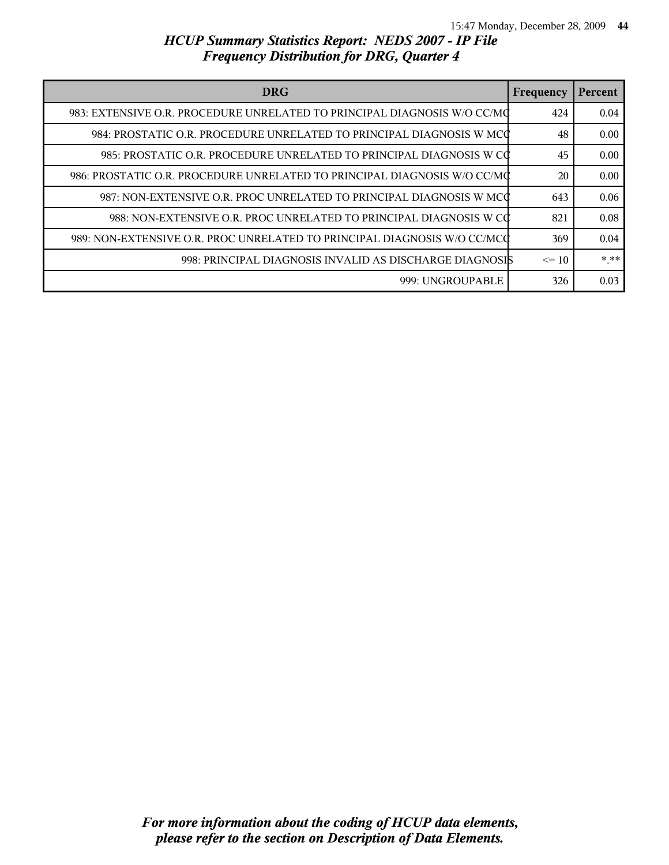| <b>DRG</b>                                                               | Frequency | Percent |
|--------------------------------------------------------------------------|-----------|---------|
| 983: EXTENSIVE O.R. PROCEDURE UNRELATED TO PRINCIPAL DIAGNOSIS W/O CC/MC | 424       | 0.04    |
| 984: PROSTATIC O.R. PROCEDURE UNRELATED TO PRINCIPAL DIAGNOSIS W MCC     | 48        | 0.00    |
| 985: PROSTATIC O.R. PROCEDURE UNRELATED TO PRINCIPAL DIAGNOSIS W CO      | 45        | 0.00    |
| 986: PROSTATIC O.R. PROCEDURE UNRELATED TO PRINCIPAL DIAGNOSIS W/O CC/MC | 20        | 0.00    |
| 987: NON-EXTENSIVE O.R. PROC UNRELATED TO PRINCIPAL DIAGNOSIS W MCC      | 643       | 0.06    |
| 988: NON-EXTENSIVE O.R. PROC UNRELATED TO PRINCIPAL DIAGNOSIS W CO       | 821       | 0.08    |
| 989: NON-EXTENSIVE O.R. PROC UNRELATED TO PRINCIPAL DIAGNOSIS W/O CC/MCC | 369       | 0.04    |
| 998: PRINCIPAL DIAGNOSIS INVALID AS DISCHARGE DIAGNOSIS                  | $\leq$ 10 | * **    |
| 999: UNGROUPABLE                                                         | 326       | 0.03    |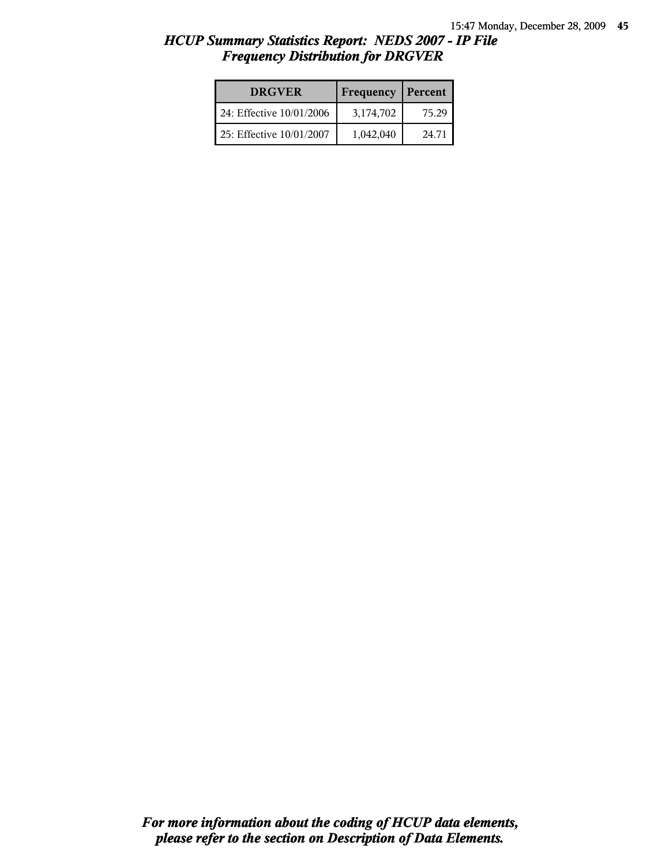| <b>DRGVER</b>            | Frequency | Percent |
|--------------------------|-----------|---------|
| 24: Effective 10/01/2006 | 3,174,702 | 75.29   |
| 25: Effective 10/01/2007 | 1,042,040 | 24.71   |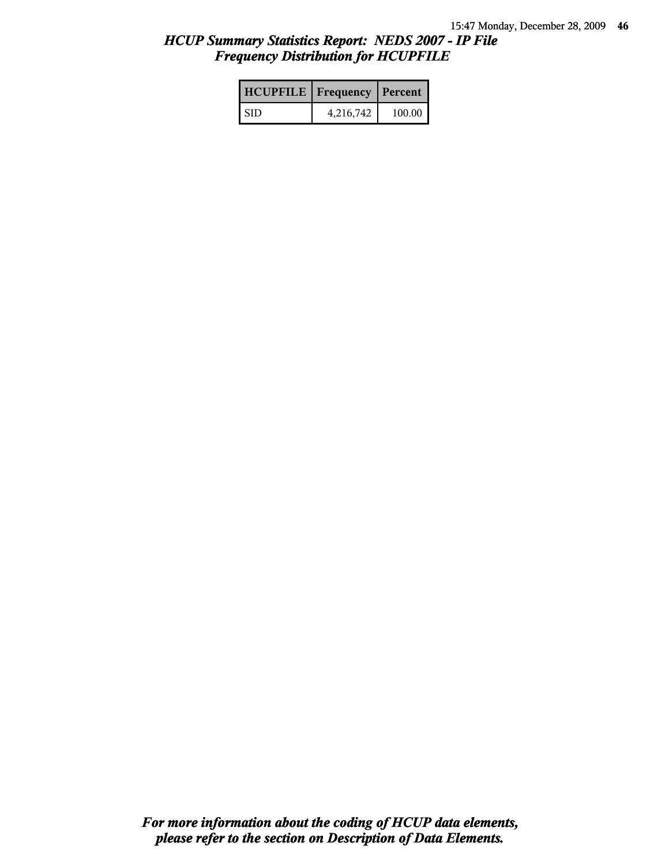| HCUPFILE   Frequency   Percent |           |        |
|--------------------------------|-----------|--------|
| <b>SID</b>                     | 4,216,742 | 100.00 |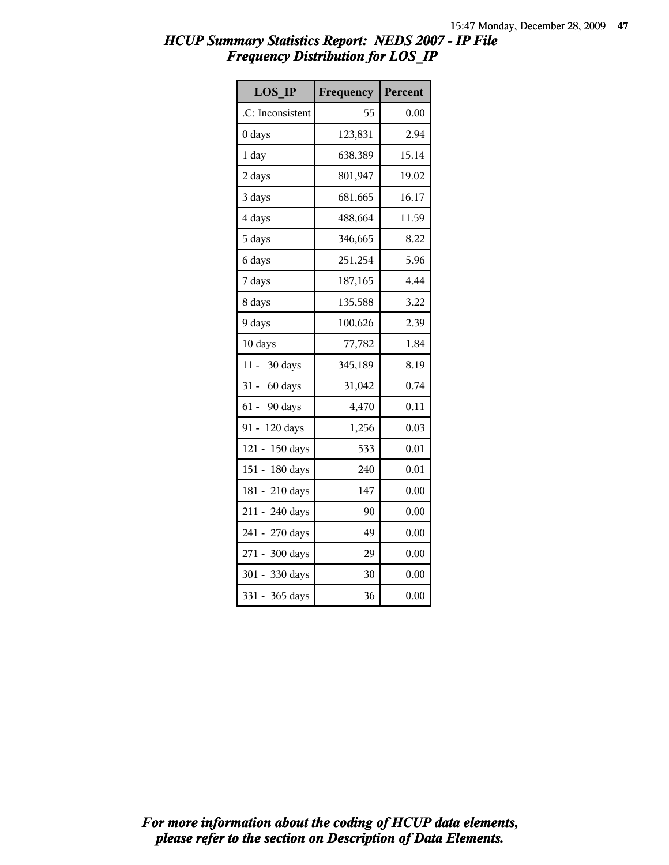| <b>LOS IP</b>      | Frequency | Percent |
|--------------------|-----------|---------|
| .C: Inconsistent   | 55        | 0.00    |
| 0 days             | 123,831   | 2.94    |
| 1 day              | 638,389   | 15.14   |
| 2 days             | 801,947   | 19.02   |
| 3 days             | 681,665   | 16.17   |
| 4 days             | 488,664   | 11.59   |
| 5 days             | 346,665   | 8.22    |
| 6 days             | 251,254   | 5.96    |
| 7 days             | 187,165   | 4.44    |
| 8 days             | 135,588   | 3.22    |
| 9 days             | 100,626   | 2.39    |
| 10 days            | 77,782    | 1.84    |
| $11 -$<br>30 days  | 345,189   | 8.19    |
| $31 -$<br>60 days  | 31,042    | 0.74    |
| $61 -$<br>90 days  | 4,470     | 0.11    |
| $91 -$<br>120 days | 1,256     | 0.03    |
| 121 - 150 days     | 533       | 0.01    |
| 151 - 180 days     | 240       | 0.01    |
| 181 - 210 days     | 147       | 0.00    |
| 211 - 240 days     | 90        | 0.00    |
| 241 - 270 days     | 49        | 0.00    |
| 271 - 300 days     | 29        | 0.00    |
| 301 - 330 days     | 30        | 0.00    |
| 331 - 365 days     | 36        | 0.00    |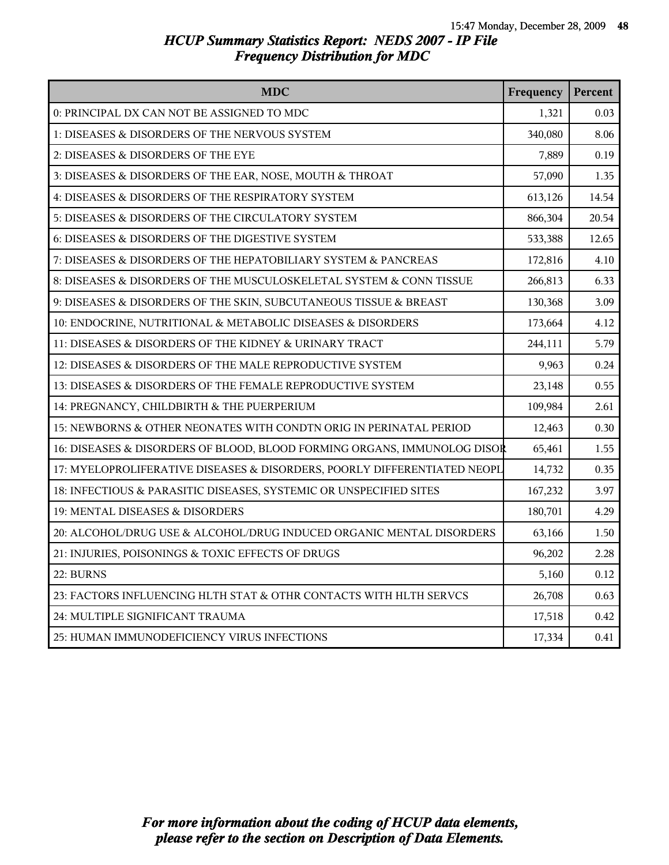| <b>MDC</b>                                                               | Frequency | Percent |
|--------------------------------------------------------------------------|-----------|---------|
| 0: PRINCIPAL DX CAN NOT BE ASSIGNED TO MDC                               | 1,321     | 0.03    |
| 1: DISEASES & DISORDERS OF THE NERVOUS SYSTEM                            | 340,080   | 8.06    |
| 2: DISEASES & DISORDERS OF THE EYE                                       | 7,889     | 0.19    |
| 3: DISEASES & DISORDERS OF THE EAR, NOSE, MOUTH & THROAT                 | 57,090    | 1.35    |
| 4: DISEASES & DISORDERS OF THE RESPIRATORY SYSTEM                        | 613,126   | 14.54   |
| 5: DISEASES & DISORDERS OF THE CIRCULATORY SYSTEM                        | 866,304   | 20.54   |
| 6: DISEASES & DISORDERS OF THE DIGESTIVE SYSTEM                          | 533,388   | 12.65   |
| 7: DISEASES & DISORDERS OF THE HEPATOBILIARY SYSTEM & PANCREAS           | 172,816   | 4.10    |
| 8: DISEASES & DISORDERS OF THE MUSCULOSKELETAL SYSTEM & CONN TISSUE      | 266,813   | 6.33    |
| 9: DISEASES & DISORDERS OF THE SKIN, SUBCUTANEOUS TISSUE & BREAST        | 130,368   | 3.09    |
| 10: ENDOCRINE, NUTRITIONAL & METABOLIC DISEASES & DISORDERS              | 173,664   | 4.12    |
| 11: DISEASES & DISORDERS OF THE KIDNEY & URINARY TRACT                   | 244,111   | 5.79    |
| 12: DISEASES & DISORDERS OF THE MALE REPRODUCTIVE SYSTEM                 | 9,963     | 0.24    |
| 13: DISEASES & DISORDERS OF THE FEMALE REPRODUCTIVE SYSTEM               | 23,148    | 0.55    |
| 14: PREGNANCY, CHILDBIRTH & THE PUERPERIUM                               | 109,984   | 2.61    |
| 15: NEWBORNS & OTHER NEONATES WITH CONDTN ORIG IN PERINATAL PERIOD       | 12,463    | 0.30    |
| 16: DISEASES & DISORDERS OF BLOOD, BLOOD FORMING ORGANS, IMMUNOLOG DISOR | 65,461    | 1.55    |
| 17: MYELOPROLIFERATIVE DISEASES & DISORDERS, POORLY DIFFERENTIATED NEOPL | 14,732    | 0.35    |
| 18: INFECTIOUS & PARASITIC DISEASES, SYSTEMIC OR UNSPECIFIED SITES       | 167,232   | 3.97    |
| 19: MENTAL DISEASES & DISORDERS                                          | 180,701   | 4.29    |
| 20: ALCOHOL/DRUG USE & ALCOHOL/DRUG INDUCED ORGANIC MENTAL DISORDERS     | 63,166    | 1.50    |
| 21: INJURIES, POISONINGS & TOXIC EFFECTS OF DRUGS                        | 96,202    | 2.28    |
| 22: BURNS                                                                | 5,160     | 0.12    |
| 23: FACTORS INFLUENCING HLTH STAT & OTHR CONTACTS WITH HLTH SERVCS       | 26,708    | 0.63    |
| 24: MULTIPLE SIGNIFICANT TRAUMA                                          | 17,518    | 0.42    |
| 25: HUMAN IMMUNODEFICIENCY VIRUS INFECTIONS                              | 17,334    | 0.41    |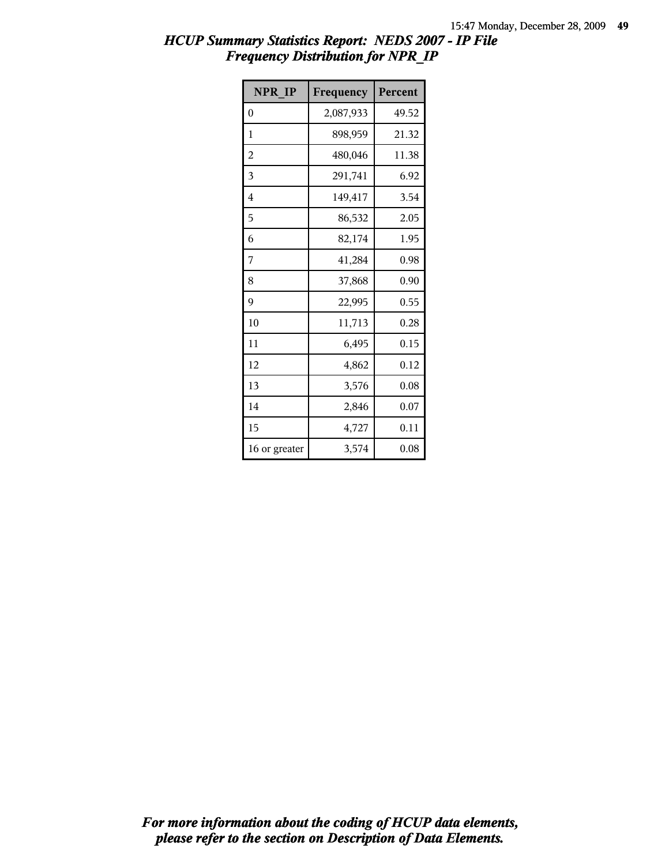| <b>NPR IP</b> | Frequency | <b>Percent</b> |
|---------------|-----------|----------------|
| 0             | 2,087,933 | 49.52          |
| 1             | 898,959   | 21.32          |
| 2             | 480,046   | 11.38          |
| 3             | 291,741   | 6.92           |
| 4             | 149,417   | 3.54           |
| 5             | 86,532    | 2.05           |
| 6             | 82,174    | 1.95           |
| 7             | 41,284    | 0.98           |
| 8             | 37,868    | 0.90           |
| 9             | 22,995    | 0.55           |
| 10            | 11,713    | 0.28           |
| 11            | 6,495     | 0.15           |
| 12            | 4,862     | 0.12           |
| 13            | 3,576     | 0.08           |
| 14            | 2,846     | 0.07           |
| 15            | 4,727     | 0.11           |
| 16 or greater | 3,574     | 0.08           |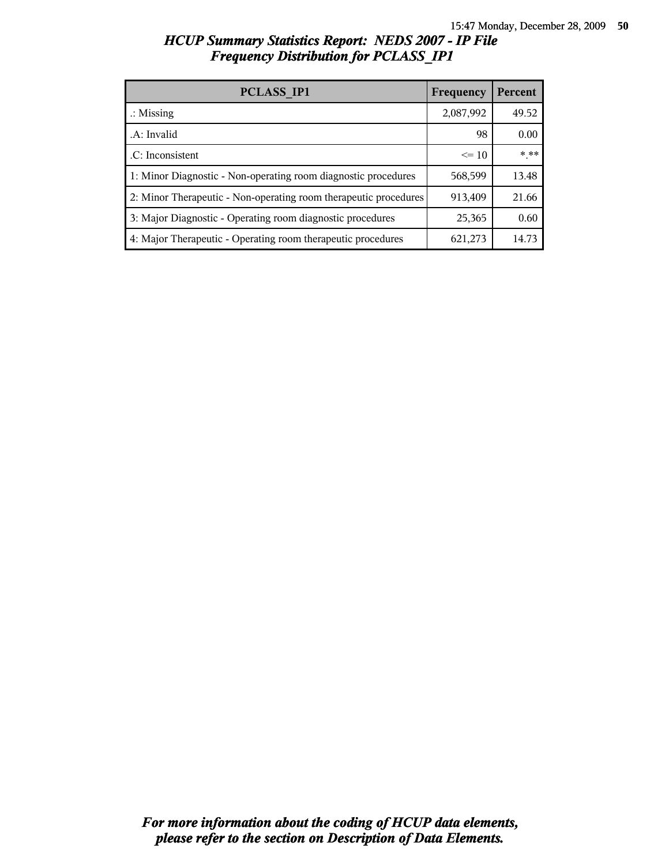| PCLASS IP1                                                       | Frequency | Percent |
|------------------------------------------------------------------|-----------|---------|
| $\therefore$ Missing                                             | 2,087,992 | 49.52   |
| .A: Invalid                                                      | 98        | 0.00    |
| .C: Inconsistent                                                 | $\leq 10$ | * **    |
| 1: Minor Diagnostic - Non-operating room diagnostic procedures   | 568,599   | 13.48   |
| 2: Minor Therapeutic - Non-operating room therapeutic procedures | 913,409   | 21.66   |
| 3: Major Diagnostic - Operating room diagnostic procedures       | 25,365    | 0.60    |
| 4: Major Therapeutic - Operating room therapeutic procedures     | 621,273   | 14.73   |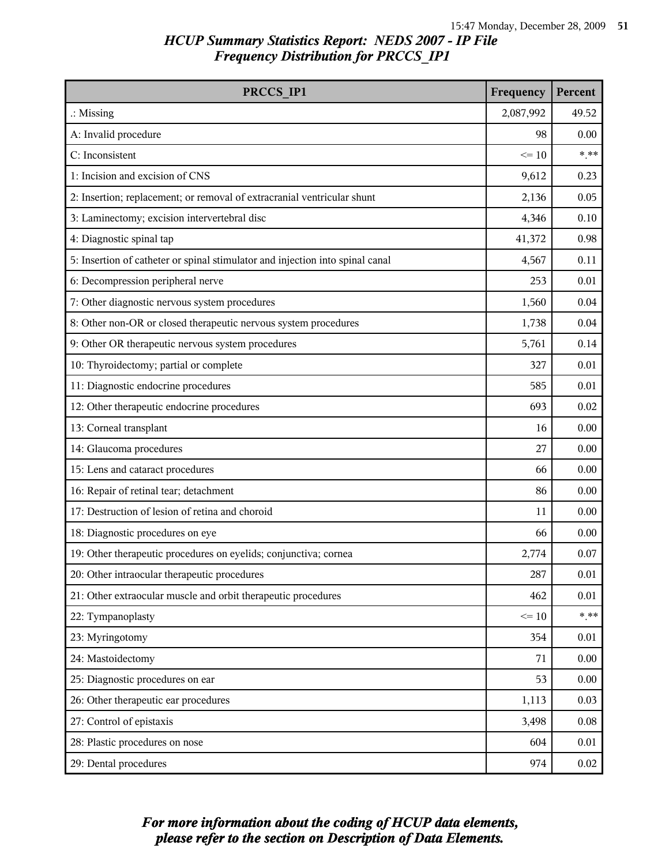| PRCCS IP1                                                                     | Frequency | Percent  |
|-------------------------------------------------------------------------------|-----------|----------|
| $\therefore$ Missing                                                          | 2,087,992 | 49.52    |
| A: Invalid procedure                                                          | 98        | 0.00     |
| C: Inconsistent                                                               | $\leq 10$ | $***$    |
| 1: Incision and excision of CNS                                               | 9,612     | 0.23     |
| 2: Insertion; replacement; or removal of extracranial ventricular shunt       | 2,136     | 0.05     |
| 3: Laminectomy; excision intervertebral disc                                  | 4,346     | 0.10     |
| 4: Diagnostic spinal tap                                                      | 41,372    | 0.98     |
| 5: Insertion of catheter or spinal stimulator and injection into spinal canal | 4,567     | 0.11     |
| 6: Decompression peripheral nerve                                             | 253       | 0.01     |
| 7: Other diagnostic nervous system procedures                                 | 1,560     | 0.04     |
| 8: Other non-OR or closed therapeutic nervous system procedures               | 1,738     | 0.04     |
| 9: Other OR therapeutic nervous system procedures                             | 5,761     | 0.14     |
| 10: Thyroidectomy; partial or complete                                        | 327       | 0.01     |
| 11: Diagnostic endocrine procedures                                           | 585       | 0.01     |
| 12: Other therapeutic endocrine procedures                                    | 693       | 0.02     |
| 13: Corneal transplant                                                        | 16        | 0.00     |
| 14: Glaucoma procedures                                                       | 27        | 0.00     |
| 15: Lens and cataract procedures                                              | 66        | 0.00     |
| 16: Repair of retinal tear; detachment                                        | 86        | 0.00     |
| 17: Destruction of lesion of retina and choroid                               | 11        | 0.00     |
| 18: Diagnostic procedures on eye                                              | 66        | 0.00     |
| 19: Other therapeutic procedures on eyelids; conjunctiva; cornea              | 2,774     | 0.07     |
| 20: Other intraocular therapeutic procedures                                  | 287       | $0.01\,$ |
| 21: Other extraocular muscle and orbit therapeutic procedures                 | 462       | 0.01     |
| 22: Tympanoplasty                                                             | $\leq 10$ | $***$    |
| 23: Myringotomy                                                               | 354       | 0.01     |
| 24: Mastoidectomy                                                             | 71        | 0.00     |
| 25: Diagnostic procedures on ear                                              | 53        | 0.00     |
| 26: Other therapeutic ear procedures                                          | 1,113     | 0.03     |
| 27: Control of epistaxis                                                      | 3,498     | 0.08     |
| 28: Plastic procedures on nose                                                | 604       | 0.01     |
| 29: Dental procedures                                                         | 974       | 0.02     |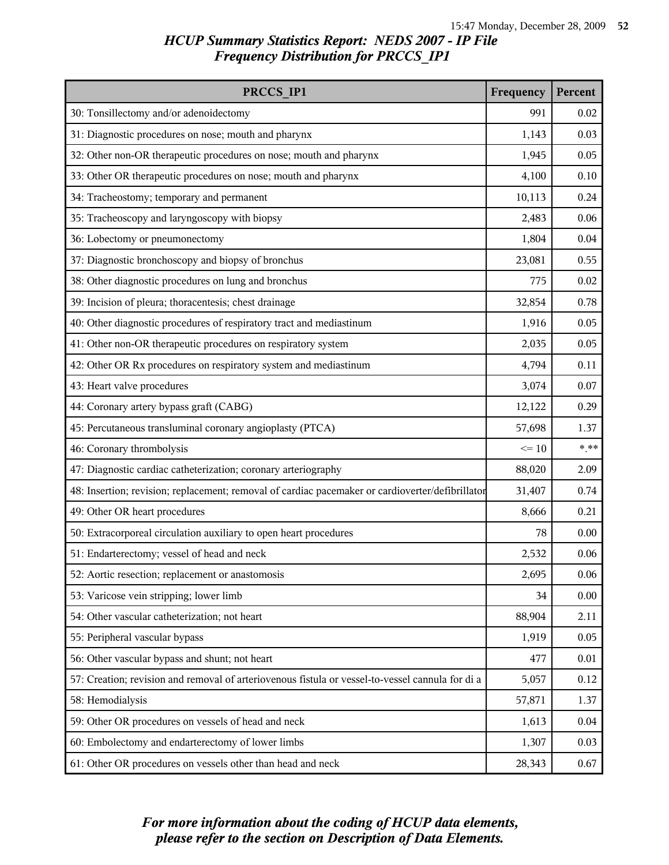| PRCCS IP1                                                                                        | Frequency | Percent |
|--------------------------------------------------------------------------------------------------|-----------|---------|
| 30: Tonsillectomy and/or adenoidectomy                                                           | 991       | 0.02    |
| 31: Diagnostic procedures on nose; mouth and pharynx                                             | 1,143     | 0.03    |
| 32: Other non-OR therapeutic procedures on nose; mouth and pharynx                               | 1,945     | 0.05    |
| 33: Other OR therapeutic procedures on nose; mouth and pharynx                                   | 4,100     | 0.10    |
| 34: Tracheostomy; temporary and permanent                                                        | 10,113    | 0.24    |
| 35: Tracheoscopy and laryngoscopy with biopsy                                                    | 2,483     | 0.06    |
| 36: Lobectomy or pneumonectomy                                                                   | 1,804     | 0.04    |
| 37: Diagnostic bronchoscopy and biopsy of bronchus                                               | 23,081    | 0.55    |
| 38: Other diagnostic procedures on lung and bronchus                                             | 775       | 0.02    |
| 39: Incision of pleura; thoracentesis; chest drainage                                            | 32,854    | 0.78    |
| 40: Other diagnostic procedures of respiratory tract and mediastinum                             | 1,916     | 0.05    |
| 41: Other non-OR therapeutic procedures on respiratory system                                    | 2,035     | 0.05    |
| 42: Other OR Rx procedures on respiratory system and mediastinum                                 | 4,794     | 0.11    |
| 43: Heart valve procedures                                                                       | 3,074     | 0.07    |
| 44: Coronary artery bypass graft (CABG)                                                          | 12,122    | 0.29    |
| 45: Percutaneous transluminal coronary angioplasty (PTCA)                                        | 57,698    | 1.37    |
| 46: Coronary thrombolysis                                                                        | $\leq 10$ | $***$   |
| 47: Diagnostic cardiac catheterization; coronary arteriography                                   | 88,020    | 2.09    |
| 48: Insertion; revision; replacement; removal of cardiac pacemaker or cardioverter/defibrillator | 31,407    | 0.74    |
| 49: Other OR heart procedures                                                                    | 8,666     | 0.21    |
| 50: Extracorporeal circulation auxiliary to open heart procedures                                | 78        | 0.00    |
| 51: Endarterectomy; vessel of head and neck                                                      | 2,532     | 0.06    |
| 52: Aortic resection; replacement or anastomosis                                                 | 2,695     | 0.06    |
| 53: Varicose vein stripping; lower limb                                                          | 34        | 0.00    |
| 54: Other vascular catheterization; not heart                                                    | 88,904    | 2.11    |
| 55: Peripheral vascular bypass                                                                   | 1,919     | 0.05    |
| 56: Other vascular bypass and shunt; not heart                                                   | 477       | 0.01    |
| 57: Creation; revision and removal of arteriovenous fistula or vessel-to-vessel cannula for di a | 5,057     | 0.12    |
| 58: Hemodialysis                                                                                 | 57,871    | 1.37    |
| 59: Other OR procedures on vessels of head and neck                                              | 1,613     | 0.04    |
| 60: Embolectomy and endarterectomy of lower limbs                                                | 1,307     | 0.03    |
| 61: Other OR procedures on vessels other than head and neck                                      | 28,343    | 0.67    |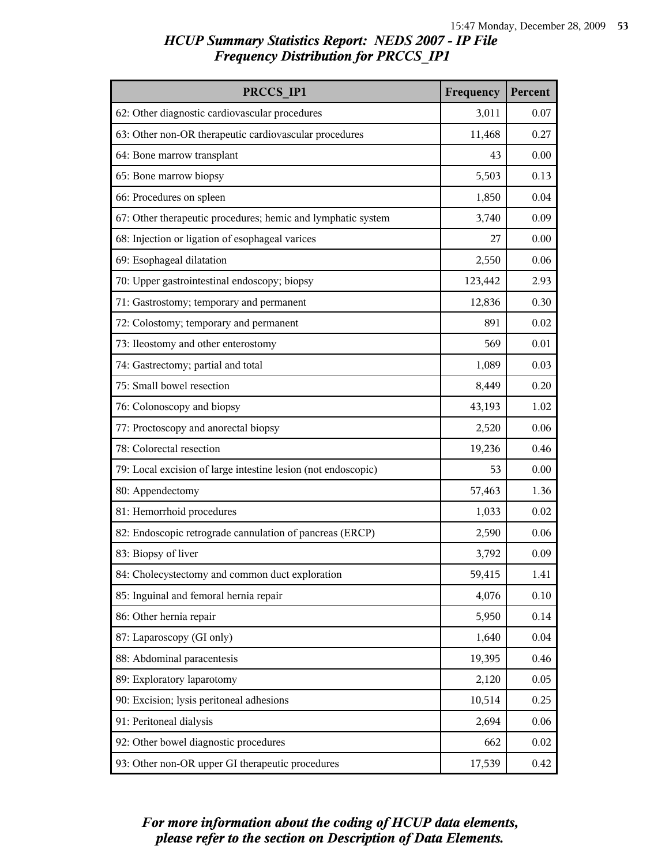| PRCCS IP1                                                     | Frequency | Percent |
|---------------------------------------------------------------|-----------|---------|
| 62: Other diagnostic cardiovascular procedures                | 3,011     | 0.07    |
| 63: Other non-OR therapeutic cardiovascular procedures        | 11,468    | 0.27    |
| 64: Bone marrow transplant                                    | 43        | 0.00    |
| 65: Bone marrow biopsy                                        | 5,503     | 0.13    |
| 66: Procedures on spleen                                      | 1,850     | 0.04    |
| 67: Other therapeutic procedures; hemic and lymphatic system  | 3,740     | 0.09    |
| 68: Injection or ligation of esophageal varices               | 27        | 0.00    |
| 69: Esophageal dilatation                                     | 2,550     | 0.06    |
| 70: Upper gastrointestinal endoscopy; biopsy                  | 123,442   | 2.93    |
| 71: Gastrostomy; temporary and permanent                      | 12,836    | 0.30    |
| 72: Colostomy; temporary and permanent                        | 891       | 0.02    |
| 73: Ileostomy and other enterostomy                           | 569       | 0.01    |
| 74: Gastrectomy; partial and total                            | 1,089     | 0.03    |
| 75: Small bowel resection                                     | 8,449     | 0.20    |
| 76: Colonoscopy and biopsy                                    | 43,193    | 1.02    |
| 77: Proctoscopy and anorectal biopsy                          | 2,520     | 0.06    |
| 78: Colorectal resection                                      | 19,236    | 0.46    |
| 79: Local excision of large intestine lesion (not endoscopic) | 53        | 0.00    |
| 80: Appendectomy                                              | 57,463    | 1.36    |
| 81: Hemorrhoid procedures                                     | 1,033     | 0.02    |
| 82: Endoscopic retrograde cannulation of pancreas (ERCP)      | 2,590     | 0.06    |
| 83: Biopsy of liver                                           | 3,792     | 0.09    |
| 84: Cholecystectomy and common duct exploration               | 59,415    | 1.41    |
| 85: Inguinal and femoral hernia repair                        | 4,076     | 0.10    |
| 86: Other hernia repair                                       | 5,950     | 0.14    |
| 87: Laparoscopy (GI only)                                     | 1,640     | 0.04    |
| 88: Abdominal paracentesis                                    | 19,395    | 0.46    |
| 89: Exploratory laparotomy                                    | 2,120     | 0.05    |
| 90: Excision; lysis peritoneal adhesions                      | 10,514    | 0.25    |
| 91: Peritoneal dialysis                                       | 2,694     | 0.06    |
| 92: Other bowel diagnostic procedures                         | 662       | 0.02    |
| 93: Other non-OR upper GI therapeutic procedures              | 17,539    | 0.42    |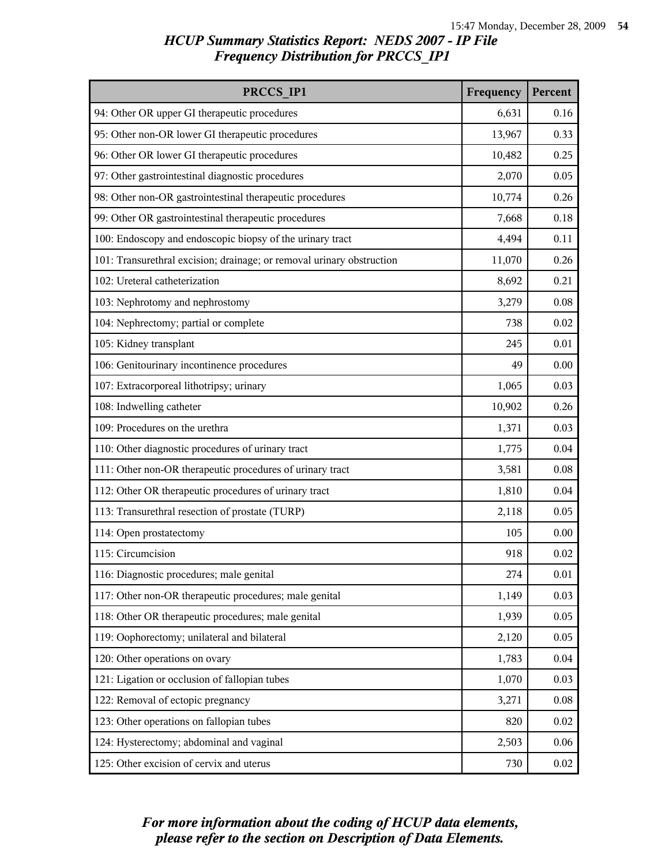| PRCCS IP1                                                             | Frequency | Percent  |
|-----------------------------------------------------------------------|-----------|----------|
| 94: Other OR upper GI therapeutic procedures                          | 6,631     | 0.16     |
| 95: Other non-OR lower GI therapeutic procedures                      | 13,967    | 0.33     |
| 96: Other OR lower GI therapeutic procedures                          | 10,482    | 0.25     |
| 97: Other gastrointestinal diagnostic procedures                      | 2,070     | 0.05     |
| 98: Other non-OR gastrointestinal therapeutic procedures              | 10,774    | 0.26     |
| 99: Other OR gastrointestinal therapeutic procedures                  | 7,668     | 0.18     |
| 100: Endoscopy and endoscopic biopsy of the urinary tract             | 4,494     | 0.11     |
| 101: Transurethral excision; drainage; or removal urinary obstruction | 11,070    | 0.26     |
| 102: Ureteral catheterization                                         | 8,692     | 0.21     |
| 103: Nephrotomy and nephrostomy                                       | 3,279     | 0.08     |
| 104: Nephrectomy; partial or complete                                 | 738       | 0.02     |
| 105: Kidney transplant                                                | 245       | 0.01     |
| 106: Genitourinary incontinence procedures                            | 49        | 0.00     |
| 107: Extracorporeal lithotripsy; urinary                              | 1,065     | 0.03     |
| 108: Indwelling catheter                                              | 10,902    | 0.26     |
| 109: Procedures on the urethra                                        | 1,371     | 0.03     |
| 110: Other diagnostic procedures of urinary tract                     | 1,775     | 0.04     |
| 111: Other non-OR therapeutic procedures of urinary tract             | 3,581     | 0.08     |
| 112: Other OR therapeutic procedures of urinary tract                 | 1,810     | 0.04     |
| 113: Transurethral resection of prostate (TURP)                       | 2,118     | 0.05     |
| 114: Open prostatectomy                                               | 105       | 0.00     |
| 115: Circumcision                                                     | 918       | 0.02     |
| 116: Diagnostic procedures; male genital                              | 274       | 0.01     |
| 117: Other non-OR therapeutic procedures; male genital                | 1,149     | 0.03     |
| 118: Other OR therapeutic procedures; male genital                    | 1,939     | 0.05     |
| 119: Oophorectomy; unilateral and bilateral                           | 2,120     | 0.05     |
| 120: Other operations on ovary                                        | 1,783     | 0.04     |
| 121: Ligation or occlusion of fallopian tubes                         | 1,070     | 0.03     |
| 122: Removal of ectopic pregnancy                                     | 3,271     | 0.08     |
| 123: Other operations on fallopian tubes                              | 820       | 0.02     |
| 124: Hysterectomy; abdominal and vaginal                              | 2,503     | 0.06     |
| 125: Other excision of cervix and uterus                              | 730       | $0.02\,$ |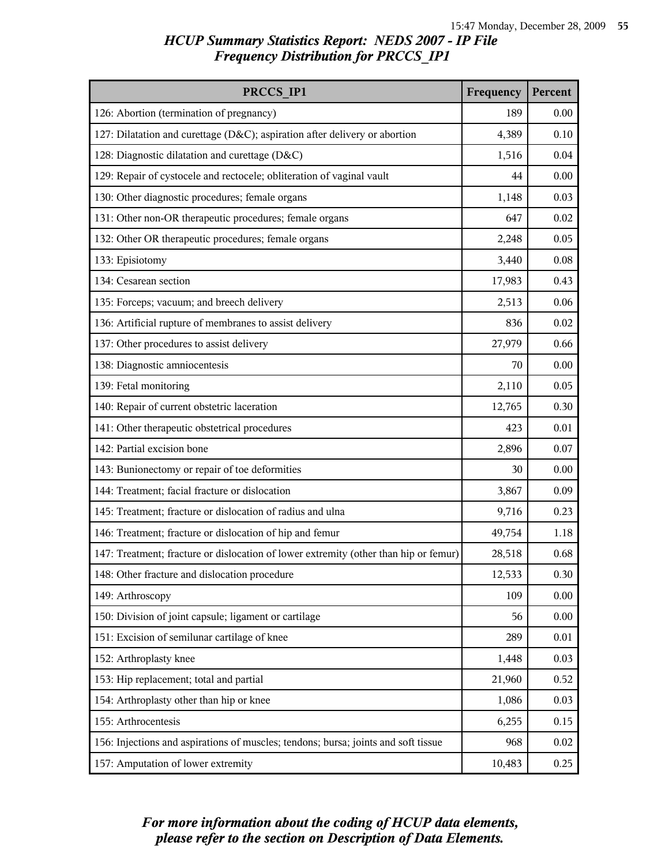| PRCCS_IP1                                                                            | Frequency | Percent |
|--------------------------------------------------------------------------------------|-----------|---------|
| 126: Abortion (termination of pregnancy)                                             | 189       | 0.00    |
| 127: Dilatation and curettage (D&C); aspiration after delivery or abortion           | 4,389     | 0.10    |
| 128: Diagnostic dilatation and curettage (D&C)                                       | 1,516     | 0.04    |
| 129: Repair of cystocele and rectocele; obliteration of vaginal vault                | 44        | 0.00    |
| 130: Other diagnostic procedures; female organs                                      | 1,148     | 0.03    |
| 131: Other non-OR therapeutic procedures; female organs                              | 647       | 0.02    |
| 132: Other OR therapeutic procedures; female organs                                  | 2,248     | 0.05    |
| 133: Episiotomy                                                                      | 3,440     | 0.08    |
| 134: Cesarean section                                                                | 17,983    | 0.43    |
| 135: Forceps; vacuum; and breech delivery                                            | 2,513     | 0.06    |
| 136: Artificial rupture of membranes to assist delivery                              | 836       | 0.02    |
| 137: Other procedures to assist delivery                                             | 27,979    | 0.66    |
| 138: Diagnostic amniocentesis                                                        | 70        | 0.00    |
| 139: Fetal monitoring                                                                | 2,110     | 0.05    |
| 140: Repair of current obstetric laceration                                          | 12,765    | 0.30    |
| 141: Other therapeutic obstetrical procedures                                        | 423       | 0.01    |
| 142: Partial excision bone                                                           | 2,896     | 0.07    |
| 143: Bunionectomy or repair of toe deformities                                       | 30        | 0.00    |
| 144: Treatment; facial fracture or dislocation                                       | 3,867     | 0.09    |
| 145: Treatment; fracture or dislocation of radius and ulna                           | 9,716     | 0.23    |
| 146: Treatment; fracture or dislocation of hip and femur                             | 49,754    | 1.18    |
| 147: Treatment; fracture or dislocation of lower extremity (other than hip or femur) | 28,518    | 0.68    |
| 148: Other fracture and dislocation procedure                                        | 12,533    | 0.30    |
| 149: Arthroscopy                                                                     | 109       | 0.00    |
| 150: Division of joint capsule; ligament or cartilage                                | 56        | 0.00    |
| 151: Excision of semilunar cartilage of knee                                         | 289       | 0.01    |
| 152: Arthroplasty knee                                                               | 1,448     | 0.03    |
| 153: Hip replacement; total and partial                                              | 21,960    | 0.52    |
| 154: Arthroplasty other than hip or knee                                             | 1,086     | 0.03    |
| 155: Arthrocentesis                                                                  | 6,255     | 0.15    |
| 156: Injections and aspirations of muscles; tendons; bursa; joints and soft tissue   | 968       | 0.02    |
| 157: Amputation of lower extremity                                                   | 10,483    | 0.25    |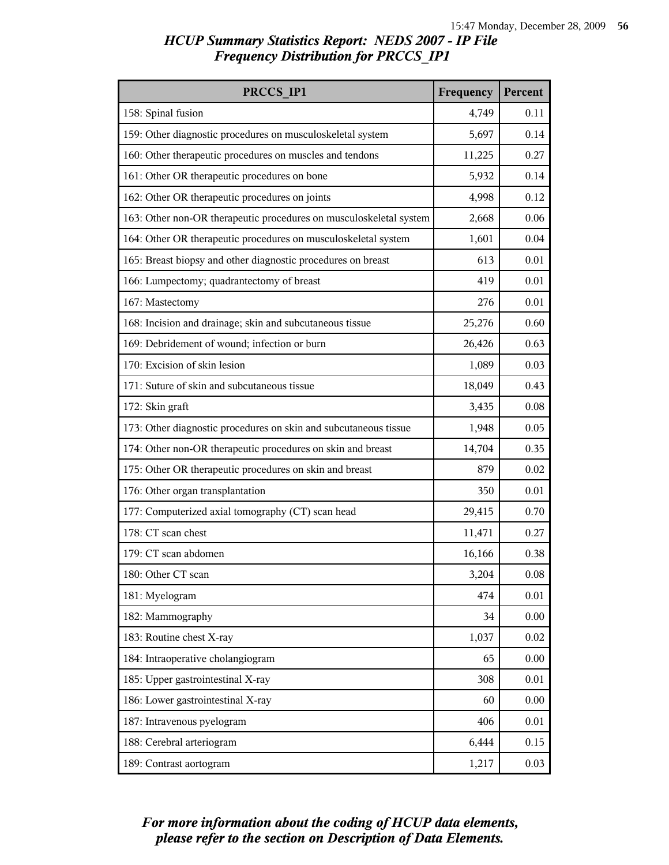| PRCCS IP1                                                          | Frequency | Percent  |
|--------------------------------------------------------------------|-----------|----------|
| 158: Spinal fusion                                                 | 4,749     | 0.11     |
| 159: Other diagnostic procedures on musculoskeletal system         | 5,697     | 0.14     |
| 160: Other therapeutic procedures on muscles and tendons           | 11,225    | 0.27     |
| 161: Other OR therapeutic procedures on bone                       | 5,932     | 0.14     |
| 162: Other OR therapeutic procedures on joints                     | 4,998     | 0.12     |
| 163: Other non-OR therapeutic procedures on musculoskeletal system | 2,668     | 0.06     |
| 164: Other OR therapeutic procedures on musculoskeletal system     | 1,601     | 0.04     |
| 165: Breast biopsy and other diagnostic procedures on breast       | 613       | 0.01     |
| 166: Lumpectomy; quadrantectomy of breast                          | 419       | 0.01     |
| 167: Mastectomy                                                    | 276       | 0.01     |
| 168: Incision and drainage; skin and subcutaneous tissue           | 25,276    | 0.60     |
| 169: Debridement of wound; infection or burn                       | 26,426    | 0.63     |
| 170: Excision of skin lesion                                       | 1,089     | 0.03     |
| 171: Suture of skin and subcutaneous tissue                        | 18,049    | 0.43     |
| 172: Skin graft                                                    | 3,435     | 0.08     |
| 173: Other diagnostic procedures on skin and subcutaneous tissue   | 1,948     | 0.05     |
| 174: Other non-OR therapeutic procedures on skin and breast        | 14,704    | 0.35     |
| 175: Other OR therapeutic procedures on skin and breast            | 879       | 0.02     |
| 176: Other organ transplantation                                   | 350       | $0.01\,$ |
| 177: Computerized axial tomography (CT) scan head                  | 29,415    | 0.70     |
| 178: CT scan chest                                                 | 11,471    | 0.27     |
| 179: CT scan abdomen                                               | 16,166    | 0.38     |
| 180: Other CT scan                                                 | 3,204     | 0.08     |
| 181: Myelogram                                                     | 474       | 0.01     |
| 182: Mammography                                                   | 34        | 0.00     |
| 183: Routine chest X-ray                                           | 1,037     | 0.02     |
| 184: Intraoperative cholangiogram                                  | 65        | 0.00     |
| 185: Upper gastrointestinal X-ray                                  | 308       | 0.01     |
| 186: Lower gastrointestinal X-ray                                  | 60        | 0.00     |
| 187: Intravenous pyelogram                                         | 406       | 0.01     |
| 188: Cerebral arteriogram                                          | 6,444     | 0.15     |
| 189: Contrast aortogram                                            | 1,217     | 0.03     |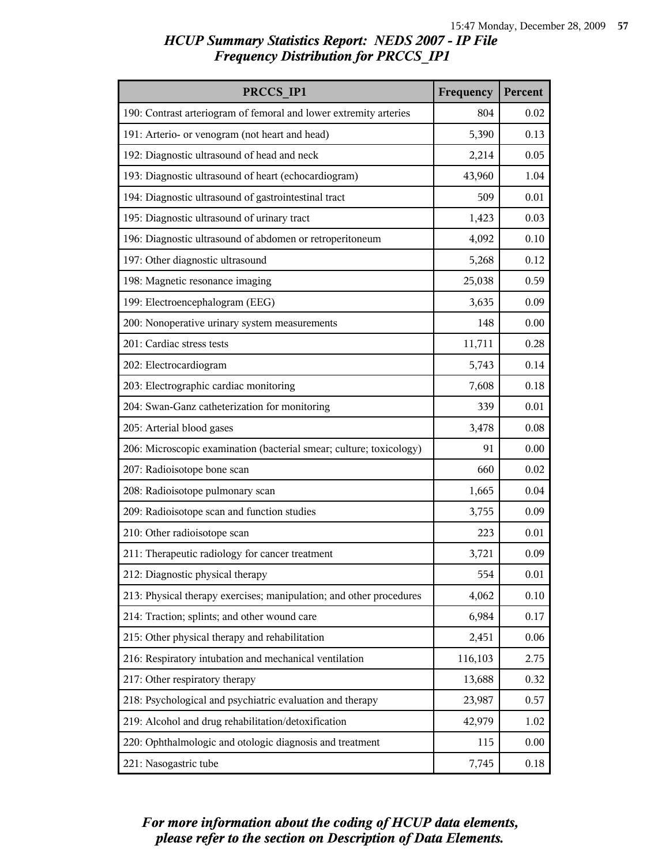| PRCCS IP1                                                           | Frequency | Percent |
|---------------------------------------------------------------------|-----------|---------|
| 190: Contrast arteriogram of femoral and lower extremity arteries   | 804       | 0.02    |
| 191: Arterio- or venogram (not heart and head)                      | 5,390     | 0.13    |
| 192: Diagnostic ultrasound of head and neck                         | 2,214     | 0.05    |
| 193: Diagnostic ultrasound of heart (echocardiogram)                | 43,960    | 1.04    |
| 194: Diagnostic ultrasound of gastrointestinal tract                | 509       | 0.01    |
| 195: Diagnostic ultrasound of urinary tract                         | 1,423     | 0.03    |
| 196: Diagnostic ultrasound of abdomen or retroperitoneum            | 4,092     | 0.10    |
| 197: Other diagnostic ultrasound                                    | 5,268     | 0.12    |
| 198: Magnetic resonance imaging                                     | 25,038    | 0.59    |
| 199: Electroencephalogram (EEG)                                     | 3,635     | 0.09    |
| 200: Nonoperative urinary system measurements                       | 148       | 0.00    |
| 201: Cardiac stress tests                                           | 11,711    | 0.28    |
| 202: Electrocardiogram                                              | 5,743     | 0.14    |
| 203: Electrographic cardiac monitoring                              | 7,608     | 0.18    |
| 204: Swan-Ganz catheterization for monitoring                       | 339       | 0.01    |
| 205: Arterial blood gases                                           | 3,478     | 0.08    |
| 206: Microscopic examination (bacterial smear; culture; toxicology) | 91        | 0.00    |
| 207: Radioisotope bone scan                                         | 660       | 0.02    |
| 208: Radioisotope pulmonary scan                                    | 1,665     | 0.04    |
| 209: Radioisotope scan and function studies                         | 3,755     | 0.09    |
| 210: Other radioisotope scan                                        | 223       | 0.01    |
| 211: Therapeutic radiology for cancer treatment                     | 3,721     | 0.09    |
| 212: Diagnostic physical therapy                                    | 554       | 0.01    |
| 213: Physical therapy exercises; manipulation; and other procedures | 4,062     | 0.10    |
| 214: Traction; splints; and other wound care                        | 6,984     | 0.17    |
| 215: Other physical therapy and rehabilitation                      | 2,451     | 0.06    |
| 216: Respiratory intubation and mechanical ventilation              | 116,103   | 2.75    |
| 217: Other respiratory therapy                                      | 13,688    | 0.32    |
| 218: Psychological and psychiatric evaluation and therapy           | 23,987    | 0.57    |
| 219: Alcohol and drug rehabilitation/detoxification                 | 42,979    | 1.02    |
| 220: Ophthalmologic and otologic diagnosis and treatment            | 115       | 0.00    |
| 221: Nasogastric tube                                               | 7,745     | 0.18    |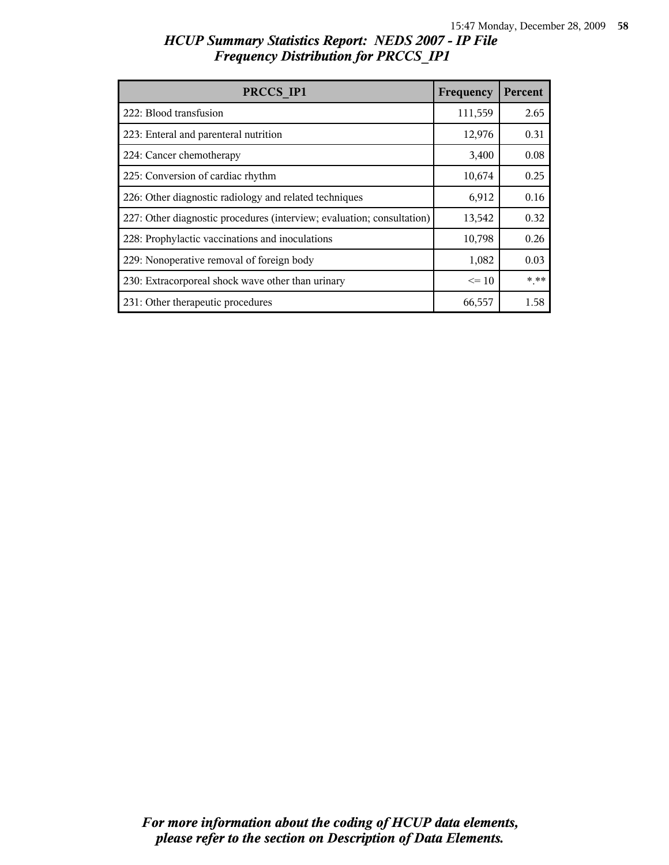| HCUP Summary Statistics Report: NEDS 2007 - IP File |  |
|-----------------------------------------------------|--|
| <b>Frequency Distribution for PRCCS IP1</b>         |  |

| PRCCS IP1                                                              | Frequency | Percent |
|------------------------------------------------------------------------|-----------|---------|
| 222: Blood transfusion                                                 | 111,559   | 2.65    |
| 223: Enteral and parenteral nutrition                                  | 12,976    | 0.31    |
| 224: Cancer chemotherapy                                               | 3,400     | 0.08    |
| 225: Conversion of cardiac rhythm                                      | 10,674    | 0.25    |
| 226: Other diagnostic radiology and related techniques                 | 6,912     | 0.16    |
| 227: Other diagnostic procedures (interview; evaluation; consultation) | 13,542    | 0.32    |
| 228: Prophylactic vaccinations and inoculations                        | 10,798    | 0.26    |
| 229: Nonoperative removal of foreign body                              | 1,082     | 0.03    |
| 230: Extracorporeal shock wave other than urinary                      | $\leq 10$ | $***$   |
| 231: Other therapeutic procedures                                      | 66,557    | 1.58    |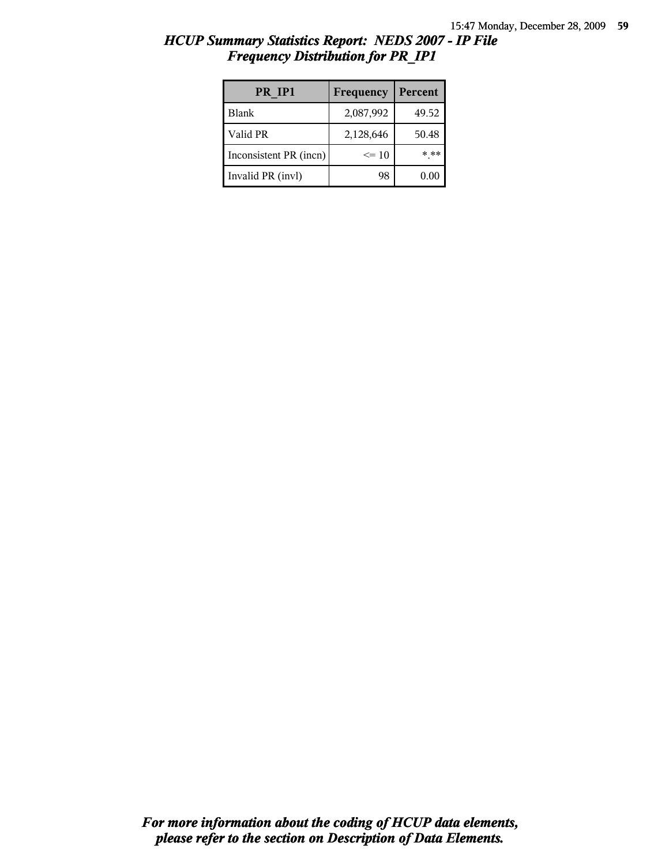| PR IP1                 | Frequency | Percent |
|------------------------|-----------|---------|
| Blank                  | 2,087,992 | 49.52   |
| Valid PR               | 2,128,646 | 50.48   |
| Inconsistent PR (incn) | $\leq$ 10 | * **    |
| Invalid PR (invl)      | 98        | 0.00    |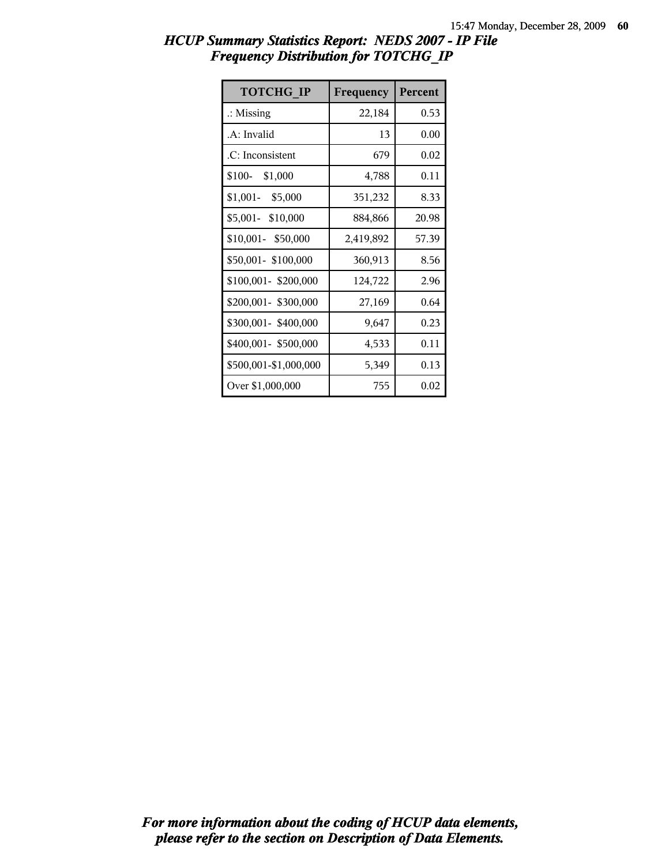| <b>TOTCHG IP</b>      | Frequency | Percent |
|-----------------------|-----------|---------|
| $\therefore$ Missing  | 22,184    | 0.53    |
| .A: Invalid           | 13        | 0.00    |
| .C: Inconsistent      | 679       | 0.02    |
| \$100-<br>\$1,000     | 4,788     | 0.11    |
| $$1,001-$ \$5,000     | 351,232   | 8.33    |
| \$5,001- \$10,000     | 884,866   | 20.98   |
| \$10,001- \$50,000    | 2,419,892 | 57.39   |
| \$50,001-\$100,000    | 360,913   | 8.56    |
| \$100,001-\$200,000   | 124,722   | 2.96    |
| \$200,001- \$300,000  | 27,169    | 0.64    |
| \$300,001-\$400,000   | 9,647     | 0.23    |
| \$400,001- \$500,000  | 4,533     | 0.11    |
| \$500,001-\$1,000,000 | 5,349     | 0.13    |
| Over \$1,000,000      | 755       | 0.02    |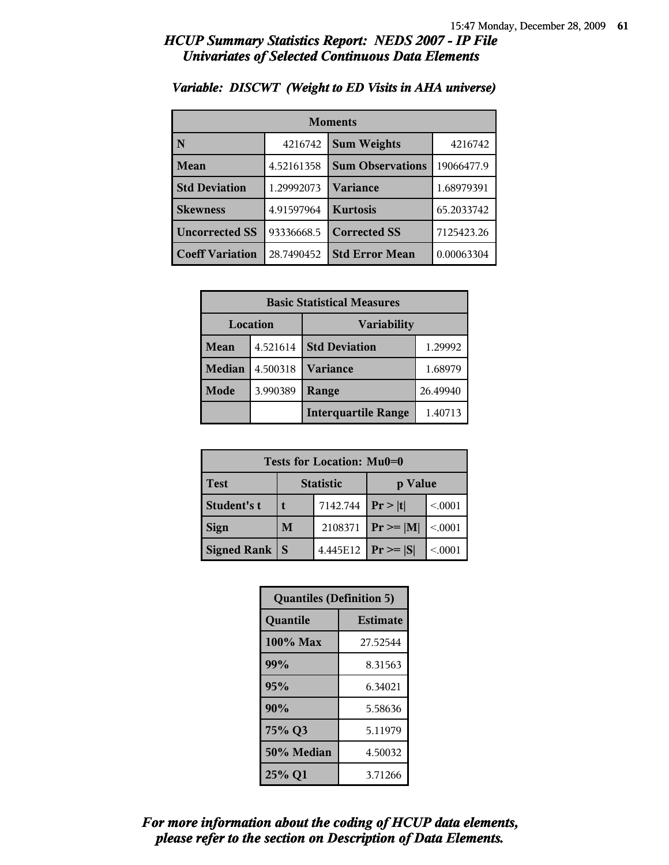| <b>Moments</b>         |            |                         |            |
|------------------------|------------|-------------------------|------------|
| N                      | 4216742    | <b>Sum Weights</b>      | 4216742    |
| Mean                   | 4.52161358 | <b>Sum Observations</b> | 19066477.9 |
| <b>Std Deviation</b>   | 1.29992073 | Variance                | 1.68979391 |
| <b>Skewness</b>        | 4.91597964 | <b>Kurtosis</b>         | 65.2033742 |
| <b>Uncorrected SS</b>  | 93336668.5 | <b>Corrected SS</b>     | 7125423.26 |
| <b>Coeff Variation</b> | 28.7490452 | <b>Std Error Mean</b>   | 0.00063304 |

#### *Variable: DISCWT (Weight to ED Visits in AHA universe)*

| <b>Basic Statistical Measures</b> |          |                            |         |
|-----------------------------------|----------|----------------------------|---------|
| Location<br><b>Variability</b>    |          |                            |         |
| <b>Mean</b>                       | 4.521614 | <b>Std Deviation</b>       | 1.29992 |
| <b>Median</b>                     | 4.500318 | <b>Variance</b>            | 1.68979 |
| Mode                              | 3.990389 | 26.49940<br>Range          |         |
|                                   |          | <b>Interquartile Range</b> | 1.40713 |

| Tests for Location: Mu0=0 |                             |          |               |         |
|---------------------------|-----------------------------|----------|---------------|---------|
| <b>Test</b>               | <b>Statistic</b><br>p Value |          |               |         |
| Student's t               | 7142.744<br>t               |          | Pr >  t       | < 0001  |
| <b>Sign</b>               | M                           | 2108371  | $Pr \ge  M $  | < 0.001 |
| <b>Signed Rank</b>        | <sup>S</sup>                | 4.445E12 | $Pr \geq  S $ | < 0001  |

| <b>Quantiles (Definition 5)</b> |                 |  |
|---------------------------------|-----------------|--|
| Quantile                        | <b>Estimate</b> |  |
| 100% Max                        | 27.52544        |  |
| 99%                             | 8.31563         |  |
| 95%                             | 6.34021         |  |
| 90%                             | 5.58636         |  |
| 75% Q3                          | 5.11979         |  |
| 50% Median                      | 4.50032         |  |
| 25% Q1                          | 3.71266         |  |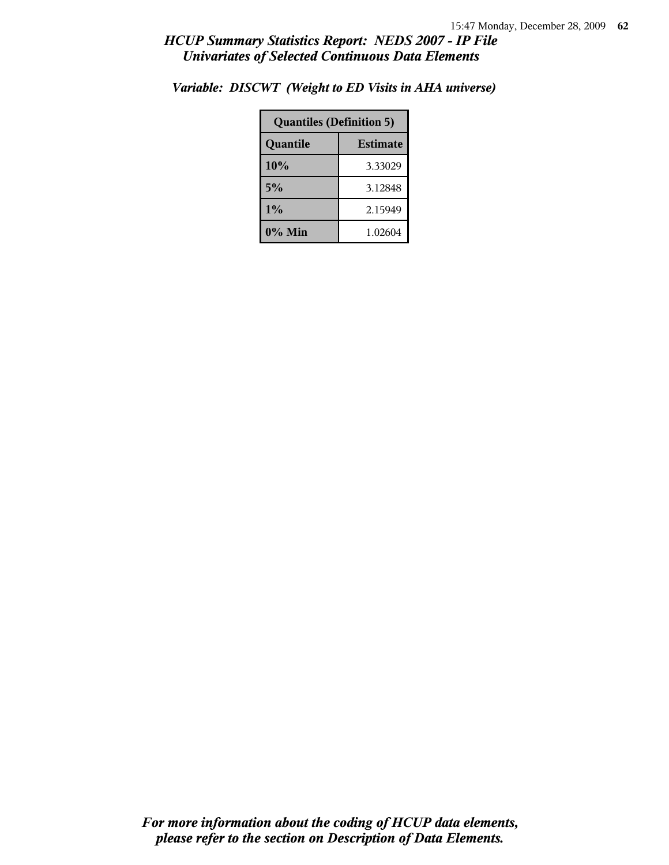| <b>Quantiles (Definition 5)</b> |         |  |
|---------------------------------|---------|--|
| <b>Estimate</b><br>Quantile     |         |  |
| 10%                             | 3.33029 |  |
| 5%                              | 3.12848 |  |
| $1\%$                           | 2.15949 |  |
| $0\%$ Min                       | 1.02604 |  |

*Variable: DISCWT (Weight to ED Visits in AHA universe)*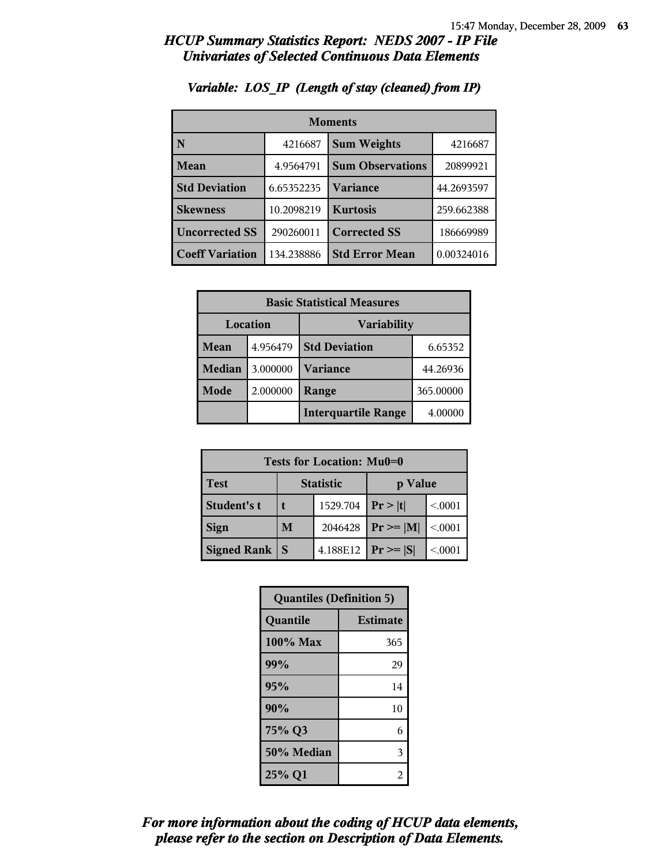| <b>Moments</b>         |            |                         |            |
|------------------------|------------|-------------------------|------------|
| N                      | 4216687    | <b>Sum Weights</b>      | 4216687    |
| Mean                   | 4.9564791  | <b>Sum Observations</b> | 20899921   |
| <b>Std Deviation</b>   | 6.65352235 | Variance                | 44.2693597 |
| <b>Skewness</b>        | 10.2098219 | <b>Kurtosis</b>         | 259.662388 |
| <b>Uncorrected SS</b>  | 290260011  | <b>Corrected SS</b>     | 186669989  |
| <b>Coeff Variation</b> | 134.238886 | <b>Std Error Mean</b>   | 0.00324016 |

### *Variable: LOS\_IP (Length of stay (cleaned) from IP)*

| <b>Basic Statistical Measures</b> |          |                            |           |
|-----------------------------------|----------|----------------------------|-----------|
| Location<br><b>Variability</b>    |          |                            |           |
| Mean                              | 4.956479 | <b>Std Deviation</b>       | 6.65352   |
| <b>Median</b>                     | 3.000000 | Variance                   | 44.26936  |
| Mode                              | 2.000000 | Range                      | 365.00000 |
|                                   |          | <b>Interquartile Range</b> | 4.00000   |

| Tests for Location: Mu0=0 |                             |          |                |         |
|---------------------------|-----------------------------|----------|----------------|---------|
| <b>Test</b>               | <b>Statistic</b><br>p Value |          |                |         |
| Student's t               | 1529.704                    |          | Pr >  t        | < 0.001 |
| <b>Sign</b>               | M                           | 2046428  | $Pr \ge =  M $ | < 0.001 |
| <b>Signed Rank</b>        | S                           | 4.188E12 | $Pr \geq  S $  | < 0.001 |

| <b>Quantiles (Definition 5)</b> |                 |  |
|---------------------------------|-----------------|--|
| Quantile                        | <b>Estimate</b> |  |
| $100\%$ Max                     | 365             |  |
| 99%                             | 29              |  |
| 95%                             | 14              |  |
| 90%                             | 10              |  |
| 75% Q3                          | 6               |  |
| 50% Median                      | 3               |  |
| 25% Q1                          | 2               |  |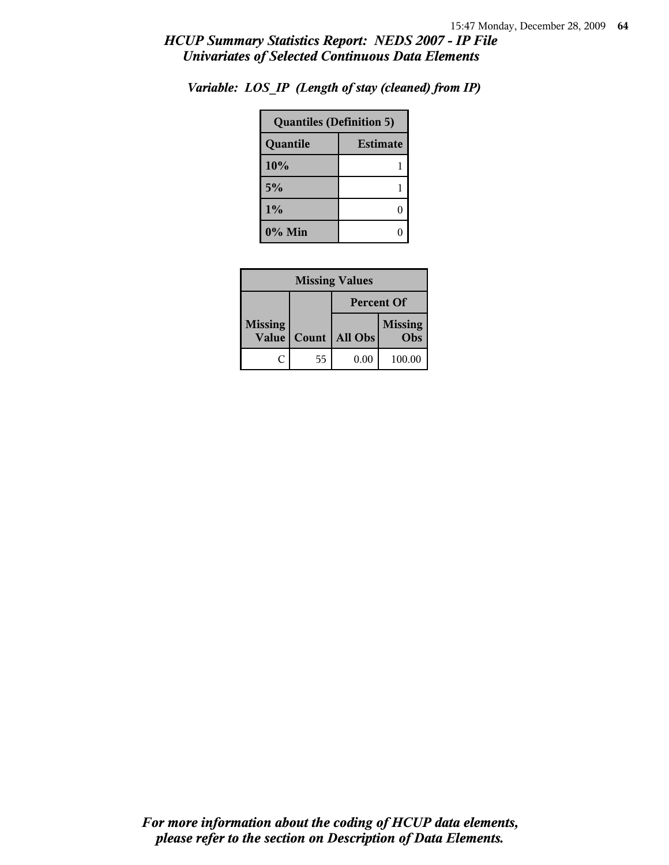| <b>Quantiles (Definition 5)</b> |  |  |
|---------------------------------|--|--|
| <b>Estimate</b><br>Quantile     |  |  |
| 10%                             |  |  |
| 5%                              |  |  |
| 1%                              |  |  |
| $0\%$ Min                       |  |  |

*Variable: LOS\_IP (Length of stay (cleaned) from IP)*

| <b>Missing Values</b>   |       |                   |                       |
|-------------------------|-------|-------------------|-----------------------|
|                         |       | <b>Percent Of</b> |                       |
| <b>Missing</b><br>Value | Count | <b>All Obs</b>    | <b>Missing</b><br>Obs |
|                         | 55    | 0.00              | 100.00                |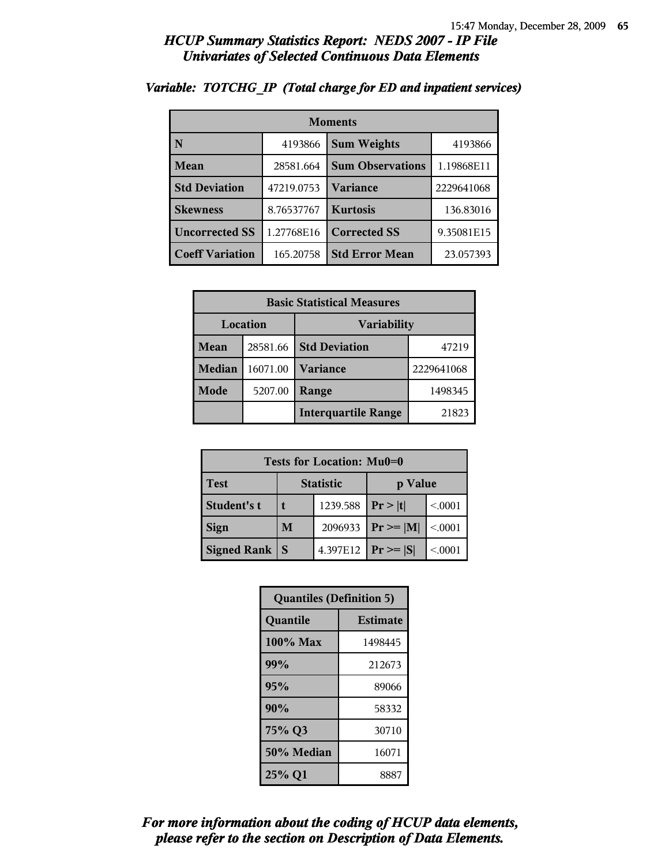| <b>Moments</b>         |            |                         |            |
|------------------------|------------|-------------------------|------------|
| N                      | 4193866    | <b>Sum Weights</b>      | 4193866    |
| Mean                   | 28581.664  | <b>Sum Observations</b> | 1.19868E11 |
| <b>Std Deviation</b>   | 47219.0753 | Variance                | 2229641068 |
| <b>Skewness</b>        | 8.76537767 | <b>Kurtosis</b>         | 136.83016  |
| <b>Uncorrected SS</b>  | 1.27768E16 | <b>Corrected SS</b>     | 9.35081E15 |
| <b>Coeff Variation</b> | 165.20758  | <b>Std Error Mean</b>   | 23.057393  |

### *Variable: TOTCHG\_IP (Total charge for ED and inpatient services)*

| <b>Basic Statistical Measures</b> |          |                            |            |  |
|-----------------------------------|----------|----------------------------|------------|--|
| Location                          |          | <b>Variability</b>         |            |  |
| Mean                              | 28581.66 | <b>Std Deviation</b>       | 47219      |  |
| <b>Median</b>                     | 16071.00 | <b>Variance</b>            | 2229641068 |  |
| Mode                              | 5207.00  | Range                      | 1498345    |  |
|                                   |          | <b>Interquartile Range</b> | 21823      |  |

| Tests for Location: Mu0=0 |                  |          |                |         |
|---------------------------|------------------|----------|----------------|---------|
| <b>Test</b>               | <b>Statistic</b> |          | p Value        |         |
| Student's t               |                  | 1239.588 | Pr >  t        | < 0001  |
| <b>Sign</b>               | M                | 2096933  | $Pr \ge =  M $ | < 0.001 |
| <b>Signed Rank</b>        | <sup>S</sup>     | 4.397E12 | $Pr \geq  S $  | < 0.001 |

| <b>Quantiles (Definition 5)</b> |                 |  |
|---------------------------------|-----------------|--|
| Quantile                        | <b>Estimate</b> |  |
| 100% Max                        | 1498445         |  |
| 99%                             | 212673          |  |
| 95%                             | 89066           |  |
| 90%                             | 58332           |  |
| 75% Q3                          | 30710           |  |
| 50% Median                      | 16071           |  |
| 25% Q1                          | 8887            |  |